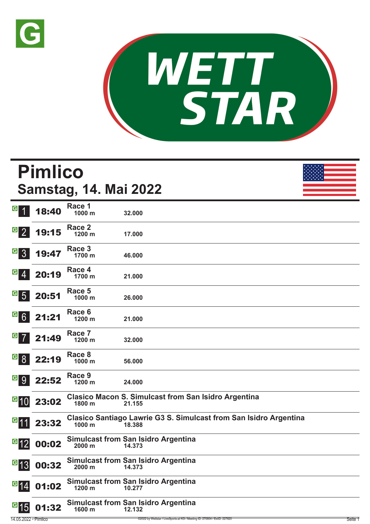



|                                               | <b>Pimlico</b> | <b>Samstag, 14. Mai 2022</b> |                                                                             |  |
|-----------------------------------------------|----------------|------------------------------|-----------------------------------------------------------------------------|--|
|                                               |                | Race 1                       |                                                                             |  |
| <b>G</b> 1                                    | 18:40          | 1000 m                       | 32.000                                                                      |  |
| $\begin{array}{c} \boxed{6} \\ 2 \end{array}$ | 19:15          | Race 2<br>1200 m             | 17.000                                                                      |  |
| $\mathbf{G}$ 3                                | 19:47          | Race 3<br>1700 m             | 46.000                                                                      |  |
| $G \overline{4}$                              | 20:19          | Race 4<br>1700 m             | 21.000                                                                      |  |
| $\frac{G}{5}$                                 | 20:51          | Race 5<br>1000 m             | 26.000                                                                      |  |
| $G$ $6$                                       | 21:21          | Race 6<br>1200 m             | 21.000                                                                      |  |
| $G$ $7$                                       | 21:49          | Race 7<br>1200 m             | 32.000                                                                      |  |
| <b>G</b> 8                                    | 22:19          | Race 8<br>1000 m             | 56.000                                                                      |  |
| <u>a g</u>                                    | 22:52          | Race 9<br>1200 m             | 24.000                                                                      |  |
|                                               | $G$ 10 23:02   | 1800 m                       | <b>Clasico Macon S. Simulcast from San Isidro Argentina</b><br>21.155       |  |
| l <sup>G</sup> 11                             | 23:32          | 1000 m                       | Clasico Santiago Lawrie G3 S. Simulcast from San Isidro Argentina<br>18.388 |  |
| $\mathbf{G}$ 12                               | 00:02          | 2000 m                       | <b>Simulcast from San Isidro Argentina</b><br>14.373                        |  |
| $\mathbf{G}$ 13                               | 00:32          | 2000 m                       | <b>Simulcast from San Isidro Argentina</b><br>14.373                        |  |
| $\mathbf{G}$ 14                               | 01:02          | 1200 m                       | <b>Simulcast from San Isidro Argentina</b><br>10.277                        |  |
| $^{\circ}15$                                  | 01:32          | 1600 m                       | <b>Simulcast from San Isidro Argentina</b><br>12.132                        |  |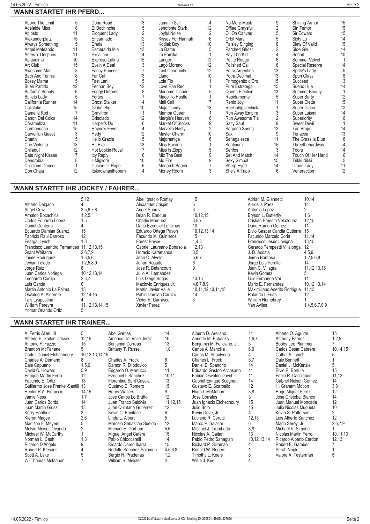|                         |        |                       |                |                               |                | No More Mask         |                     |                      |                                       |
|-------------------------|--------|-----------------------|----------------|-------------------------------|----------------|----------------------|---------------------|----------------------|---------------------------------------|
| Above The Limit         | 5<br>8 | Dona Road             | 13<br>5        | Jammin Still                  | 4              |                      | 9<br>$\overline{2}$ | Shining Armor        | 15                                    |
| <b>Adelaide Miss</b>    |        | El Bochinche          |                | Jenofonte Stark               | 12             | Offlee Graysful      | 5                   | Sin Temor            | 15<br>15                              |
| Agiosto                 | 11     | Eloquent Lady         | $\overline{2}$ | Joyful Noise                  | $\overline{2}$ | Oil On Canvas        |                     | Sir Edward           |                                       |
| Alexanderplatz          | 15     | Encarrilado           | 12             | Kisses For Hannah             | 6              | <b>Orbit Mars</b>    |                     | Sixty Lu             | 14                                    |
| Always Something        | 5      | Fraria                | 13             | Kodiak Boy                    | 10             | Paisley Singing      | 8                   | Slew Of Valid        | 15                                    |
| Angel Mateando          | 11     | Esmeralda Mia         | 13             | La Dame                       | 5              | <b>Parched Ghost</b> | $\mathfrak{p}$      | Sloe Gin             | 14                                    |
| Antes Y Despues         | 11     | Excalibur             | 4              | La Familia                    |                | Pay The Kid          |                     | Sohail               | 10                                    |
| Aplaudime               | 10     | Expreso Latino        | 15             | Laager                        | 12             | Petite Rouge         | 6                   | Sommer Velvet        |                                       |
| Art Club                | 15     | Eye'n A Deal          |                | Lago Moreno                   | 12             | Polished Gal         | 8                   | Special Reserve      | 14                                    |
| Awesome Man             | 3      | <b>Fancy Princess</b> |                | Last Oportunity               | 12             | Potra Argentina      | 13                  | Sprite's Lady        |                                       |
| <b>Bath And Tennis</b>  | 8      | Far Gal               | 13             | Llano                         | 10             | Potra Decimal        | 13                  | Spun Glass           | $\begin{array}{c} 5 \\ 8 \end{array}$ |
| Bossy Mama              | 5      | Fast Lani             | 5              | Lola Flo                      |                | Primogenito d'Oro    | 15                  | Succeed              | 3                                     |
| Buen Partido            | 12     | Fennan Boy            | 12             | Love Ran Red                  |                | Pure Estratega       | 15                  | Sueno Hue            | 14                                    |
| <b>Buffum's Beauty</b>  | 6      | Foggy Dreams          | 8              | Madame Claude                 |                | Queen Election       | 13                  | <b>Summer Beauty</b> |                                       |
| <b>Bullets Lady</b>     | 5      | Fortes                |                | Made To Hustle                |                | Rapidamente          | 5                   | Super Barty          | 12                                    |
| California Runner       | 14     | <b>Ghost Stalker</b>  |                | Mail Call                     |                | Renio Jov            | 11                  | Super Clette         | 15                                    |
| Calistatic              | 15     | Global Big            | 10             | Maja Candy                    | 13             | Rockinhippiechick    |                     | Super Giaco          | 12                                    |
| Camelia Rod             |        | Gravitron             |                | Mamba Queen                   |                | Run Away Empire      | 3                   | Super Luismi         | 14                                    |
| Canon Del Colca         | 14     | Grisolado             | 12             | Margie's Heaven               | 8              | Run Awesome Tiz      | $\overline{2}$      | Superiority          | 6                                     |
| Carameliza              | 11     | Harper's Do           | 6              | Market Of Stocks              | 9              | Salty Saul           | 9                   | <b>Sweet Devil</b>   |                                       |
| Carmanucho              | 15     | Hayne's Fever         |                | Marvella Nasty                | $\overline{2}$ | Sarpado Spring       | 12                  | Tan Brujo            | 14                                    |
| Carvellian Quest        | 3      | Hedy                  | 12             | Master Charm                  | 10             | Sax                  | 9                   | Tenacea              | 13                                    |
| Charliv                 | 5      | Hello Gracie          | 5              | Mejoramiga                    | 6              | Senegalesca          | 11                  | The Grass Is Blue    | 8                                     |
| Che Violenta            | 13     | Hit Eva               | 13             | Miss Foxann                   |                | Sentinum             | 15                  | Threethehardway      | $\overline{4}$                        |
| Chilaquil               | 12     | Hot Lookin Royal      |                |                               | 5              | Serifos              | 3                   | Tooru                | 14                                    |
|                         |        |                       | 6              | Miss Is Zippy<br>Miz The Best | 9              | Set And Match        | 14                  | Touch Of Her Hand    | $6\,$                                 |
| Date Night Kisses       |        | Icy Reply             |                |                               |                |                      |                     |                      |                                       |
| Dendrobia               | 8      | Il Migliore           | 10             | Mo Fire                       | 9              | Sexy Simbol          | 15                  | Trikki Nikki         | 5                                     |
| <b>Dixieland Dancer</b> |        | Illusion Of Hope      | 6              | Monarch Beach                 |                | Sharp Eyed           | 14                  | Urban Lady           | 11                                    |
| Don Chaja               | 12     | Itsknownasthebern     | 4              | Money Room                    | 3              | She's A Tripp        | 6                   | Veneraction          | 12                                    |

#### **WANN STARTET IHR JOCKEY / FAHRER...**

|                                         | 5,12               | Abel Ignacio Romay        | 15                     | Adrian M. Giannetti          | 10,14          |
|-----------------------------------------|--------------------|---------------------------|------------------------|------------------------------|----------------|
| Alberto Delgado                         |                    | Alexander Crispin         |                        | Alexis J. Paez               | 14             |
| Angel Cruz                              | 3,5,6,7,8          | Angel Suarez              |                        | Antonio Lopez                |                |
| Arnaldo Bocachica                       | 1,2,5              | Brian R. Enrique          | 10.12.15               | Bryson L. Butterfly          | 1.6            |
| Carlos Eduardo Lopez                    | 1,5                | Charlie Marquez           | 3,5,7                  | Cristian Ernesto Velazquez   | 12,15          |
| Daniel Centeno                          |                    | Dario Ezequiel Lencinas   | 10 <sup>°</sup>        | Dario Ramon Gomez            |                |
| Eduardo Damian Suarez                   | 15                 | Eduardo Ortega Pavon      | 10, 12, 13, 14         | Elvio Gaspar Candia Gutierre | 15             |
| Fabricio Raul Barroso                   | 12                 | Facundo M. Quinteros      | 15                     | Facundo Marcelo Coria        | 11,14          |
| Feargal Lynch                           | 1.8                | Forest Bovce              | 1,4,8                  | Francisco Jesus Lavigna      | 13,15          |
| Francisco Leandro Fernandes 11,12,13,15 |                    | Gabriel Laureano Bonasola | 12,13                  | Gerardo Tempestti Villalonga | 12             |
| <b>Grant Whitacre</b>                   | 2,6,7,9            | Horacio Karamanos         | 3,5                    | J. D. Acosta                 | 4,5,9          |
| Jaime Rodriguez                         | 1,3,5,6            | Jean C. Alvelo            | 5,6,7                  | Jeiron Barbosa               | 1,2,5,6,8      |
| Jevian Toledo                           | 1,2,5,8,9          | Johan Rosado              |                        | Jorge Luis Peralta           | 14             |
| Jorge Ruiz                              | 8                  | Jose R. Betancourt        |                        | Juan C. Villagra             | 11, 12, 13, 15 |
| Juan Carlos Noriega                     | 10.12.13.14        | Julio A. Hernandez        |                        | Kevin Gomez                  | G              |
| Leonardo Corujo                         | 2,3,7              | Luis Diego Brigas         | 13,15                  | Luis Fernando Vai            |                |
| Luis Garcia                             | 6                  | Maclovio Enriquez Jr.     | 4,6,7,8,9              | Mario E. Fernandez           | 10,12,13,14    |
| Martin Antonio La Palma                 | 15                 | Martin Javier Valle       | 10, 11, 12, 13, 14, 15 | Maximiliano Aserito Rodrigue | 11,13          |
| Osvaldo A. Alderete                     | 12, 14, 15         | Pablo Damian Carrizo      | 14                     | Rolando I. Frias             | 12             |
| Tais Lyapustina                         |                    | Victor R. Carrasco        |                        | William Humphrey             |                |
| William Pereyra                         | 11, 12, 13, 14, 15 | Xavier Perez              |                        | Yan Aviles                   | 1,4,5,6,7,8,9  |
| Yomar Orlando Ortiz                     | b.                 |                           |                        |                              |                |

### **WANN STARTET IHR TRAINER...**

| A. Ferris Allen. III<br>Alfredo F. Gaitan Dassie<br>Antonio F. Fazzio<br>Brandon McFarlane<br>Carlos Daniel Etchechoury<br>Charles A. Demario<br>Dale Capuano<br>David C. Howard<br>Enrique Martin Ferro<br>Facundo E. Ortiz<br>Guillermo Jose Frenkel-Santill<br>Hector R.A. Fioruccio<br>Jamie Ness<br>Juan Carlos Borda<br>Juan Martin Giussi<br>Kerry Hohlbein<br>Kieron Magee<br>Madison F. Meyers<br>Melvin Moises Ovando<br>Michael W. McCarthy<br>Norman L. Cash<br>Ricardo D'Angelo<br>Robert P. Klesaris<br>Scott A. Lake<br>W. Thomas McMahon | 5<br>12,15<br>15<br>10, 12, 13, 14, 15<br>1,5,6<br>5,9<br>12<br>13<br>13<br>14,15<br>1,7<br>14<br>13<br>2,6<br>1,3 | Abel Garces<br>Americo Del Valle Jerez<br>Benjamin Correas<br>Brittany T. Russell<br>Charles A. Frock<br>Damon R. Dilodovico<br>Edgardo O. Martucci<br>Ezequiel I. Sanchez<br>Florentino Sant Cascia<br>Gustavo E. Romero<br><b>Henry Walters</b><br>Jose Carlos Lo Brutto<br>Juan Franco Saldivia<br>Juan Quintana Gutierrez<br>Kevin C. Boniface<br>Linda L. Albert<br>Marcelo Sebastian Sueldo<br>Michael E. Gorham<br>Miquel Angel Cafere<br>Pablo Chioccarelli<br>Ricardo Dardo Ibarra<br>Rodolfo Sanchez-Salomon<br>Sergio H. Pradenas<br>William S. Meister | 14<br>10<br>13<br>1,8<br>8<br>5<br>11<br>10.11<br>13<br>15<br>12<br>11, 12, 15<br>$12 \overline{ }$<br>6<br>12<br>5,6<br>15<br>14<br>15<br>4,5,6,8<br>1.2 | Alberto D. Arellano<br>Annette M. Eubanks<br>Benjamin M. Feliciano, Jr.<br>Carlos A. Mancilla<br>Carlos M. Sepulveda<br>Charles L. Frock<br>Daniel E. Spandrio<br>Eduardo Gaston Accosano<br>Fabian Osvaldo David<br>Gabriel Enrique Scagnetti<br>Gustavo E. Scarpello<br>Hugh I. McMahon<br>Jose Corrales<br>Juan Ignacio Etchechoury<br>Julio Brito<br>Kevin Dove, Jr.<br>Luciano R. Cerutti<br>Marco P. Salazar<br>Michael J. Trombetta<br>Nicolas A. Gaitan<br>Pablo Pedro Sahagian<br>Richard P. Sillaman<br>Ronald W. Rogers<br>Timothy L. Keefe<br>Willie J. Kee | 11<br>1,6,7<br>5<br>6,9<br>5,7<br>14<br>11<br>11<br>14<br>12<br>3,8<br>15<br>15<br>12,15<br>6<br>3,8<br>13<br>10, 12, 13, 14 | Alberto O. Aquirre<br><b>Anthony Farrior</b><br>Bobby Lee Plummer<br>Carlos Cesar Cabrera<br>Cathal A. Lynch<br>Dale Bennett<br>Daniel J. McKenzie<br>Elvio R. Bortule<br>Fabio R. Cacciabue<br>Gabriel Nelson Gomez<br>H. Graham Motion<br>Hugo Miguel Perez<br>Jose Cristobal Blanco<br>Juan Manuel Moncada<br>Julio Nicolas Mugueta<br>Kevin S. Patterson<br>Luis Alberto Sanchez<br>Mario Serey, Jr.<br>Michael V. Simone<br>Nicolas Martin Ferro<br>Ricardo Alberto Cardon<br>Robert E. Gamber<br>Sarah Nagle<br>Valora A. Testerman | 15<br>1,2,5<br>10,14,15<br>15<br>11,13<br>14<br>3,8<br>12<br>14<br>12<br>10<br>2<br>12<br>2,6,7,9<br>10,11,13<br>12,13 |
|----------------------------------------------------------------------------------------------------------------------------------------------------------------------------------------------------------------------------------------------------------------------------------------------------------------------------------------------------------------------------------------------------------------------------------------------------------------------------------------------------------------------------------------------------------|--------------------------------------------------------------------------------------------------------------------|--------------------------------------------------------------------------------------------------------------------------------------------------------------------------------------------------------------------------------------------------------------------------------------------------------------------------------------------------------------------------------------------------------------------------------------------------------------------------------------------------------------------------------------------------------------------|-----------------------------------------------------------------------------------------------------------------------------------------------------------|-------------------------------------------------------------------------------------------------------------------------------------------------------------------------------------------------------------------------------------------------------------------------------------------------------------------------------------------------------------------------------------------------------------------------------------------------------------------------------------------------------------------------------------------------------------------------|------------------------------------------------------------------------------------------------------------------------------|-------------------------------------------------------------------------------------------------------------------------------------------------------------------------------------------------------------------------------------------------------------------------------------------------------------------------------------------------------------------------------------------------------------------------------------------------------------------------------------------------------------------------------------------|------------------------------------------------------------------------------------------------------------------------|
|----------------------------------------------------------------------------------------------------------------------------------------------------------------------------------------------------------------------------------------------------------------------------------------------------------------------------------------------------------------------------------------------------------------------------------------------------------------------------------------------------------------------------------------------------------|--------------------------------------------------------------------------------------------------------------------|--------------------------------------------------------------------------------------------------------------------------------------------------------------------------------------------------------------------------------------------------------------------------------------------------------------------------------------------------------------------------------------------------------------------------------------------------------------------------------------------------------------------------------------------------------------------|-----------------------------------------------------------------------------------------------------------------------------------------------------------|-------------------------------------------------------------------------------------------------------------------------------------------------------------------------------------------------------------------------------------------------------------------------------------------------------------------------------------------------------------------------------------------------------------------------------------------------------------------------------------------------------------------------------------------------------------------------|------------------------------------------------------------------------------------------------------------------------------|-------------------------------------------------------------------------------------------------------------------------------------------------------------------------------------------------------------------------------------------------------------------------------------------------------------------------------------------------------------------------------------------------------------------------------------------------------------------------------------------------------------------------------------------|------------------------------------------------------------------------------------------------------------------------|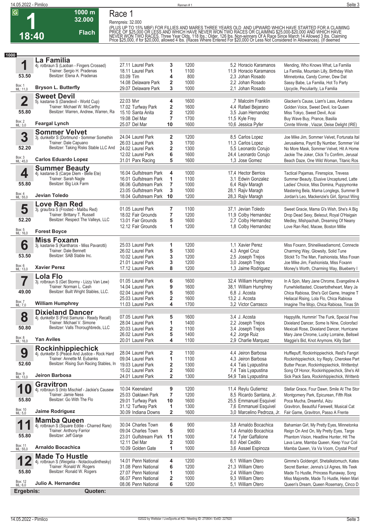**Race 1 Rennpreis: 32.000**

**1000 m 32.000** 

**Flach**

(PLUS UP TO 15% MBF) FOR FILLIES AND MARES THREE YEARS OLD AND UPWARD WHICH HAVE STARTED FOR A CLAIMING<br>PRICE OF \$25,000 OR LESS AND WHICH HAVE NEVER WON TWO RACES OR CLAIMING \$25,000-\$20,000 AND WHICH HAVE<br>NEVER WON TWO

| 1000                    |                                                                        |                       |                         |      |                            |                                               |
|-------------------------|------------------------------------------------------------------------|-----------------------|-------------------------|------|----------------------------|-----------------------------------------------|
|                         | La Familia                                                             |                       |                         |      |                            |                                               |
| 1                       | 4j. rotbraun S (Laoban - Fingers Crossed)                              | 27.11 Laurel Park     | 3                       | 1200 | 5.2 Horacio Karamanos      | Mending, Who Knows What, La Familia           |
|                         | Trainer: Sergio H. Pradenas                                            | 18.11 Laurel Park     | 1                       | 1100 | 11.9 Horacio Karamanos     | La Familia, Mountain Lilly, Birthday Wish     |
| 53.50                   | Besitzer: Elena A. Pradenas                                            | 03.09 Tim             | 4                       | 800  | 2.3 Johan Rosado           | Minnetonka, Candy Corner, Dew Dat             |
|                         |                                                                        | 14.08 Delaware Park   | 2                       | 1000 | 2.2 Johan Rosado           | Sassy Babe, La Familia, Hot To Party          |
| Box: 1<br>ML: 11,0      | <b>Bryson L. Butterfly</b>                                             | 29.07 Delaware Park   | 3                       | 1000 | 2,1 Johan Rosado           | Upcycle, Peculiarity, La Familia              |
|                         |                                                                        |                       |                         |      |                            |                                               |
| $\overline{\mathbf{2}}$ | <b>Sweet Devil</b>                                                     | 22.03 Mvr             | 4                       | 1600 | ,7 Malcolm Franklin        | Glacken's Cause, Liam's Lass, Andiama         |
|                         | 5j. kastanie S (Daredevil - World Cup)<br>Trainer: Michael W. McCarthy |                       |                         |      |                            |                                               |
| 55.80                   | Besitzer: Warren, Andrew, Warren, Ra                                   | 17.02 Turfway Park    | 2                       | 1600 | 4,4 Rafael Bejarano        | Golden Voice, Sweet Devil, Ice Queen          |
|                         |                                                                        | 15.10 Santa Anita     | 2                       | 1200 | 3.5 Juan Hernandez         | Miss Tokyo, Sweet Devil, Acai                 |
|                         |                                                                        | 19.08 Del Mar         | $\overline{\mathbf{r}}$ | 1700 | 11,5 Kyle Frey             | Buy Wave Buy, Prance, Basilia                 |
| Box: 2<br>ML: 3,0       | <b>Feargal Lynch</b>                                                   | 25.07 Del Mar         | 10                      | 1600 | 10,6 Jessica Pyfer         | Cinnte Winnte, Viazar, Deise Delight (IRE)    |
|                         | <b>Sommer Velvet</b>                                                   |                       |                         |      |                            |                                               |
| 3                       | 3j. dunkelbr S (Dortmund - Sommer Somethin                             | 24.04 Laurel Park     | 2                       | 1200 | 8,5 Carlos Lopez           | Joe Mike Jim, Sommer Velvet, Fortunata Ital   |
|                         | Trainer: Dale Capuano                                                  | 26.03 Laurel Park     | 3                       | 1700 | 11,3 Carlos Lopez          | Jerusalema, Paynt By Number, Sommer Vel       |
| 52.20                   | Besitzer: Taking Risks Stable LLC And                                  | 24.02 Laurel Park     | 2                       | 1300 | 5,5 Leonardo Corujo        | No More Mask, Sommer Velvet, Hit A Home       |
|                         |                                                                        | 12.02 Laurel Park     | 6                       | 1600 | 24,4 Leonardo Corujo       | Jackie The Joker, Click To Confirm, Jerusal   |
| Box: 3<br>ML: 45,0      | <b>Carlos Eduardo Lopez</b>                                            | 31.01 Parx Racing     | 5                       | 1600 | 1.3 Jose Gomez             | Beach Daze, One Wild Woman, Titanic Ros       |
|                         | <b>Summer Beauty</b>                                                   |                       |                         |      |                            |                                               |
| 4                       | 4j. kastanie S (Carpe Diem - Belle Ete)                                | 16.04 Gulfstream Park | 4                       | 1000 | 17.4 Hector Berrios        | Tactical Pajamas, Firenspice, Trevess         |
|                         | Trainer: Sarah Nagle                                                   | 16.01 Gulfstream Park | 1                       | 1100 | 3.1 Edwin Gonzalez         | Summer Beauty, Elusive Uncaptured, Latte      |
| 55.80                   | Besitzer: Big Lick Farm                                                | 06.06 Gulfstream Park | $\overline{7}$          | 1000 | 6.4 Rajiv Maragh           | Ladies' Choice, Miss Domina, Puppymonke       |
|                         |                                                                        |                       | 3                       |      |                            |                                               |
| Box: 4<br>ML: 55,0      | Jevian Toledo                                                          | 23.05 Gulfstream Park |                         | 1000 | 28,1 Rajiv Maragh          | Mastering Bela, Mama Longlegs, Summer B       |
|                         |                                                                        | 18.04 Gulfstream Park | 10                      | 1200 | 28,3 Rajiv Maragh          | Jordan's Leo, Mackenzie's Girl, Sprout Wing   |
|                         | <b>Love Ran Red</b>                                                    |                       |                         |      |                            |                                               |
| 5                       | 3j. grau/bra S (Frosted - Malibu Red)                                  | 01.05 Laurel Park     | 7                       | 1100 | 37,1 Jevian Toledo         | Sweet Gracie, Mama G's Wish, She's A Big      |
|                         | Trainer: Brittany T. Russell                                           | 18.02 Fair Grounds    | $\overline{7}$          | 1200 | 11,9 Colby Hernandez       | Drop Dead Sexy, Beleout, Royal O'Haigain      |
| 52.20                   | Besitzer: Respect The Valleys, LLC                                     | 13.01 Fair Grounds    | 5                       | 1600 | 2,7 Colby Hernandez        | Medley, Mishpachah, Dreaming Of Neany         |
|                         |                                                                        | 12.12 Fair Grounds    | 1                       | 1200 | 1,8 Colby Hernandez        | Love Ran Red, Macee, Boston Millie            |
| Box: 5<br>ML: 16,0      | <b>Forest Boyce</b>                                                    |                       |                         |      |                            |                                               |
|                         | <b>Miss Foxann</b>                                                     |                       |                         |      |                            |                                               |
| 6                       | 3j. kastanie S (Kantharos - Miss Pavarotti)                            | 25.03 Laurel Park     | 1                       | 1200 | 1.1 Xavier Perez           | Miss Foxann, Shinelikeadiamond, Connecte      |
|                         | Trainer: Dale Bennett                                                  | 26.02 Laurel Park     | 5                       | 1300 | 4,3 Angel Cruz             | Charming Way, Glowsity, Solid Tune            |
| 53.50                   | Besitzer: SAB Stable Inc.                                              | 10.02 Laurel Park     | 3                       | 1200 | 2,5 Joseph Trejos          | Stickit To The Man, Fashionista, Miss Foxan   |
|                         |                                                                        | 21.01 Laurel Park     | 3                       | 1200 | 3,0 Joseph Trejos          | Joe Mike Jim, Fashionista, Miss Foxann        |
| Box: 6<br>ML: 13,0      | <b>Xavier Perez</b>                                                    | 17.12 Laurel Park     | 8                       | 1200 | 1,3 Jaime Rodriguez        | Money's Worth, Charming Way, Blueberry I      |
|                         |                                                                        |                       |                         |      |                            |                                               |
| 7                       | <b>Lola Flo</b>                                                        | 01.05 Laurel Park     | 6                       | 1600 | 32,4 William Humphrey      | In A Spin, Mary Jane Chrome, Evangeline A     |
|                         | 3j. rotbraun S (Get Stormy - Lizzy Van Lew)<br>Trainer: Norman L. Cash | 14.04 Laurel Park     |                         | 1600 | 38,1 William Humphrey      |                                               |
| 49.00                   | Besitzer: Built Wright Stables, LLC.                                   |                       | 9                       |      |                            | Funwhileitlasted, Closertotheheart, Mary Ja   |
|                         |                                                                        | 02.04 Laurel Park     | 5                       | 1600 | 6.8 J. Acosta              | Chica Rabiosa, She's Got Game, Imagine T      |
| Box: 7<br>ML: 7,0       | <b>William Humphrey</b>                                                | 25.03 Laurel Park     | $\overline{\mathbf{2}}$ | 1600 | 13,2 J. Acosta             | Heliacal Rising, Lola Flo, Chica Rabiosa      |
|                         |                                                                        | 11.03 Laurel Park     | 4                       | 1700 | 3.2 Victor Carrasco        | Imagine The Mojo, Chica Rabiosa, Tinas Sh     |
|                         | <b>Dixieland Dancer</b>                                                |                       |                         |      |                            |                                               |
| 8                       | 4j. dunkelbr S (First Samurai - Ready Recall)                          | 07.05 Laurel Park     | 5                       | 1600 | 3.4 J. Acosta              | Happylife, Hummin' The Funk, Special Free     |
|                         | Trainer: Michael V. Simone                                             | 28.04 Laurel Park     | 1                       | 1400 | 2,2 Joseph Trejos          | Dixieland Dancer, Some Is Nine, Colorofacl    |
| 50.80                   | Besitzer: Valls Thoroughbreds, LLC                                     | 20.03 Laurel Park     | 2                       | 1100 | 3,4 Joseph Trejos          | Mexicali Rose, Dixieland Dancer, Hurricane    |
|                         |                                                                        | 26.02 Laurel Park     | 5                       | 1400 | 4,2 Jorge Ruiz             | Mary Jane Chrome, Lucky Lorraine, Bellswil    |
| Box: 8<br>ML: 16,0      | <b>Yan Aviles</b>                                                      | 20.01 Laurel Park     | 4                       | 1100 | 2,9 Charlie Marquez        | Maggie's Bid, Knot Anymore, Killy Start       |
|                         | Rockinhippiechick                                                      |                       |                         |      |                            |                                               |
| 9                       | 4j. dunkelbr S (Peace And Justice - Rock Hard                          | 28.04 Laurel Park     | 2                       | 1100 | 4,4 Jeiron Barbosa         | Hufflepuff, Rockinhippiechick, Reid's Fangirl |
|                         | Trainer: Annette M. Eubanks                                            | 09.04 Laurel Park     | 1                       | 1100 | 4,3 Jeiron Barbosa         | Rockinhippiechick, Icy Reply, Cherokee Part   |
| 52.60                   | Besitzer: Rising Sun Racing Stables, In                                | 19.03 Laurel Park     | 2                       | 1300 | 4,4 Tais Lyapustina        | Butter Pecan, Rockinhippiechick, Writtenbyt   |
|                         |                                                                        | 15.02 Laurel Park     | 2                       | 1600 | 7,4 Tais Lyapustina        | Song Of Honor, Rockinhippiechick, She's All   |
| Box: 9<br>ML: 13,0      | Jeiron Barbosa                                                         | 24.01 Laurel Park     | 2                       | 1300 | 54,9 Tais Lyapustina       | Sick Pack Sara, Rockinhippiechick, Writtenb   |
|                         |                                                                        |                       |                         |      |                            |                                               |
| 1                       | <b>Gravitron</b><br>4j. rotbraun S (Into Mischief - Jackie's Causew    | 10.04 Keeneland       | 9                       | 1200 | 11,4 Reylu Gutierrez       | Stellar Grace, Four Dawn, Smile At The Stor   |
|                         | Trainer: Jamie Ness                                                    | 25.03 Oaklawn Park    | 7                       | 1200 | 8,5 Ricardo Santana, Jr.   | Montgomery Park, Epicurean, Fifth Risk        |
| 55.80                   | Besitzer: Go With The Flo                                              | 29.01 Turfway Park    | 10                      | 1600 | 25,5 Emmanuel Esquivel     | Poca Mucha, Dreamful, Aizu                    |
|                         |                                                                        | 31.12 Turfway Park    | 1                       | 1300 | 7,6 Emmanuel Esquivel      | Gravitron, Beautiful Farewell, Musical Cat    |
| Box: 10<br>ML: 5,0      | Jaime Rodriguez                                                        | 30.09 Indiana Downs   | $\mathbf{2}$            | 1600 | 3,0 Marcelino Pedroza, Jr. | Fair Game, Gravitron, Passo A Frente          |
|                         |                                                                        |                       |                         |      |                            |                                               |
|                         | <b>Mamba Queen</b>                                                     |                       |                         |      |                            |                                               |
| 1                       | 4j. rotbraun S (Square Eddie - Charred Rare)                           | 30.04 Charles Town    | 6                       | 900  | 3,8 Arnaldo Bocachica      | Bahamian Girl, My Pretty Eyes, Minnetonka     |
| 55.80                   | Trainer: Anthony Farrior<br>Besitzer: Jeff Ganje                       | 09.04 Charles Town    | 5                       | 900  | 1.4 Arnaldo Bocachica      | Reign On And On, My Pretty Eyes, Targe        |
|                         |                                                                        | 23.01 Gulfstream Park | 11                      | 1000 | 7,4 Tyler Gaffalione       | Phantom Vision, Headline Hunter, Hit The      |
|                         | <b>Arnaldo Bocachica</b>                                               | 12.11 Del Mar         | 2                       | 1000 | 8,0 Abel Cedillo           | Lava Lane, Mamba Queen, Keep Your Coil        |
| Box: 11<br>ML: 55,0     |                                                                        | 10.09 Golden Gate     | 1                       | 1000 | 3,6 Assael Espinoza        | Mamba Queen, Va Va Voom, Crystal Proof        |
|                         | <b>Made To Hustle</b>                                                  |                       |                         |      |                            |                                               |
| 1<br>◢                  | 4j. rotbraun S (Weigelia - Notacloudinthesky)                          | 14.01 Penn National   | 4                       | 1200 | 6.1 William Otero          | Gimme's Goldengirl, Shetalkstomuch, Kates     |
|                         | Trainer: Ronald W. Rogers                                              | 31.08 Penn National   | 6                       | 1200 | 21,3 William Otero         | Secret Banker, Jenna's Lil Agnes, Ms Teek     |
| 55.80                   | Besitzer: Ronald W. Rogers                                             | 27.07 Penn National   | 1                       | 1000 | 2,4 William Otero          | Made To Hustle, Princess Runaway, Song        |
|                         |                                                                        | 06.07 Penn National   | 2                       | 1000 | 9,3 William Otero          | Miss Majorette, Made To Hustle, Helen Mari    |
| Box: 12<br>ML: 6,0      | Julio A. Hernandez                                                     | 08.06 Penn National   | 6                       | 1200 | 5,1 William Otero          | Queen's Dream, Queen Rosemary, Cinco D        |
| Ergebnis:               | Quoten:                                                                |                       |                         |      |                            |                                               |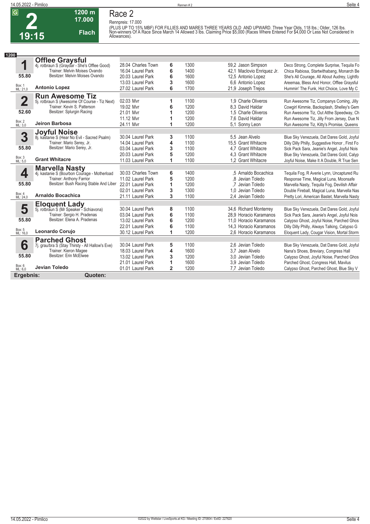

## **Race 2**

**Rennpreis: 17.000**



**1200 m**

(PLUS UP TO 15% MBF) FOR FILLIES AND MARES THREE YEARS OLD AND UPWARD. Three Year Olds, 118 lbs.; Older, 126 lbs.<br>Non-winners Of A Race Since March 14 Allowed 3 lbs. Claiming Price \$5,000 (Races Where Entered For \$4,000 O

| 1200                    |                                                                        |                    |                |      |                            |                                                |
|-------------------------|------------------------------------------------------------------------|--------------------|----------------|------|----------------------------|------------------------------------------------|
|                         | <b>Offlee Graysful</b><br>4j. rotbraun S (Graydar - She's Offlee Good) |                    |                |      |                            |                                                |
| 1                       |                                                                        | 28.04 Charles Town | 6              | 1300 | 59,2 Jason Simpson         | Deco Strong, Complete Surprise, Tequila Fo     |
|                         | Trainer: Melvin Moises Ovando                                          | 16.04 Laurel Park  | 6              | 1400 | 42.1 Maclovio Enriquez Jr. | Chica Rabiosa, Startwithabang, Monarch Be      |
| 55.80                   | Besitzer: Melvin Moises Ovando                                         | 20.03 Laurel Park  | 6              | 1600 | 12,5 Antonio Lopez         | She's All Courage, All About Audrey, Lightfo   |
|                         |                                                                        | 13.03 Laurel Park  | 3              | 1600 | 6.6 Antonio Lopez          | Areemaa, Bless And Honor, Offlee Graysful      |
| Box: 1<br>ML: 21,0      | <b>Antonio Lopez</b>                                                   | 27.02 Laurel Park  | 6              | 1700 | 21,9 Joseph Trejos         | Hummin' The Funk, Hot Choice, Love My C        |
|                         | <b>Run Awesome Tiz</b>                                                 |                    |                |      |                            |                                                |
| $\overline{\mathbf{2}}$ | 5j. rotbraun S (Awesome Of Course - Tiz Next)                          | 02.03 Mvr          | 1              | 1100 | 1.9 Charle Oliveros        | Run Awesome Tiz, Companys Coming, Jilly        |
|                         | Trainer: Kevin S. Patterson                                            | 19.02 Mvr          | 6              | 1200 | 8.3 David Haldar           | Cowgirl Kimmie, Backsplash, Shelley's Gem      |
| 52.60                   | Besitzer: Splurgin Racing                                              | 21.01 Mvr          | 1              | 1200 | 1.5 Charle Oliveros        | Run Awesome Tiz, Out Atthe Speedway, Ch        |
|                         |                                                                        | 11.12 Mvr          | 1              | 1200 | 7.6 David Haldar           | Run Awesome Tiz, Jilly From Jersey, Due N      |
| Box: 2<br>ML: 3,0       | <b>Jeiron Barbosa</b>                                                  | 24.11 Mvr          | 1              | 1200 | 5.1 Sonny Leon             | Run Awesome Tiz, Kitty's Promise, Queens       |
|                         | <b>Joyful Noise</b>                                                    |                    |                |      |                            |                                                |
| 3                       | 8j. kastanie S (Hear No Evil - Sacred Psalm)                           | 30.04 Laurel Park  | 3              | 1100 | 5.5 Jean Alvelo            | Blue Sky Venezuela, Dat Dares Gold, Joyful     |
|                         | Trainer: Mario Serey, Jr.                                              | 14.04 Laurel Park  | 4              | 1100 | 15.5 Grant Whitacre        | Dilly Dilly Philly, Suggestive Honor, First Fo |
| 55.80                   | Besitzer: Mario Serey, Jr.                                             | 03.04 Laurel Park  | 3              | 1100 | 4.7 Grant Whitacre         | Sick Pack Sara, Jeanie's Angel, Joyful Nois    |
|                         |                                                                        | 20.03 Laurel Park  | 5              | 1200 | 4.3 Grant Whitacre         | Blue Sky Venezuela, Dat Dares Gold, Calyp      |
| Box: 3<br>ML: 5,0       | <b>Grant Whitacre</b>                                                  | 11.03 Laurel Park  | 1              | 1100 | 1.2 Grant Whitacre         | Joyful Noise, Make It A Double, R True Sen     |
|                         | <b>Marvella Nasty</b>                                                  |                    |                |      |                            |                                                |
| 4                       | 4j. kastanie S (Bourbon Courage - Motherload                           | 30.03 Charles Town | 6              | 1400 | .5 Arnaldo Bocachica       | Tequila Fog, R Averie Lynn, Uncaptured Ru      |
|                         | Trainer: Anthony Farrior                                               | 11.02 Laurel Park  | 5              | 1200 | .8 Jevian Toledo           | Response Time, Magical Luna, Moonsafe          |
| 55.80                   | Besitzer: Bush Racing Stable And Liber                                 | 22.01 Laurel Park  | 1              | 1200 | .7 Jevian Toledo           | Marvella Nasty, Tequila Foq, Devilish Affair   |
|                         |                                                                        | 02.01 Laurel Park  | 3              | 1300 | 1.0 Jevian Toledo          | Double Fireball, Magical Luna, Marvella Nas    |
| Box: 4<br>ML: 24,0      | <b>Arnaldo Bocachica</b>                                               | 21.11 Laurel Park  | 3              | 1100 | 2.4 Jevian Toledo          | Pretty Lori, American Bastet, Marvella Nasty   |
|                         | <b>Eloquent Lady</b>                                                   |                    |                |      |                            |                                                |
| 5                       | 5j. rotbraun S (Mr Speaker - Schiavona)                                | 30.04 Laurel Park  | 8              | 1100 | 34,6 Richard Monterrey     | Blue Sky Venezuela, Dat Dares Gold, Joyful     |
|                         | Trainer: Sergio H. Pradenas                                            | 03.04 Laurel Park  | 6              | 1100 | 28.9 Horacio Karamanos     | Sick Pack Sara, Jeanie's Angel, Joyful Nois    |
| 55.80                   | Besitzer: Elena A. Pradenas                                            | 13.02 Laurel Park  | 6              | 1200 | 11.0 Horacio Karamanos     | Calypso Ghost, Joyful Noise, Parched Ghos      |
|                         |                                                                        | 22.01 Laurel Park  | 6              | 1100 | 14,3 Horacio Karamanos     | Dilly Dilly Philly, Always Talking, Calypso G  |
| Box: 5<br>ML: 16,0      | Leonardo Corujo                                                        | 30.12 Laurel Park  | 1              | 1200 | 2.6 Horacio Karamanos      | Eloquent Lady, Cougar Vision, Mortal Storm     |
|                         | <b>Parched Ghost</b>                                                   |                    |                |      |                            |                                                |
| 6                       | 7j. grau/bra S (Stay Thirsty - All Hallow's Eve)                       | 30.04 Laurel Park  | 5              | 1100 | 2.6 Jevian Toledo          | Blue Sky Venezuela, Dat Dares Gold, Joyful     |
|                         | Trainer: Kieron Magee                                                  | 18.03 Laurel Park  | 4              | 1600 | 3.7 Jean Alvelo            | Nana's Shoes, Breviary, Congress Hall          |
| 55.80                   | Besitzer: Erin McElwee                                                 | 13.02 Laurel Park  | 3              | 1200 | 3.0 Jevian Toledo          | Calypso Ghost, Joyful Noise, Parched Ghos      |
|                         |                                                                        | 21.01 Laurel Park  | 1              | 1600 | 3.9 Jevian Toledo          | Parched Ghost, Congress Hall, Mavilus          |
| Box: 6<br>ML: 6,0       | <b>Jevian Toledo</b>                                                   | 01.01 Laurel Park  | $\overline{2}$ | 1200 | 7,7 Jevian Toledo          | Calypso Ghost, Parched Ghost, Blue Sky V       |
| Ergebnis:               | Quoten:                                                                |                    |                |      |                            |                                                |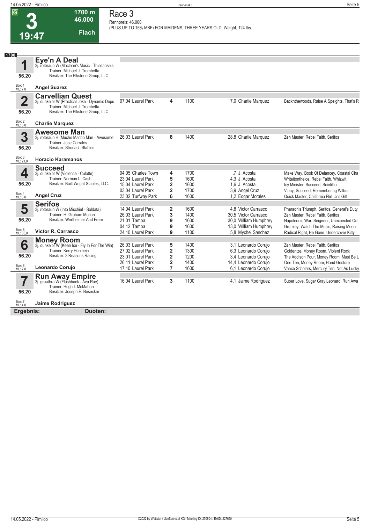**1700 m**

**Race 3**

| 1700<br>Eye'n A Deal<br>1<br>3j. rotbraun W (Maclean's Music - Thisdanseis<br>Trainer: Michael J. Trombetta<br>Besitzer: The Elkstone Group, LLC<br>56.20<br>Box: 1<br>ML: 7,0<br><b>Angel Suarez</b><br><b>Carvellian Quest</b><br>$\overline{\mathbf{2}}$<br>07.04 Laurel Park<br>1100<br>4<br>7,0 Charlie Marquez<br>3j. dunkelbr W (Practical Joke - Dynamic Depu<br>Trainer: Michael J. Trombetta<br>Besitzer: The Elkstone Group, LLC<br>56.20<br>Box: 2<br>ML: 5,0<br><b>Charlie Marquez</b><br><b>Awesome Man</b><br>3<br>26.03 Laurel Park<br>8<br>1400<br>28,8 Charlie Marquez<br>Zen Master, Rebel Faith, Serifos<br>3j. rotbraun H (Mucho Macho Man - Awesome<br><b>Trainer: Jose Corrales</b><br>Besitzer: Stronach Stables<br>56.20<br>Box: 3<br>ML: 21,0<br><b>Horacio Karamanos</b><br><b>Succeed</b><br>4<br>04.05 Charles Town<br>1700<br>.7 J. Acosta<br>4<br>Make Way, Book Of Delancey, Coastal Cha<br>3j. dunkelbr W (Violence - Culotte)<br>5<br>Trainer: Norman L. Cash<br>23.04 Laurel Park<br>1600<br>4.3 J. Acosta<br>Writeitontheice, Rebel Faith, Whizwit<br>Besitzer: Built Wright Stables, LLC.<br>56.20<br>2<br>1,6 J. Acosta<br>15.04 Laurel Park<br>1600<br>Icy Minister, Succeed, Scintillio<br>$\overline{\mathbf{2}}$<br>03.04 Laurel Park<br>1700<br>3,9 Angel Cruz<br>Vinny, Succeed, Remembering Wilbur<br>Box: 4<br>ML: 6,0<br><b>Angel Cruz</b><br>6<br>23.02 Turfway Park<br>1600<br>1,2 Edgar Morales<br>Quick Master, California Flirt, Jr's Gift<br><b>Serifos</b><br>5<br>$\overline{2}$<br>14.04 Laurel Park<br>1600<br>4.8 Victor Carrasco<br>Pharaoh's Triumph, Serifos, General's Duty<br>3j. rotbraun W (Into Mischief - Soldata)<br>Trainer: H. Graham Motion<br>26.03 Laurel Park<br>3<br>1400<br>30,5 Victor Carrasco<br>Zen Master, Rebel Faith, Serifos<br>Besitzer: Wertheimer And Frere<br>56.20<br>21.01 Tampa<br>9<br>1600<br>30,0 William Humphrey<br>Napoleonic War, Seigneur, Unexpected Out<br>9<br>04.12 Tampa<br>1600<br>13,0 William Humphrey<br>Grumley, Watch The Music, Raising Moon<br>Box: 5<br>ML: 35,0<br><b>Victor R. Carrasco</b><br>24.10 Laurel Park<br>9<br>5.8 Mychel Sanchez<br>1100<br>Money Room<br>3j. dunkelbr W (Keen Ice - Fly In For The Win)<br>6<br>5<br>26.03 Laurel Park<br>1400<br>3,1 Leonardo Corujo<br>Zen Master, Rebel Faith, Serifos<br>Trainer: Kerry Hohlbein<br>$\overline{\mathbf{2}}$<br>6,3 Leonardo Corujo<br>27.02 Laurel Park<br>1300<br>Goldenize, Money Room, Violent Rock<br>Besitzer: 3 Reasons Racing<br>56.20<br>$\overline{2}$<br>1200<br>3,4 Leonardo Corujo<br>23.01 Laurel Park<br>The Addison Pour, Money Room, Must Be L<br>2<br>14,4 Leonardo Corujo<br>26.11 Laurel Park<br>1400<br>One Ten, Money Room, Hand Gesture<br>Box: 6<br>Leonardo Corujo<br>17.10 Laurel Park<br>7<br>1600<br>6,1 Leonardo Corujo<br>ML: 7.0<br><b>Run Away Empire</b><br>3j. grau/bra W (Flashback - Ava Rae)<br>16.04 Laurel Park<br>3<br>1100<br>4,1 Jaime Rodriguez<br>Trainer: Hugh I. McMahon<br>56.20<br>Besitzer: Joseph E. Besecker |  |  |  |                                           |
|---------------------------------------------------------------------------------------------------------------------------------------------------------------------------------------------------------------------------------------------------------------------------------------------------------------------------------------------------------------------------------------------------------------------------------------------------------------------------------------------------------------------------------------------------------------------------------------------------------------------------------------------------------------------------------------------------------------------------------------------------------------------------------------------------------------------------------------------------------------------------------------------------------------------------------------------------------------------------------------------------------------------------------------------------------------------------------------------------------------------------------------------------------------------------------------------------------------------------------------------------------------------------------------------------------------------------------------------------------------------------------------------------------------------------------------------------------------------------------------------------------------------------------------------------------------------------------------------------------------------------------------------------------------------------------------------------------------------------------------------------------------------------------------------------------------------------------------------------------------------------------------------------------------------------------------------------------------------------------------------------------------------------------------------------------------------------------------------------------------------------------------------------------------------------------------------------------------------------------------------------------------------------------------------------------------------------------------------------------------------------------------------------------------------------------------------------------------------------------------------------------------------------------------------------------------------------------------------------------------------------------------------------------------------------------------------------------------------------------------------------------------------------------------------------------------------------------------------------------------------------------------------------------------------------------------------------------------------------------------------------------------------------------------------------|--|--|--|-------------------------------------------|
|                                                                                                                                                                                                                                                                                                                                                                                                                                                                                                                                                                                                                                                                                                                                                                                                                                                                                                                                                                                                                                                                                                                                                                                                                                                                                                                                                                                                                                                                                                                                                                                                                                                                                                                                                                                                                                                                                                                                                                                                                                                                                                                                                                                                                                                                                                                                                                                                                                                                                                                                                                                                                                                                                                                                                                                                                                                                                                                                                                                                                                                   |  |  |  |                                           |
|                                                                                                                                                                                                                                                                                                                                                                                                                                                                                                                                                                                                                                                                                                                                                                                                                                                                                                                                                                                                                                                                                                                                                                                                                                                                                                                                                                                                                                                                                                                                                                                                                                                                                                                                                                                                                                                                                                                                                                                                                                                                                                                                                                                                                                                                                                                                                                                                                                                                                                                                                                                                                                                                                                                                                                                                                                                                                                                                                                                                                                                   |  |  |  |                                           |
|                                                                                                                                                                                                                                                                                                                                                                                                                                                                                                                                                                                                                                                                                                                                                                                                                                                                                                                                                                                                                                                                                                                                                                                                                                                                                                                                                                                                                                                                                                                                                                                                                                                                                                                                                                                                                                                                                                                                                                                                                                                                                                                                                                                                                                                                                                                                                                                                                                                                                                                                                                                                                                                                                                                                                                                                                                                                                                                                                                                                                                                   |  |  |  |                                           |
|                                                                                                                                                                                                                                                                                                                                                                                                                                                                                                                                                                                                                                                                                                                                                                                                                                                                                                                                                                                                                                                                                                                                                                                                                                                                                                                                                                                                                                                                                                                                                                                                                                                                                                                                                                                                                                                                                                                                                                                                                                                                                                                                                                                                                                                                                                                                                                                                                                                                                                                                                                                                                                                                                                                                                                                                                                                                                                                                                                                                                                                   |  |  |  |                                           |
|                                                                                                                                                                                                                                                                                                                                                                                                                                                                                                                                                                                                                                                                                                                                                                                                                                                                                                                                                                                                                                                                                                                                                                                                                                                                                                                                                                                                                                                                                                                                                                                                                                                                                                                                                                                                                                                                                                                                                                                                                                                                                                                                                                                                                                                                                                                                                                                                                                                                                                                                                                                                                                                                                                                                                                                                                                                                                                                                                                                                                                                   |  |  |  | Backnthewoods, Raise A Speights, That's R |
|                                                                                                                                                                                                                                                                                                                                                                                                                                                                                                                                                                                                                                                                                                                                                                                                                                                                                                                                                                                                                                                                                                                                                                                                                                                                                                                                                                                                                                                                                                                                                                                                                                                                                                                                                                                                                                                                                                                                                                                                                                                                                                                                                                                                                                                                                                                                                                                                                                                                                                                                                                                                                                                                                                                                                                                                                                                                                                                                                                                                                                                   |  |  |  |                                           |
|                                                                                                                                                                                                                                                                                                                                                                                                                                                                                                                                                                                                                                                                                                                                                                                                                                                                                                                                                                                                                                                                                                                                                                                                                                                                                                                                                                                                                                                                                                                                                                                                                                                                                                                                                                                                                                                                                                                                                                                                                                                                                                                                                                                                                                                                                                                                                                                                                                                                                                                                                                                                                                                                                                                                                                                                                                                                                                                                                                                                                                                   |  |  |  |                                           |
|                                                                                                                                                                                                                                                                                                                                                                                                                                                                                                                                                                                                                                                                                                                                                                                                                                                                                                                                                                                                                                                                                                                                                                                                                                                                                                                                                                                                                                                                                                                                                                                                                                                                                                                                                                                                                                                                                                                                                                                                                                                                                                                                                                                                                                                                                                                                                                                                                                                                                                                                                                                                                                                                                                                                                                                                                                                                                                                                                                                                                                                   |  |  |  |                                           |
|                                                                                                                                                                                                                                                                                                                                                                                                                                                                                                                                                                                                                                                                                                                                                                                                                                                                                                                                                                                                                                                                                                                                                                                                                                                                                                                                                                                                                                                                                                                                                                                                                                                                                                                                                                                                                                                                                                                                                                                                                                                                                                                                                                                                                                                                                                                                                                                                                                                                                                                                                                                                                                                                                                                                                                                                                                                                                                                                                                                                                                                   |  |  |  |                                           |
|                                                                                                                                                                                                                                                                                                                                                                                                                                                                                                                                                                                                                                                                                                                                                                                                                                                                                                                                                                                                                                                                                                                                                                                                                                                                                                                                                                                                                                                                                                                                                                                                                                                                                                                                                                                                                                                                                                                                                                                                                                                                                                                                                                                                                                                                                                                                                                                                                                                                                                                                                                                                                                                                                                                                                                                                                                                                                                                                                                                                                                                   |  |  |  |                                           |
|                                                                                                                                                                                                                                                                                                                                                                                                                                                                                                                                                                                                                                                                                                                                                                                                                                                                                                                                                                                                                                                                                                                                                                                                                                                                                                                                                                                                                                                                                                                                                                                                                                                                                                                                                                                                                                                                                                                                                                                                                                                                                                                                                                                                                                                                                                                                                                                                                                                                                                                                                                                                                                                                                                                                                                                                                                                                                                                                                                                                                                                   |  |  |  |                                           |
|                                                                                                                                                                                                                                                                                                                                                                                                                                                                                                                                                                                                                                                                                                                                                                                                                                                                                                                                                                                                                                                                                                                                                                                                                                                                                                                                                                                                                                                                                                                                                                                                                                                                                                                                                                                                                                                                                                                                                                                                                                                                                                                                                                                                                                                                                                                                                                                                                                                                                                                                                                                                                                                                                                                                                                                                                                                                                                                                                                                                                                                   |  |  |  |                                           |
|                                                                                                                                                                                                                                                                                                                                                                                                                                                                                                                                                                                                                                                                                                                                                                                                                                                                                                                                                                                                                                                                                                                                                                                                                                                                                                                                                                                                                                                                                                                                                                                                                                                                                                                                                                                                                                                                                                                                                                                                                                                                                                                                                                                                                                                                                                                                                                                                                                                                                                                                                                                                                                                                                                                                                                                                                                                                                                                                                                                                                                                   |  |  |  |                                           |
|                                                                                                                                                                                                                                                                                                                                                                                                                                                                                                                                                                                                                                                                                                                                                                                                                                                                                                                                                                                                                                                                                                                                                                                                                                                                                                                                                                                                                                                                                                                                                                                                                                                                                                                                                                                                                                                                                                                                                                                                                                                                                                                                                                                                                                                                                                                                                                                                                                                                                                                                                                                                                                                                                                                                                                                                                                                                                                                                                                                                                                                   |  |  |  |                                           |
|                                                                                                                                                                                                                                                                                                                                                                                                                                                                                                                                                                                                                                                                                                                                                                                                                                                                                                                                                                                                                                                                                                                                                                                                                                                                                                                                                                                                                                                                                                                                                                                                                                                                                                                                                                                                                                                                                                                                                                                                                                                                                                                                                                                                                                                                                                                                                                                                                                                                                                                                                                                                                                                                                                                                                                                                                                                                                                                                                                                                                                                   |  |  |  |                                           |
|                                                                                                                                                                                                                                                                                                                                                                                                                                                                                                                                                                                                                                                                                                                                                                                                                                                                                                                                                                                                                                                                                                                                                                                                                                                                                                                                                                                                                                                                                                                                                                                                                                                                                                                                                                                                                                                                                                                                                                                                                                                                                                                                                                                                                                                                                                                                                                                                                                                                                                                                                                                                                                                                                                                                                                                                                                                                                                                                                                                                                                                   |  |  |  |                                           |
|                                                                                                                                                                                                                                                                                                                                                                                                                                                                                                                                                                                                                                                                                                                                                                                                                                                                                                                                                                                                                                                                                                                                                                                                                                                                                                                                                                                                                                                                                                                                                                                                                                                                                                                                                                                                                                                                                                                                                                                                                                                                                                                                                                                                                                                                                                                                                                                                                                                                                                                                                                                                                                                                                                                                                                                                                                                                                                                                                                                                                                                   |  |  |  |                                           |
|                                                                                                                                                                                                                                                                                                                                                                                                                                                                                                                                                                                                                                                                                                                                                                                                                                                                                                                                                                                                                                                                                                                                                                                                                                                                                                                                                                                                                                                                                                                                                                                                                                                                                                                                                                                                                                                                                                                                                                                                                                                                                                                                                                                                                                                                                                                                                                                                                                                                                                                                                                                                                                                                                                                                                                                                                                                                                                                                                                                                                                                   |  |  |  |                                           |
|                                                                                                                                                                                                                                                                                                                                                                                                                                                                                                                                                                                                                                                                                                                                                                                                                                                                                                                                                                                                                                                                                                                                                                                                                                                                                                                                                                                                                                                                                                                                                                                                                                                                                                                                                                                                                                                                                                                                                                                                                                                                                                                                                                                                                                                                                                                                                                                                                                                                                                                                                                                                                                                                                                                                                                                                                                                                                                                                                                                                                                                   |  |  |  | Radical Right, He Gone, Undercover Kitty  |
|                                                                                                                                                                                                                                                                                                                                                                                                                                                                                                                                                                                                                                                                                                                                                                                                                                                                                                                                                                                                                                                                                                                                                                                                                                                                                                                                                                                                                                                                                                                                                                                                                                                                                                                                                                                                                                                                                                                                                                                                                                                                                                                                                                                                                                                                                                                                                                                                                                                                                                                                                                                                                                                                                                                                                                                                                                                                                                                                                                                                                                                   |  |  |  |                                           |
|                                                                                                                                                                                                                                                                                                                                                                                                                                                                                                                                                                                                                                                                                                                                                                                                                                                                                                                                                                                                                                                                                                                                                                                                                                                                                                                                                                                                                                                                                                                                                                                                                                                                                                                                                                                                                                                                                                                                                                                                                                                                                                                                                                                                                                                                                                                                                                                                                                                                                                                                                                                                                                                                                                                                                                                                                                                                                                                                                                                                                                                   |  |  |  |                                           |
|                                                                                                                                                                                                                                                                                                                                                                                                                                                                                                                                                                                                                                                                                                                                                                                                                                                                                                                                                                                                                                                                                                                                                                                                                                                                                                                                                                                                                                                                                                                                                                                                                                                                                                                                                                                                                                                                                                                                                                                                                                                                                                                                                                                                                                                                                                                                                                                                                                                                                                                                                                                                                                                                                                                                                                                                                                                                                                                                                                                                                                                   |  |  |  |                                           |
|                                                                                                                                                                                                                                                                                                                                                                                                                                                                                                                                                                                                                                                                                                                                                                                                                                                                                                                                                                                                                                                                                                                                                                                                                                                                                                                                                                                                                                                                                                                                                                                                                                                                                                                                                                                                                                                                                                                                                                                                                                                                                                                                                                                                                                                                                                                                                                                                                                                                                                                                                                                                                                                                                                                                                                                                                                                                                                                                                                                                                                                   |  |  |  |                                           |
|                                                                                                                                                                                                                                                                                                                                                                                                                                                                                                                                                                                                                                                                                                                                                                                                                                                                                                                                                                                                                                                                                                                                                                                                                                                                                                                                                                                                                                                                                                                                                                                                                                                                                                                                                                                                                                                                                                                                                                                                                                                                                                                                                                                                                                                                                                                                                                                                                                                                                                                                                                                                                                                                                                                                                                                                                                                                                                                                                                                                                                                   |  |  |  | Vance Scholars, Mercury Ten, Not As Lucky |
|                                                                                                                                                                                                                                                                                                                                                                                                                                                                                                                                                                                                                                                                                                                                                                                                                                                                                                                                                                                                                                                                                                                                                                                                                                                                                                                                                                                                                                                                                                                                                                                                                                                                                                                                                                                                                                                                                                                                                                                                                                                                                                                                                                                                                                                                                                                                                                                                                                                                                                                                                                                                                                                                                                                                                                                                                                                                                                                                                                                                                                                   |  |  |  | Super Love, Sugar Gray Leonard, Run Awa   |
|                                                                                                                                                                                                                                                                                                                                                                                                                                                                                                                                                                                                                                                                                                                                                                                                                                                                                                                                                                                                                                                                                                                                                                                                                                                                                                                                                                                                                                                                                                                                                                                                                                                                                                                                                                                                                                                                                                                                                                                                                                                                                                                                                                                                                                                                                                                                                                                                                                                                                                                                                                                                                                                                                                                                                                                                                                                                                                                                                                                                                                                   |  |  |  |                                           |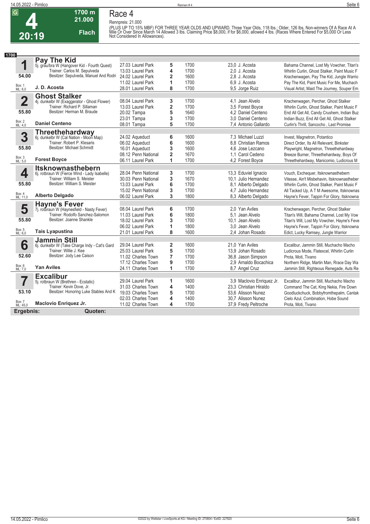**Race 4 Rennpreis: 21.000**

**1700 m 21.000** 

**Flach**



**4 20:19**

(PLUS UP TO 15% MBF) FOR THREE YEAR OLDS AND UPWARD. Three Year Olds, 118 lbs.: Older, 126 lbs. Non-winners Of A Race At A<br>Mile Or Over Since March 14 Allowed 3 lbs. Claiming Price \$8,000, if for \$6,000, allowed 4 lbs. (Ra

| 1700                    |                                                                             |                     |                         |      |                           |                                              |
|-------------------------|-----------------------------------------------------------------------------|---------------------|-------------------------|------|---------------------------|----------------------------------------------|
|                         | Pay The Kid                                                                 |                     |                         |      |                           |                                              |
| 1                       | 5j. grau/bra W (Hangover Kid - Fourth Quest)                                | 27.03 Laurel Park   | 5                       | 1700 | 23.0 J. Acosta            | Bahama Channel, Lost My Vowcher, Titan's     |
|                         | Trainer: Carlos M. Sepulveda                                                | 13.03 Laurel Park   | 4                       | 1700 | 2.0 J. Acosta             | Whirlin Curlin, Ghost Stalker, Paint Music F |
| 54.00                   | Besitzer: Sepulveda, Manuel And Rodri                                       | 24.02 Laurel Park   | $\overline{2}$          | 1600 | 2.8 J. Acosta             | Krachenwagen, Pay The Kid, Jungle Warrio     |
|                         |                                                                             | 11.02 Laurel Park   | 1                       | 1700 | 6,9 J. Acosta             | Pay The Kid, Paint Music For Me, Muchach     |
| Box: 1<br>ML: 6,0       | J. D. Acosta                                                                | 28.01 Laurel Park   | 8                       | 1700 | 9,5 Jorge Ruiz            | Visual Artist, Maid The Journey, Souper Em   |
|                         | <b>Ghost Stalker</b>                                                        |                     |                         |      |                           |                                              |
| $\overline{\mathbf{2}}$ | 4j. dunkelbr W (Exaggerator - Ghost Flower)<br>Trainer: Richard P. Sillaman | 08.04 Laurel Park   | 3                       | 1700 | 4.1 Jean Alvelo           | Krachenwagen, Percher, Ghost Stalker         |
|                         |                                                                             | 13.03 Laurel Park   | $\overline{\mathbf{2}}$ | 1700 | 3.5 Forest Boyce          | Whirlin Curlin, Ghost Stalker, Paint Music F |
| 55.80                   | Besitzer: Herman M. Braude                                                  | 20.02 Tampa         | 5                       | 1640 | 4,2 Daniel Centeno        | End All Get All, Candy Crushem, Indian Buz   |
|                         |                                                                             | 23.01 Tampa         | 3                       | 1700 | 3.0 Daniel Centeno        | Indian Buzz, End All Get All, Ghost Stalker  |
| Box: 2<br>ML: 4,0       | <b>Daniel Centeno</b>                                                       | 08.01 Tampa         | 5                       | 1700 | 7.4 Antonio Gallardo      | Curlin's Thrill, Sancocho, Last Promise      |
|                         | Threethehardway<br>6j. dunkelbr W (Cal Nation - Moon Map)                   |                     |                         |      |                           |                                              |
| 3                       |                                                                             | 24.02 Aqueduct      | 6                       | 1600 | 7.3 Michael Luzzi         | Invest, Magnetron, Potantico                 |
|                         | Trainer: Robert P. Klesaris                                                 | 06.02 Aqueduct      | 6                       | 1600 | 8.8 Christian Ramos       | Direct Order, Its All Relevant, Binkster     |
| 55.80                   | Besitzer: Michael Schmidt                                                   | 16.01 Aqueduct      | 3                       | 1600 | 4.6 Jose Lezcano          | Playwright, Magnetron, Threethehardway       |
|                         |                                                                             | 08.12 Penn National | $\overline{2}$          | 1670 | 1.1 Carol Cedeno          | Breeze Burner, Threethehardway, Boys Of      |
| Box: 3<br>ML: 5,0       | <b>Forest Boyce</b>                                                         | 06.11 Laurel Park   | 1                       | 1700 | 4,2 Forest Boyce          | Threethehardway, Manicomio, Ludicrous M      |
|                         | <b>Itsknownasthebern</b>                                                    |                     |                         |      |                           |                                              |
| 4                       | 6j. rotbraun W (Fierce Wind - Lady Isabelle)                                | 28.04 Penn National | 3                       | 1700 | 13,3 Eduviel Ignacio      | Vouch, Exchequer, Itsknownasthebern          |
|                         | Trainer: William S. Meister                                                 | 30.03 Penn National | 3                       | 1670 | 10.1 Julio Hernandez      | Vitesse, Ain't Misbehavin, Itsknownastheber  |
| 55.80                   | Besitzer: William S. Meister                                                | 13.03 Laurel Park   | 6                       | 1700 | 8.1 Alberto Delgado       | Whirlin Curlin, Ghost Stalker, Paint Music F |
| Box: 4                  |                                                                             | 15.02 Penn National | 3                       | 1700 | 4,7 Julio Hernandez       | All Tacked Up, A T M Awesome, Itsknownas     |
| ML: 11,0                | <b>Alberto Delgado</b>                                                      | 06.02 Laurel Park   | 3                       | 1800 | 8.3 Alberto Delgado       | Hayne's Fever, Tappin For Glory, Itsknowna   |
|                         | <b>Hayne's Fever</b>                                                        |                     |                         |      |                           |                                              |
| 5                       | 7j. rotbraun W (Haynesfield - Nasty Fever)                                  | 08.04 Laurel Park   | 6                       | 1700 | 2.0 Yan Aviles            | Krachenwagen, Percher, Ghost Stalker         |
|                         | Trainer: Rodolfo Sanchez-Salomon                                            | 11.03 Laurel Park   | 6                       | 1800 | 5.1 Jean Alvelo           | Titan's Will, Bahama Channel, Lost My Vow    |
| 55.80                   | Besitzer: Joanne Shankle                                                    | 18.02 Laurel Park   | 3                       | 1700 | 10.1 Jean Alvelo          | Titan's Will, Lost My Vowcher, Hayne's Feve  |
|                         |                                                                             | 06.02 Laurel Park   | 1                       | 1800 | 3.0 Jean Alvelo           | Hayne's Fever, Tappin For Glory, Itsknowna   |
| Box: 5<br>ML: 6,0       | <b>Tais Lyapustina</b>                                                      | 21.01 Laurel Park   | 8                       | 1600 | 2.4 Johan Rosado          | Edict, Lucky Ramsey, Jungle Warrior          |
|                         | <b>Jammin Still</b>                                                         |                     |                         |      |                           |                                              |
| 6                       | 6j. dunkelbr W (Take Charge Indy - Cat's Gard                               | 29.04 Laurel Park   | $\overline{2}$          | 1600 | 21.0 Yan Aviles           | Excalibur, Jammin Still, Muchacho Macho      |
|                         | Trainer: Willie J. Kee                                                      | 25.03 Laurel Park   | 5                       | 1700 | 13,9 Johan Rosado         | Ludicrous Mode, Flatexcel, Whirlin Curlin    |
| 52.60                   | Besitzer: Jody Lee Caison                                                   | 11.02 Charles Town  | $\overline{7}$          | 1700 | 36.8 Jason Simpson        | Prota, Moti, Tivano                          |
|                         |                                                                             | 17.12 Charles Town  | 9                       | 1700 | 2.9 Arnaldo Bocachica     | Northern Ridge, Martin Man, Rrace Day Wa     |
| Box: 6<br>ML: 7,0       | <b>Yan Aviles</b>                                                           | 24.11 Charles Town  | 1                       | 1700 | 8.7 Angel Cruz            | Jammin Still, Righteous Renegade, Auts Re    |
|                         | <b>Excalibur</b>                                                            |                     |                         |      |                           |                                              |
|                         | 5j. rotbraun W (Brethren - Ecstatic)                                        | 29.04 Laurel Park   | 1                       | 1600 | 3,9 Maclovio Enriquez Jr. | Excalibur, Jammin Still, Muchacho Macho      |
|                         | Trainer: Kevin Dove, Jr.                                                    | 31.03 Charles Town  | 4                       | 1400 | 23.3 Christian Hiraldo    | Command The Cat, King Nekia, Fire Down       |
| 53.10                   | Besitzer: Honoring Luke Stables And K                                       | 19.03 Charles Town  | 5                       | 1700 | 53.6 Alisson Nunez        | Goodluckchuck, Bobbyfromthepalm, Cantak      |
|                         |                                                                             | 02.03 Charles Town  | 4                       | 1400 | 30.7 Alisson Nunez        | Cielo Azul, Combination, Hobe Sound          |
| Box: 7<br>ML: 45,0      | Maclovio Enriquez Jr.                                                       | 11.02 Charles Town  | 4                       | 1700 | 37,9 Fredy Peltroche      | Prota, Moti, Tivano                          |
| Ergebnis:               | Quoten:                                                                     |                     |                         |      |                           |                                              |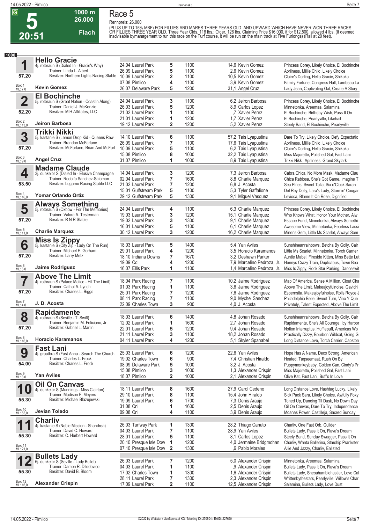**Race 5 Rennpreis: 26.000**

**1000 m 26.000** 

**Flach**

(PLUS UP TO 15% MBF) FOR FILLIES AND MARES THREE YEARS OLD. AND UPWARD WHICH HAVE NEVER WON THREE RACES<br>OR FILLIES THREE YEAR OLD. Three Year Olds, 118 lbs.; Older, 126 lbs. Claiming Price \$16,000, if for \$12,500, allowed

| <b>Hello Gracie</b><br>1<br>1100<br>24.04 Laurel Park<br>5<br>14,6 Kevin Gomez<br>4j. rotbraun S (Dialed In - Gracie's Way)<br>5<br>Trainer: Linda L. Albert<br>26.09 Laurel Park<br>1100<br>2.6 Kevin Gomez<br>Aprilness, Millie Child, Likely Choice<br>Besitzer: Northern Lights Racing Stable<br>57.20<br>2<br>10.09 Laurel Park<br>1100<br>10,5 Kevin Gomez<br>Claire's Darling, Hello Gracie, Shikaka<br>07.08 Pimlico<br>4<br>1100<br>3.9 Kevin Gomez<br>Box: 1<br>ML: 7,0<br><b>Kevin Gomez</b><br>5<br>1200<br>26.07 Delaware Park<br>31,1 Angel Cruz<br><b>El Bochinche</b><br>$\overline{\mathbf{2}}$<br>1100<br>24.04 Laurel Park<br>3<br>6,2 Jeiron Barbosa<br>Princess Corey, Likely Choice, El Bochinche<br>5j. rotbraun S (Great Notion - Coastin Along)<br>Trainer: Daniel J. McKenzie<br>26.03 Laurel Park<br>5<br>1200<br>8,9 Carlos Lopez<br>Minnetonka, Areemaa, Salamina<br>Besitzer: MIH Affiliates, LLC<br>52.20<br>1100<br>21.02 Laurel Park<br>1<br>.7 Xavier Perez<br>El Bochinche, Birthday Wish, Pass It On<br>1200<br>21.01 Laurel Park<br>1<br>1.7 Xavier Perez<br>El Bochinche, Pearlyville, Likehail<br>Box: 2<br>ML: 13,0<br>Jeiron Barbosa<br>$\mathbf{2}$<br>1200<br>19.12 Laurel Park<br>5.2 Xavier Perez<br>Steely Band, El Bochinche, Pearlyville<br><b>Trikki Nikki</b><br>3<br>14.10 Laurel Park<br>6<br>1100<br>5j. kastanie S (Lemon Drop Kid - Queens Rew<br>57,2 Tais Lyapustina<br>Dare To Try, Likely Choice, Defy Expectatio<br>$\overline{\mathbf{r}}$<br>Trainer: Brandon McFarlane<br>26.09 Laurel Park<br>1100<br>17,6 Tais Lyapustina<br>Aprilness, Millie Child, Likely Choice<br>Besitzer: McFarlane, Brian And McFarl<br>57.20<br>5<br>10.09 Laurel Park<br>1100<br>6,2 Tais Lyapustina<br>Claire's Darling, Hello Gracie, Shikaka<br>8<br>15.08 Pimlico<br>1000<br>32,2 Tais Lyapustina<br>Miss Majorette, Polished Gal, Fast Lani<br>Box: 3<br>ML: 9,0<br><b>Angel Cruz</b><br>1<br>1000<br>31.07 Pimlico<br>8,9 Tais Lyapustina<br>Trikki Nikki, Aprilness, Grand Skylark<br><b>Madame Claude</b><br>4<br>14.04 Laurel Park<br>3<br>1200<br>7.3 Jeiron Barbosa<br>Cabra Chica, No More Mask, Madame Clau<br>3j. dunkelbr S (Dialed In - Elusive Champagne<br>$\overline{\mathbf{r}}$<br>Trainer: Rodolfo Sanchez-Salomon<br>1600<br>02.04 Laurel Park<br>8,8 Charlie Marquez<br>53.50<br>Besitzer: Lugamo Racing Stable LLC<br>$\overline{7}$<br>1200<br>21.02 Laurel Park<br>6.8 J. Acosta<br>Sea Pines, Sweet Talia, Six o'Clock Sarah<br>5<br>15.01 Gulfstream Park<br>1100<br>5,3 Tyler Gaffalione<br>Del Rey Dolly, Lara's Lady, Stormin' Cougar<br>Box: 4<br>ML: 16,0<br>Yomar Orlando Ortiz<br>5<br>1300<br>29.12 Gulfstream Park<br>9,1 Miguel Vasquez<br>Leviosa, Blame It On Rose, Dignified<br><b>Always Something</b><br>5j. rotbraun S (Oxbow - For The Memories)<br>5<br>24.04 Laurel Park<br>1100<br>6,3 Charlie Marquez<br>4<br>Princess Corey, Likely Choice, El Bochinche<br>Trainer: Valora A. Testerman<br>3<br>1200<br>19.03 Laurel Park<br>15,1 Charlie Marquez<br>Besitzer: R N R Stable<br>57.20<br>3<br>1300<br>9,1 Charlie Marquez<br>19.02 Laurel Park<br>Escape Fund, Minnetonka, Always Somethi<br>5<br>1100<br>16.01 Laurel Park<br>6.1 Charlie Marquez<br>Box: 5<br>ML: 11,0<br><b>Charlie Marquez</b><br>3<br>1200<br>30.12 Laurel Park<br>16,2 Charlie Marquez<br><b>Miss Is Zippy</b><br>5j. kastanie S (City Zip - Lady On The Run)<br>6<br>5<br>1400<br>18.03 Laurel Park<br>5.4 Yan Aviles<br>Sunshineanrainbows, Betcha By Golly, Cair<br>Trainer: Michael E. Gorham<br>4<br>1200<br>29.01 Laurel Park<br>3.5 Horacio Karamanos<br>Little Ms Scarlet, Minnetonka, Torch Carrier<br>Besitzer: Larry Metz<br>57.20<br>7<br>1670<br>18.10 Indiana Downs<br>3.2 Deshawn Parker<br>Auntie Mabel, Fireside Kitten, Miss Bette Lut<br>19.09 Cd<br>4<br>1200<br>7.9 Marcelino Pedroza, Jr.<br>Hennys Crazy Train, Duplicitous, Town Bea<br>Box: 6<br>ML: 5,0<br>Jaime Rodriguez<br>16.07 Ellis Park<br>1<br>1100<br>1.4 Marcelino Pedroza, Jr.<br>Miss Is Zippy, Rock Star Parking, Danceswit<br><b>Above The Limit</b><br>7<br>7<br>10,2 Jaime Rodriguez<br>18.04 Parx Racing<br>1100<br>Map Of America, Sense A Million, Clout Cha<br>4j. rotbraun S (Palace Malice - Hit The Limit)<br>1100<br>Trainer: Cathal A. Lynch<br>01.03 Parx Racing<br>1<br>3,6 Jaime Rodriguez<br>Above The Limit, Makeajoyfulnoise, Gavichi<br>Besitzer: Charles L. Biggs<br>57.20<br>7<br>1200<br>25.01 Parx Racing<br>7,6 Jaime Rodriguez<br>Espernsita, Makeajoyfulnoise, Rolls Royce J<br>$\overline{\mathbf{r}}$<br>1100<br>08.11 Parx Racing<br>9,0 Mychel Sanchez<br>Philadelphia Belle, Sweet Turn, Vino Y Que<br>Box: 7<br>J. D. Acosta<br>3<br>900<br>22.09 Charles Town<br>4,0 J. Acosta<br>Privately, Talent Expected, Above The Limit<br>ML: 4,0<br><b>Rapidamente</b><br>8<br>18.03 Laurel Park<br>6<br>1400<br>4,8 Johan Rosado<br>4j. rotbraun S (Seville - T. Swift)<br>Trainer: Benjamin M. Feliciano, Jr.<br>1<br>1600<br>12.02 Laurel Park<br>2,7 Johan Rosado<br>Rapidamente, She's All Courage, Icy Harbor<br>Besitzer: Gabriel L. Martin<br>57.20<br>1200<br>22.01 Laurel Park<br>5<br>9,4 Johan Rosado<br>21.11 Laurel Park<br>3<br>1100<br>18,2 Johan Rosado<br>Practically Dizzy, Bourbon Wildcat, Going G<br>Box: 8<br>ML: 16,0<br><b>Horacio Karamanos</b><br>1200<br>04.11 Laurel Park<br>4<br>5.1 Skyler Spanabel<br>Long Distance Love, Torch Carrier, Capston<br><b>Fast Lani</b><br>9<br>1200<br>25.03 Laurel Park<br>6<br>22,6 Yan Aviles<br>Hope Has A Name, Deco Strong, American<br>4j. grau/bra S (Fast Anna - Search The Church<br>Trainer: Charles L. Frock<br>6<br>900<br>19.02 Charles Town<br>7,4 Christian Hiraldo<br>Heated, Tagseemaat, Rush On By<br>Besitzer: Charles L. Frock<br>54.00<br>5<br>1000<br>08.09 Delaware Park<br>3.2 J. Acosta<br>3<br>15.08 Pimlico<br>1000<br>1,3 Alexander Crispin<br>Miss Majorette, Polished Gal, Fast Lani<br>Box: 9<br>ML: 3,0<br><b>Yan Aviles</b><br>$\mathbf{2}$<br>18.07 Pimlico<br>1000<br>2.1 Alexander Crispin<br>Olive Kat, Fast Lani, Buff's In Love<br><b>Oil On Canvas</b><br>1<br>18.11 Laurel Park<br>8<br>27,9 Carol Cedeno<br>1600<br>Long Distance Love, Hashtag Lucky, Likely<br>4j. dunkelbr S (Munnings - Miss Clairton)<br>Trainer: Madison F. Meyers<br>8<br>1100<br>29.10 Laurel Park<br>15,4 John Hiraldo<br>Sick Pack Sara, Likely Choice, Awfully Foxy<br>Besitzer: Michael Blazejewski<br>55.30<br>6<br>19.09 Laurel Park<br>1700<br>7,3 Denis Araujo<br>Toned Up, Dancing Til Dusk, No Down Day<br>1600<br>31.08 Cnl<br>1<br>2,5 Denis Araujo<br>Oil On Canvas, Dare To Try, Independence<br>Box: 10<br>ML: 55,0<br>Jevian Toledo<br>09.08 Cnl<br>4<br>1100<br>3,9 Denis Araujo<br>Moanas Power, Castilleja, Sacred Sunday<br><b>Charliv</b><br>1<br>1300<br>26.03 Turfway Park<br>1<br>4j. kastanie S (Noble Mission - Shandrea)<br>28,2 Thiago Canuto<br>Charliv, One Fast Orb, Guilder<br>7<br>1100<br>28,9 Yan Aviles<br>Trainer: David C. Howard<br>04.03 Laurel Park<br>Bullets Lady, Pass It On, Flava's Dream<br>Besitzer: C. Herbert Howard<br>55.30<br>5<br>28.01 Laurel Park<br>1100<br>8,1 Carlos Lopez<br>Steely Band, Sunday Swagger, Pass It On<br>20.10 Presque Isle Dow<br>1<br>1200<br>4,0 Jermaine Bridgmohan<br>Charliv, Wanta Ballerina, Starship Prankster<br>Box: 11<br>ML: 21,0<br>1300<br>07.10 Presque Isle Dow<br>$\mathbf{2}$<br>,6 Pablo Morales<br>Allie And Jazzy, Charliv, Enlisted<br><b>Bullets Lady</b><br>6j. dunkelbr S (Seville - Lady Bullet)<br>26.03 Laurel Park<br>7<br>1200<br>5,0 Alexander Crispin<br>Minnetonka, Areemaa, Salamina<br>Trainer: Damon R. Dilodovico<br>1<br>04.03 Laurel Park<br>1100<br>,9 Alexander Crispin<br>Bullets Lady, Pass It On, Flava's Dream<br>Besitzer: David B. Bloom<br>55.30<br>1<br>1300<br>17.02 Charles Town<br>1,6 Alexander Crispin<br>7<br>28.11 Laurel Park<br>1300<br>2,3 Alexander Crispin<br>Box: 12<br>ML: 16,0<br><b>Alexander Crispin</b><br>$\overline{2}$<br>17.09 Laurel Park<br>1100<br>12,5 Alexander Crispin<br>Salamina, Bullets Lady, Love Dust | 1000 |  |  |                                               |
|-------------------------------------------------------------------------------------------------------------------------------------------------------------------------------------------------------------------------------------------------------------------------------------------------------------------------------------------------------------------------------------------------------------------------------------------------------------------------------------------------------------------------------------------------------------------------------------------------------------------------------------------------------------------------------------------------------------------------------------------------------------------------------------------------------------------------------------------------------------------------------------------------------------------------------------------------------------------------------------------------------------------------------------------------------------------------------------------------------------------------------------------------------------------------------------------------------------------------------------------------------------------------------------------------------------------------------------------------------------------------------------------------------------------------------------------------------------------------------------------------------------------------------------------------------------------------------------------------------------------------------------------------------------------------------------------------------------------------------------------------------------------------------------------------------------------------------------------------------------------------------------------------------------------------------------------------------------------------------------------------------------------------------------------------------------------------------------------------------------------------------------------------------------------------------------------------------------------------------------------------------------------------------------------------------------------------------------------------------------------------------------------------------------------------------------------------------------------------------------------------------------------------------------------------------------------------------------------------------------------------------------------------------------------------------------------------------------------------------------------------------------------------------------------------------------------------------------------------------------------------------------------------------------------------------------------------------------------------------------------------------------------------------------------------------------------------------------------------------------------------------------------------------------------------------------------------------------------------------------------------------------------------------------------------------------------------------------------------------------------------------------------------------------------------------------------------------------------------------------------------------------------------------------------------------------------------------------------------------------------------------------------------------------------------------------------------------------------------------------------------------------------------------------------------------------------------------------------------------------------------------------------------------------------------------------------------------------------------------------------------------------------------------------------------------------------------------------------------------------------------------------------------------------------------------------------------------------------------------------------------------------------------------------------------------------------------------------------------------------------------------------------------------------------------------------------------------------------------------------------------------------------------------------------------------------------------------------------------------------------------------------------------------------------------------------------------------------------------------------------------------------------------------------------------------------------------------------------------------------------------------------------------------------------------------------------------------------------------------------------------------------------------------------------------------------------------------------------------------------------------------------------------------------------------------------------------------------------------------------------------------------------------------------------------------------------------------------------------------------------------------------------------------------------------------------------------------------------------------------------------------------------------------------------------------------------------------------------------------------------------------------------------------------------------------------------------------------------------------------------------------------------------------------------------------------------------------------------------------------------------------------------------------------------------------------------------------------------------------------------------------------------------------------------------------------------------------------------------------------------------------------------------------------------------------------------------------------------------------------------------------------------------------------------------------------------------------------------------------------------------------------------------------------------------------------------------------------------------------------------------------------------------------------------------------------------------------------------------------------------------------------------------------------------------------------------------------------------------------------------------------------------------------------------------------------------------------------------------------------------------------------------------------------------------------------------------------------------------------------------------------------------------------------------------------------------------------------------------------------------------------------------------------------------------------------------------------------------------------------------------------------------------------------------------------------------------------------------------------------------------------------------------------------------------------------------------------------------------------------------------------------------------------------------------------------------------------------------------------------------------------------------------------------------------------------------------------------------------------------------------------------------------------------------------------------------------------------------------------------------------------------------------------------------------------------------------------------------------------------------------------------------------------------------------------------------------------------------------------------------------------------------|------|--|--|-----------------------------------------------|
|                                                                                                                                                                                                                                                                                                                                                                                                                                                                                                                                                                                                                                                                                                                                                                                                                                                                                                                                                                                                                                                                                                                                                                                                                                                                                                                                                                                                                                                                                                                                                                                                                                                                                                                                                                                                                                                                                                                                                                                                                                                                                                                                                                                                                                                                                                                                                                                                                                                                                                                                                                                                                                                                                                                                                                                                                                                                                                                                                                                                                                                                                                                                                                                                                                                                                                                                                                                                                                                                                                                                                                                                                                                                                                                                                                                                                                                                                                                                                                                                                                                                                                                                                                                                                                                                                                                                                                                                                                                                                                                                                                                                                                                                                                                                                                                                                                                                                                                                                                                                                                                                                                                                                                                                                                                                                                                                                                                                                                                                                                                                                                                                                                                                                                                                                                                                                                                                                                                                                                                                                                                                                                                                                                                                                                                                                                                                                                                                                                                                                                                                                                                                                                                                                                                                                                                                                                                                                                                                                                                                                                                                                                                                                                                                                                                                                                                                                                                                                                                                                                                                                                                                                                                                                                                                                                                                                                                                                                                                                                                                                                                                                                                                           |      |  |  |                                               |
|                                                                                                                                                                                                                                                                                                                                                                                                                                                                                                                                                                                                                                                                                                                                                                                                                                                                                                                                                                                                                                                                                                                                                                                                                                                                                                                                                                                                                                                                                                                                                                                                                                                                                                                                                                                                                                                                                                                                                                                                                                                                                                                                                                                                                                                                                                                                                                                                                                                                                                                                                                                                                                                                                                                                                                                                                                                                                                                                                                                                                                                                                                                                                                                                                                                                                                                                                                                                                                                                                                                                                                                                                                                                                                                                                                                                                                                                                                                                                                                                                                                                                                                                                                                                                                                                                                                                                                                                                                                                                                                                                                                                                                                                                                                                                                                                                                                                                                                                                                                                                                                                                                                                                                                                                                                                                                                                                                                                                                                                                                                                                                                                                                                                                                                                                                                                                                                                                                                                                                                                                                                                                                                                                                                                                                                                                                                                                                                                                                                                                                                                                                                                                                                                                                                                                                                                                                                                                                                                                                                                                                                                                                                                                                                                                                                                                                                                                                                                                                                                                                                                                                                                                                                                                                                                                                                                                                                                                                                                                                                                                                                                                                                                           |      |  |  | Princess Corey, Likely Choice, El Bochinche   |
|                                                                                                                                                                                                                                                                                                                                                                                                                                                                                                                                                                                                                                                                                                                                                                                                                                                                                                                                                                                                                                                                                                                                                                                                                                                                                                                                                                                                                                                                                                                                                                                                                                                                                                                                                                                                                                                                                                                                                                                                                                                                                                                                                                                                                                                                                                                                                                                                                                                                                                                                                                                                                                                                                                                                                                                                                                                                                                                                                                                                                                                                                                                                                                                                                                                                                                                                                                                                                                                                                                                                                                                                                                                                                                                                                                                                                                                                                                                                                                                                                                                                                                                                                                                                                                                                                                                                                                                                                                                                                                                                                                                                                                                                                                                                                                                                                                                                                                                                                                                                                                                                                                                                                                                                                                                                                                                                                                                                                                                                                                                                                                                                                                                                                                                                                                                                                                                                                                                                                                                                                                                                                                                                                                                                                                                                                                                                                                                                                                                                                                                                                                                                                                                                                                                                                                                                                                                                                                                                                                                                                                                                                                                                                                                                                                                                                                                                                                                                                                                                                                                                                                                                                                                                                                                                                                                                                                                                                                                                                                                                                                                                                                                                           |      |  |  |                                               |
|                                                                                                                                                                                                                                                                                                                                                                                                                                                                                                                                                                                                                                                                                                                                                                                                                                                                                                                                                                                                                                                                                                                                                                                                                                                                                                                                                                                                                                                                                                                                                                                                                                                                                                                                                                                                                                                                                                                                                                                                                                                                                                                                                                                                                                                                                                                                                                                                                                                                                                                                                                                                                                                                                                                                                                                                                                                                                                                                                                                                                                                                                                                                                                                                                                                                                                                                                                                                                                                                                                                                                                                                                                                                                                                                                                                                                                                                                                                                                                                                                                                                                                                                                                                                                                                                                                                                                                                                                                                                                                                                                                                                                                                                                                                                                                                                                                                                                                                                                                                                                                                                                                                                                                                                                                                                                                                                                                                                                                                                                                                                                                                                                                                                                                                                                                                                                                                                                                                                                                                                                                                                                                                                                                                                                                                                                                                                                                                                                                                                                                                                                                                                                                                                                                                                                                                                                                                                                                                                                                                                                                                                                                                                                                                                                                                                                                                                                                                                                                                                                                                                                                                                                                                                                                                                                                                                                                                                                                                                                                                                                                                                                                                                           |      |  |  |                                               |
|                                                                                                                                                                                                                                                                                                                                                                                                                                                                                                                                                                                                                                                                                                                                                                                                                                                                                                                                                                                                                                                                                                                                                                                                                                                                                                                                                                                                                                                                                                                                                                                                                                                                                                                                                                                                                                                                                                                                                                                                                                                                                                                                                                                                                                                                                                                                                                                                                                                                                                                                                                                                                                                                                                                                                                                                                                                                                                                                                                                                                                                                                                                                                                                                                                                                                                                                                                                                                                                                                                                                                                                                                                                                                                                                                                                                                                                                                                                                                                                                                                                                                                                                                                                                                                                                                                                                                                                                                                                                                                                                                                                                                                                                                                                                                                                                                                                                                                                                                                                                                                                                                                                                                                                                                                                                                                                                                                                                                                                                                                                                                                                                                                                                                                                                                                                                                                                                                                                                                                                                                                                                                                                                                                                                                                                                                                                                                                                                                                                                                                                                                                                                                                                                                                                                                                                                                                                                                                                                                                                                                                                                                                                                                                                                                                                                                                                                                                                                                                                                                                                                                                                                                                                                                                                                                                                                                                                                                                                                                                                                                                                                                                                                           |      |  |  | Family Fortune, Congress Hall, Lambeau La     |
|                                                                                                                                                                                                                                                                                                                                                                                                                                                                                                                                                                                                                                                                                                                                                                                                                                                                                                                                                                                                                                                                                                                                                                                                                                                                                                                                                                                                                                                                                                                                                                                                                                                                                                                                                                                                                                                                                                                                                                                                                                                                                                                                                                                                                                                                                                                                                                                                                                                                                                                                                                                                                                                                                                                                                                                                                                                                                                                                                                                                                                                                                                                                                                                                                                                                                                                                                                                                                                                                                                                                                                                                                                                                                                                                                                                                                                                                                                                                                                                                                                                                                                                                                                                                                                                                                                                                                                                                                                                                                                                                                                                                                                                                                                                                                                                                                                                                                                                                                                                                                                                                                                                                                                                                                                                                                                                                                                                                                                                                                                                                                                                                                                                                                                                                                                                                                                                                                                                                                                                                                                                                                                                                                                                                                                                                                                                                                                                                                                                                                                                                                                                                                                                                                                                                                                                                                                                                                                                                                                                                                                                                                                                                                                                                                                                                                                                                                                                                                                                                                                                                                                                                                                                                                                                                                                                                                                                                                                                                                                                                                                                                                                                                           |      |  |  | Lady Jean, Captivating Gal, Create A Story    |
|                                                                                                                                                                                                                                                                                                                                                                                                                                                                                                                                                                                                                                                                                                                                                                                                                                                                                                                                                                                                                                                                                                                                                                                                                                                                                                                                                                                                                                                                                                                                                                                                                                                                                                                                                                                                                                                                                                                                                                                                                                                                                                                                                                                                                                                                                                                                                                                                                                                                                                                                                                                                                                                                                                                                                                                                                                                                                                                                                                                                                                                                                                                                                                                                                                                                                                                                                                                                                                                                                                                                                                                                                                                                                                                                                                                                                                                                                                                                                                                                                                                                                                                                                                                                                                                                                                                                                                                                                                                                                                                                                                                                                                                                                                                                                                                                                                                                                                                                                                                                                                                                                                                                                                                                                                                                                                                                                                                                                                                                                                                                                                                                                                                                                                                                                                                                                                                                                                                                                                                                                                                                                                                                                                                                                                                                                                                                                                                                                                                                                                                                                                                                                                                                                                                                                                                                                                                                                                                                                                                                                                                                                                                                                                                                                                                                                                                                                                                                                                                                                                                                                                                                                                                                                                                                                                                                                                                                                                                                                                                                                                                                                                                                           |      |  |  |                                               |
|                                                                                                                                                                                                                                                                                                                                                                                                                                                                                                                                                                                                                                                                                                                                                                                                                                                                                                                                                                                                                                                                                                                                                                                                                                                                                                                                                                                                                                                                                                                                                                                                                                                                                                                                                                                                                                                                                                                                                                                                                                                                                                                                                                                                                                                                                                                                                                                                                                                                                                                                                                                                                                                                                                                                                                                                                                                                                                                                                                                                                                                                                                                                                                                                                                                                                                                                                                                                                                                                                                                                                                                                                                                                                                                                                                                                                                                                                                                                                                                                                                                                                                                                                                                                                                                                                                                                                                                                                                                                                                                                                                                                                                                                                                                                                                                                                                                                                                                                                                                                                                                                                                                                                                                                                                                                                                                                                                                                                                                                                                                                                                                                                                                                                                                                                                                                                                                                                                                                                                                                                                                                                                                                                                                                                                                                                                                                                                                                                                                                                                                                                                                                                                                                                                                                                                                                                                                                                                                                                                                                                                                                                                                                                                                                                                                                                                                                                                                                                                                                                                                                                                                                                                                                                                                                                                                                                                                                                                                                                                                                                                                                                                                                           |      |  |  |                                               |
|                                                                                                                                                                                                                                                                                                                                                                                                                                                                                                                                                                                                                                                                                                                                                                                                                                                                                                                                                                                                                                                                                                                                                                                                                                                                                                                                                                                                                                                                                                                                                                                                                                                                                                                                                                                                                                                                                                                                                                                                                                                                                                                                                                                                                                                                                                                                                                                                                                                                                                                                                                                                                                                                                                                                                                                                                                                                                                                                                                                                                                                                                                                                                                                                                                                                                                                                                                                                                                                                                                                                                                                                                                                                                                                                                                                                                                                                                                                                                                                                                                                                                                                                                                                                                                                                                                                                                                                                                                                                                                                                                                                                                                                                                                                                                                                                                                                                                                                                                                                                                                                                                                                                                                                                                                                                                                                                                                                                                                                                                                                                                                                                                                                                                                                                                                                                                                                                                                                                                                                                                                                                                                                                                                                                                                                                                                                                                                                                                                                                                                                                                                                                                                                                                                                                                                                                                                                                                                                                                                                                                                                                                                                                                                                                                                                                                                                                                                                                                                                                                                                                                                                                                                                                                                                                                                                                                                                                                                                                                                                                                                                                                                                                           |      |  |  |                                               |
|                                                                                                                                                                                                                                                                                                                                                                                                                                                                                                                                                                                                                                                                                                                                                                                                                                                                                                                                                                                                                                                                                                                                                                                                                                                                                                                                                                                                                                                                                                                                                                                                                                                                                                                                                                                                                                                                                                                                                                                                                                                                                                                                                                                                                                                                                                                                                                                                                                                                                                                                                                                                                                                                                                                                                                                                                                                                                                                                                                                                                                                                                                                                                                                                                                                                                                                                                                                                                                                                                                                                                                                                                                                                                                                                                                                                                                                                                                                                                                                                                                                                                                                                                                                                                                                                                                                                                                                                                                                                                                                                                                                                                                                                                                                                                                                                                                                                                                                                                                                                                                                                                                                                                                                                                                                                                                                                                                                                                                                                                                                                                                                                                                                                                                                                                                                                                                                                                                                                                                                                                                                                                                                                                                                                                                                                                                                                                                                                                                                                                                                                                                                                                                                                                                                                                                                                                                                                                                                                                                                                                                                                                                                                                                                                                                                                                                                                                                                                                                                                                                                                                                                                                                                                                                                                                                                                                                                                                                                                                                                                                                                                                                                                           |      |  |  |                                               |
|                                                                                                                                                                                                                                                                                                                                                                                                                                                                                                                                                                                                                                                                                                                                                                                                                                                                                                                                                                                                                                                                                                                                                                                                                                                                                                                                                                                                                                                                                                                                                                                                                                                                                                                                                                                                                                                                                                                                                                                                                                                                                                                                                                                                                                                                                                                                                                                                                                                                                                                                                                                                                                                                                                                                                                                                                                                                                                                                                                                                                                                                                                                                                                                                                                                                                                                                                                                                                                                                                                                                                                                                                                                                                                                                                                                                                                                                                                                                                                                                                                                                                                                                                                                                                                                                                                                                                                                                                                                                                                                                                                                                                                                                                                                                                                                                                                                                                                                                                                                                                                                                                                                                                                                                                                                                                                                                                                                                                                                                                                                                                                                                                                                                                                                                                                                                                                                                                                                                                                                                                                                                                                                                                                                                                                                                                                                                                                                                                                                                                                                                                                                                                                                                                                                                                                                                                                                                                                                                                                                                                                                                                                                                                                                                                                                                                                                                                                                                                                                                                                                                                                                                                                                                                                                                                                                                                                                                                                                                                                                                                                                                                                                                           |      |  |  |                                               |
|                                                                                                                                                                                                                                                                                                                                                                                                                                                                                                                                                                                                                                                                                                                                                                                                                                                                                                                                                                                                                                                                                                                                                                                                                                                                                                                                                                                                                                                                                                                                                                                                                                                                                                                                                                                                                                                                                                                                                                                                                                                                                                                                                                                                                                                                                                                                                                                                                                                                                                                                                                                                                                                                                                                                                                                                                                                                                                                                                                                                                                                                                                                                                                                                                                                                                                                                                                                                                                                                                                                                                                                                                                                                                                                                                                                                                                                                                                                                                                                                                                                                                                                                                                                                                                                                                                                                                                                                                                                                                                                                                                                                                                                                                                                                                                                                                                                                                                                                                                                                                                                                                                                                                                                                                                                                                                                                                                                                                                                                                                                                                                                                                                                                                                                                                                                                                                                                                                                                                                                                                                                                                                                                                                                                                                                                                                                                                                                                                                                                                                                                                                                                                                                                                                                                                                                                                                                                                                                                                                                                                                                                                                                                                                                                                                                                                                                                                                                                                                                                                                                                                                                                                                                                                                                                                                                                                                                                                                                                                                                                                                                                                                                                           |      |  |  |                                               |
|                                                                                                                                                                                                                                                                                                                                                                                                                                                                                                                                                                                                                                                                                                                                                                                                                                                                                                                                                                                                                                                                                                                                                                                                                                                                                                                                                                                                                                                                                                                                                                                                                                                                                                                                                                                                                                                                                                                                                                                                                                                                                                                                                                                                                                                                                                                                                                                                                                                                                                                                                                                                                                                                                                                                                                                                                                                                                                                                                                                                                                                                                                                                                                                                                                                                                                                                                                                                                                                                                                                                                                                                                                                                                                                                                                                                                                                                                                                                                                                                                                                                                                                                                                                                                                                                                                                                                                                                                                                                                                                                                                                                                                                                                                                                                                                                                                                                                                                                                                                                                                                                                                                                                                                                                                                                                                                                                                                                                                                                                                                                                                                                                                                                                                                                                                                                                                                                                                                                                                                                                                                                                                                                                                                                                                                                                                                                                                                                                                                                                                                                                                                                                                                                                                                                                                                                                                                                                                                                                                                                                                                                                                                                                                                                                                                                                                                                                                                                                                                                                                                                                                                                                                                                                                                                                                                                                                                                                                                                                                                                                                                                                                                                           |      |  |  |                                               |
|                                                                                                                                                                                                                                                                                                                                                                                                                                                                                                                                                                                                                                                                                                                                                                                                                                                                                                                                                                                                                                                                                                                                                                                                                                                                                                                                                                                                                                                                                                                                                                                                                                                                                                                                                                                                                                                                                                                                                                                                                                                                                                                                                                                                                                                                                                                                                                                                                                                                                                                                                                                                                                                                                                                                                                                                                                                                                                                                                                                                                                                                                                                                                                                                                                                                                                                                                                                                                                                                                                                                                                                                                                                                                                                                                                                                                                                                                                                                                                                                                                                                                                                                                                                                                                                                                                                                                                                                                                                                                                                                                                                                                                                                                                                                                                                                                                                                                                                                                                                                                                                                                                                                                                                                                                                                                                                                                                                                                                                                                                                                                                                                                                                                                                                                                                                                                                                                                                                                                                                                                                                                                                                                                                                                                                                                                                                                                                                                                                                                                                                                                                                                                                                                                                                                                                                                                                                                                                                                                                                                                                                                                                                                                                                                                                                                                                                                                                                                                                                                                                                                                                                                                                                                                                                                                                                                                                                                                                                                                                                                                                                                                                                                           |      |  |  |                                               |
|                                                                                                                                                                                                                                                                                                                                                                                                                                                                                                                                                                                                                                                                                                                                                                                                                                                                                                                                                                                                                                                                                                                                                                                                                                                                                                                                                                                                                                                                                                                                                                                                                                                                                                                                                                                                                                                                                                                                                                                                                                                                                                                                                                                                                                                                                                                                                                                                                                                                                                                                                                                                                                                                                                                                                                                                                                                                                                                                                                                                                                                                                                                                                                                                                                                                                                                                                                                                                                                                                                                                                                                                                                                                                                                                                                                                                                                                                                                                                                                                                                                                                                                                                                                                                                                                                                                                                                                                                                                                                                                                                                                                                                                                                                                                                                                                                                                                                                                                                                                                                                                                                                                                                                                                                                                                                                                                                                                                                                                                                                                                                                                                                                                                                                                                                                                                                                                                                                                                                                                                                                                                                                                                                                                                                                                                                                                                                                                                                                                                                                                                                                                                                                                                                                                                                                                                                                                                                                                                                                                                                                                                                                                                                                                                                                                                                                                                                                                                                                                                                                                                                                                                                                                                                                                                                                                                                                                                                                                                                                                                                                                                                                                                           |      |  |  |                                               |
|                                                                                                                                                                                                                                                                                                                                                                                                                                                                                                                                                                                                                                                                                                                                                                                                                                                                                                                                                                                                                                                                                                                                                                                                                                                                                                                                                                                                                                                                                                                                                                                                                                                                                                                                                                                                                                                                                                                                                                                                                                                                                                                                                                                                                                                                                                                                                                                                                                                                                                                                                                                                                                                                                                                                                                                                                                                                                                                                                                                                                                                                                                                                                                                                                                                                                                                                                                                                                                                                                                                                                                                                                                                                                                                                                                                                                                                                                                                                                                                                                                                                                                                                                                                                                                                                                                                                                                                                                                                                                                                                                                                                                                                                                                                                                                                                                                                                                                                                                                                                                                                                                                                                                                                                                                                                                                                                                                                                                                                                                                                                                                                                                                                                                                                                                                                                                                                                                                                                                                                                                                                                                                                                                                                                                                                                                                                                                                                                                                                                                                                                                                                                                                                                                                                                                                                                                                                                                                                                                                                                                                                                                                                                                                                                                                                                                                                                                                                                                                                                                                                                                                                                                                                                                                                                                                                                                                                                                                                                                                                                                                                                                                                                           |      |  |  |                                               |
|                                                                                                                                                                                                                                                                                                                                                                                                                                                                                                                                                                                                                                                                                                                                                                                                                                                                                                                                                                                                                                                                                                                                                                                                                                                                                                                                                                                                                                                                                                                                                                                                                                                                                                                                                                                                                                                                                                                                                                                                                                                                                                                                                                                                                                                                                                                                                                                                                                                                                                                                                                                                                                                                                                                                                                                                                                                                                                                                                                                                                                                                                                                                                                                                                                                                                                                                                                                                                                                                                                                                                                                                                                                                                                                                                                                                                                                                                                                                                                                                                                                                                                                                                                                                                                                                                                                                                                                                                                                                                                                                                                                                                                                                                                                                                                                                                                                                                                                                                                                                                                                                                                                                                                                                                                                                                                                                                                                                                                                                                                                                                                                                                                                                                                                                                                                                                                                                                                                                                                                                                                                                                                                                                                                                                                                                                                                                                                                                                                                                                                                                                                                                                                                                                                                                                                                                                                                                                                                                                                                                                                                                                                                                                                                                                                                                                                                                                                                                                                                                                                                                                                                                                                                                                                                                                                                                                                                                                                                                                                                                                                                                                                                                           |      |  |  |                                               |
|                                                                                                                                                                                                                                                                                                                                                                                                                                                                                                                                                                                                                                                                                                                                                                                                                                                                                                                                                                                                                                                                                                                                                                                                                                                                                                                                                                                                                                                                                                                                                                                                                                                                                                                                                                                                                                                                                                                                                                                                                                                                                                                                                                                                                                                                                                                                                                                                                                                                                                                                                                                                                                                                                                                                                                                                                                                                                                                                                                                                                                                                                                                                                                                                                                                                                                                                                                                                                                                                                                                                                                                                                                                                                                                                                                                                                                                                                                                                                                                                                                                                                                                                                                                                                                                                                                                                                                                                                                                                                                                                                                                                                                                                                                                                                                                                                                                                                                                                                                                                                                                                                                                                                                                                                                                                                                                                                                                                                                                                                                                                                                                                                                                                                                                                                                                                                                                                                                                                                                                                                                                                                                                                                                                                                                                                                                                                                                                                                                                                                                                                                                                                                                                                                                                                                                                                                                                                                                                                                                                                                                                                                                                                                                                                                                                                                                                                                                                                                                                                                                                                                                                                                                                                                                                                                                                                                                                                                                                                                                                                                                                                                                                                           |      |  |  |                                               |
|                                                                                                                                                                                                                                                                                                                                                                                                                                                                                                                                                                                                                                                                                                                                                                                                                                                                                                                                                                                                                                                                                                                                                                                                                                                                                                                                                                                                                                                                                                                                                                                                                                                                                                                                                                                                                                                                                                                                                                                                                                                                                                                                                                                                                                                                                                                                                                                                                                                                                                                                                                                                                                                                                                                                                                                                                                                                                                                                                                                                                                                                                                                                                                                                                                                                                                                                                                                                                                                                                                                                                                                                                                                                                                                                                                                                                                                                                                                                                                                                                                                                                                                                                                                                                                                                                                                                                                                                                                                                                                                                                                                                                                                                                                                                                                                                                                                                                                                                                                                                                                                                                                                                                                                                                                                                                                                                                                                                                                                                                                                                                                                                                                                                                                                                                                                                                                                                                                                                                                                                                                                                                                                                                                                                                                                                                                                                                                                                                                                                                                                                                                                                                                                                                                                                                                                                                                                                                                                                                                                                                                                                                                                                                                                                                                                                                                                                                                                                                                                                                                                                                                                                                                                                                                                                                                                                                                                                                                                                                                                                                                                                                                                                           |      |  |  |                                               |
|                                                                                                                                                                                                                                                                                                                                                                                                                                                                                                                                                                                                                                                                                                                                                                                                                                                                                                                                                                                                                                                                                                                                                                                                                                                                                                                                                                                                                                                                                                                                                                                                                                                                                                                                                                                                                                                                                                                                                                                                                                                                                                                                                                                                                                                                                                                                                                                                                                                                                                                                                                                                                                                                                                                                                                                                                                                                                                                                                                                                                                                                                                                                                                                                                                                                                                                                                                                                                                                                                                                                                                                                                                                                                                                                                                                                                                                                                                                                                                                                                                                                                                                                                                                                                                                                                                                                                                                                                                                                                                                                                                                                                                                                                                                                                                                                                                                                                                                                                                                                                                                                                                                                                                                                                                                                                                                                                                                                                                                                                                                                                                                                                                                                                                                                                                                                                                                                                                                                                                                                                                                                                                                                                                                                                                                                                                                                                                                                                                                                                                                                                                                                                                                                                                                                                                                                                                                                                                                                                                                                                                                                                                                                                                                                                                                                                                                                                                                                                                                                                                                                                                                                                                                                                                                                                                                                                                                                                                                                                                                                                                                                                                                                           |      |  |  |                                               |
|                                                                                                                                                                                                                                                                                                                                                                                                                                                                                                                                                                                                                                                                                                                                                                                                                                                                                                                                                                                                                                                                                                                                                                                                                                                                                                                                                                                                                                                                                                                                                                                                                                                                                                                                                                                                                                                                                                                                                                                                                                                                                                                                                                                                                                                                                                                                                                                                                                                                                                                                                                                                                                                                                                                                                                                                                                                                                                                                                                                                                                                                                                                                                                                                                                                                                                                                                                                                                                                                                                                                                                                                                                                                                                                                                                                                                                                                                                                                                                                                                                                                                                                                                                                                                                                                                                                                                                                                                                                                                                                                                                                                                                                                                                                                                                                                                                                                                                                                                                                                                                                                                                                                                                                                                                                                                                                                                                                                                                                                                                                                                                                                                                                                                                                                                                                                                                                                                                                                                                                                                                                                                                                                                                                                                                                                                                                                                                                                                                                                                                                                                                                                                                                                                                                                                                                                                                                                                                                                                                                                                                                                                                                                                                                                                                                                                                                                                                                                                                                                                                                                                                                                                                                                                                                                                                                                                                                                                                                                                                                                                                                                                                                                           |      |  |  |                                               |
|                                                                                                                                                                                                                                                                                                                                                                                                                                                                                                                                                                                                                                                                                                                                                                                                                                                                                                                                                                                                                                                                                                                                                                                                                                                                                                                                                                                                                                                                                                                                                                                                                                                                                                                                                                                                                                                                                                                                                                                                                                                                                                                                                                                                                                                                                                                                                                                                                                                                                                                                                                                                                                                                                                                                                                                                                                                                                                                                                                                                                                                                                                                                                                                                                                                                                                                                                                                                                                                                                                                                                                                                                                                                                                                                                                                                                                                                                                                                                                                                                                                                                                                                                                                                                                                                                                                                                                                                                                                                                                                                                                                                                                                                                                                                                                                                                                                                                                                                                                                                                                                                                                                                                                                                                                                                                                                                                                                                                                                                                                                                                                                                                                                                                                                                                                                                                                                                                                                                                                                                                                                                                                                                                                                                                                                                                                                                                                                                                                                                                                                                                                                                                                                                                                                                                                                                                                                                                                                                                                                                                                                                                                                                                                                                                                                                                                                                                                                                                                                                                                                                                                                                                                                                                                                                                                                                                                                                                                                                                                                                                                                                                                                                           |      |  |  | Chica Rabiosa, She's Got Game, Imagine T      |
|                                                                                                                                                                                                                                                                                                                                                                                                                                                                                                                                                                                                                                                                                                                                                                                                                                                                                                                                                                                                                                                                                                                                                                                                                                                                                                                                                                                                                                                                                                                                                                                                                                                                                                                                                                                                                                                                                                                                                                                                                                                                                                                                                                                                                                                                                                                                                                                                                                                                                                                                                                                                                                                                                                                                                                                                                                                                                                                                                                                                                                                                                                                                                                                                                                                                                                                                                                                                                                                                                                                                                                                                                                                                                                                                                                                                                                                                                                                                                                                                                                                                                                                                                                                                                                                                                                                                                                                                                                                                                                                                                                                                                                                                                                                                                                                                                                                                                                                                                                                                                                                                                                                                                                                                                                                                                                                                                                                                                                                                                                                                                                                                                                                                                                                                                                                                                                                                                                                                                                                                                                                                                                                                                                                                                                                                                                                                                                                                                                                                                                                                                                                                                                                                                                                                                                                                                                                                                                                                                                                                                                                                                                                                                                                                                                                                                                                                                                                                                                                                                                                                                                                                                                                                                                                                                                                                                                                                                                                                                                                                                                                                                                                                           |      |  |  |                                               |
|                                                                                                                                                                                                                                                                                                                                                                                                                                                                                                                                                                                                                                                                                                                                                                                                                                                                                                                                                                                                                                                                                                                                                                                                                                                                                                                                                                                                                                                                                                                                                                                                                                                                                                                                                                                                                                                                                                                                                                                                                                                                                                                                                                                                                                                                                                                                                                                                                                                                                                                                                                                                                                                                                                                                                                                                                                                                                                                                                                                                                                                                                                                                                                                                                                                                                                                                                                                                                                                                                                                                                                                                                                                                                                                                                                                                                                                                                                                                                                                                                                                                                                                                                                                                                                                                                                                                                                                                                                                                                                                                                                                                                                                                                                                                                                                                                                                                                                                                                                                                                                                                                                                                                                                                                                                                                                                                                                                                                                                                                                                                                                                                                                                                                                                                                                                                                                                                                                                                                                                                                                                                                                                                                                                                                                                                                                                                                                                                                                                                                                                                                                                                                                                                                                                                                                                                                                                                                                                                                                                                                                                                                                                                                                                                                                                                                                                                                                                                                                                                                                                                                                                                                                                                                                                                                                                                                                                                                                                                                                                                                                                                                                                                           |      |  |  |                                               |
|                                                                                                                                                                                                                                                                                                                                                                                                                                                                                                                                                                                                                                                                                                                                                                                                                                                                                                                                                                                                                                                                                                                                                                                                                                                                                                                                                                                                                                                                                                                                                                                                                                                                                                                                                                                                                                                                                                                                                                                                                                                                                                                                                                                                                                                                                                                                                                                                                                                                                                                                                                                                                                                                                                                                                                                                                                                                                                                                                                                                                                                                                                                                                                                                                                                                                                                                                                                                                                                                                                                                                                                                                                                                                                                                                                                                                                                                                                                                                                                                                                                                                                                                                                                                                                                                                                                                                                                                                                                                                                                                                                                                                                                                                                                                                                                                                                                                                                                                                                                                                                                                                                                                                                                                                                                                                                                                                                                                                                                                                                                                                                                                                                                                                                                                                                                                                                                                                                                                                                                                                                                                                                                                                                                                                                                                                                                                                                                                                                                                                                                                                                                                                                                                                                                                                                                                                                                                                                                                                                                                                                                                                                                                                                                                                                                                                                                                                                                                                                                                                                                                                                                                                                                                                                                                                                                                                                                                                                                                                                                                                                                                                                                                           |      |  |  |                                               |
|                                                                                                                                                                                                                                                                                                                                                                                                                                                                                                                                                                                                                                                                                                                                                                                                                                                                                                                                                                                                                                                                                                                                                                                                                                                                                                                                                                                                                                                                                                                                                                                                                                                                                                                                                                                                                                                                                                                                                                                                                                                                                                                                                                                                                                                                                                                                                                                                                                                                                                                                                                                                                                                                                                                                                                                                                                                                                                                                                                                                                                                                                                                                                                                                                                                                                                                                                                                                                                                                                                                                                                                                                                                                                                                                                                                                                                                                                                                                                                                                                                                                                                                                                                                                                                                                                                                                                                                                                                                                                                                                                                                                                                                                                                                                                                                                                                                                                                                                                                                                                                                                                                                                                                                                                                                                                                                                                                                                                                                                                                                                                                                                                                                                                                                                                                                                                                                                                                                                                                                                                                                                                                                                                                                                                                                                                                                                                                                                                                                                                                                                                                                                                                                                                                                                                                                                                                                                                                                                                                                                                                                                                                                                                                                                                                                                                                                                                                                                                                                                                                                                                                                                                                                                                                                                                                                                                                                                                                                                                                                                                                                                                                                                           |      |  |  |                                               |
|                                                                                                                                                                                                                                                                                                                                                                                                                                                                                                                                                                                                                                                                                                                                                                                                                                                                                                                                                                                                                                                                                                                                                                                                                                                                                                                                                                                                                                                                                                                                                                                                                                                                                                                                                                                                                                                                                                                                                                                                                                                                                                                                                                                                                                                                                                                                                                                                                                                                                                                                                                                                                                                                                                                                                                                                                                                                                                                                                                                                                                                                                                                                                                                                                                                                                                                                                                                                                                                                                                                                                                                                                                                                                                                                                                                                                                                                                                                                                                                                                                                                                                                                                                                                                                                                                                                                                                                                                                                                                                                                                                                                                                                                                                                                                                                                                                                                                                                                                                                                                                                                                                                                                                                                                                                                                                                                                                                                                                                                                                                                                                                                                                                                                                                                                                                                                                                                                                                                                                                                                                                                                                                                                                                                                                                                                                                                                                                                                                                                                                                                                                                                                                                                                                                                                                                                                                                                                                                                                                                                                                                                                                                                                                                                                                                                                                                                                                                                                                                                                                                                                                                                                                                                                                                                                                                                                                                                                                                                                                                                                                                                                                                                           |      |  |  |                                               |
|                                                                                                                                                                                                                                                                                                                                                                                                                                                                                                                                                                                                                                                                                                                                                                                                                                                                                                                                                                                                                                                                                                                                                                                                                                                                                                                                                                                                                                                                                                                                                                                                                                                                                                                                                                                                                                                                                                                                                                                                                                                                                                                                                                                                                                                                                                                                                                                                                                                                                                                                                                                                                                                                                                                                                                                                                                                                                                                                                                                                                                                                                                                                                                                                                                                                                                                                                                                                                                                                                                                                                                                                                                                                                                                                                                                                                                                                                                                                                                                                                                                                                                                                                                                                                                                                                                                                                                                                                                                                                                                                                                                                                                                                                                                                                                                                                                                                                                                                                                                                                                                                                                                                                                                                                                                                                                                                                                                                                                                                                                                                                                                                                                                                                                                                                                                                                                                                                                                                                                                                                                                                                                                                                                                                                                                                                                                                                                                                                                                                                                                                                                                                                                                                                                                                                                                                                                                                                                                                                                                                                                                                                                                                                                                                                                                                                                                                                                                                                                                                                                                                                                                                                                                                                                                                                                                                                                                                                                                                                                                                                                                                                                                                           |      |  |  | Who Knows What, Honor Your Mother, Alw        |
|                                                                                                                                                                                                                                                                                                                                                                                                                                                                                                                                                                                                                                                                                                                                                                                                                                                                                                                                                                                                                                                                                                                                                                                                                                                                                                                                                                                                                                                                                                                                                                                                                                                                                                                                                                                                                                                                                                                                                                                                                                                                                                                                                                                                                                                                                                                                                                                                                                                                                                                                                                                                                                                                                                                                                                                                                                                                                                                                                                                                                                                                                                                                                                                                                                                                                                                                                                                                                                                                                                                                                                                                                                                                                                                                                                                                                                                                                                                                                                                                                                                                                                                                                                                                                                                                                                                                                                                                                                                                                                                                                                                                                                                                                                                                                                                                                                                                                                                                                                                                                                                                                                                                                                                                                                                                                                                                                                                                                                                                                                                                                                                                                                                                                                                                                                                                                                                                                                                                                                                                                                                                                                                                                                                                                                                                                                                                                                                                                                                                                                                                                                                                                                                                                                                                                                                                                                                                                                                                                                                                                                                                                                                                                                                                                                                                                                                                                                                                                                                                                                                                                                                                                                                                                                                                                                                                                                                                                                                                                                                                                                                                                                                                           |      |  |  |                                               |
|                                                                                                                                                                                                                                                                                                                                                                                                                                                                                                                                                                                                                                                                                                                                                                                                                                                                                                                                                                                                                                                                                                                                                                                                                                                                                                                                                                                                                                                                                                                                                                                                                                                                                                                                                                                                                                                                                                                                                                                                                                                                                                                                                                                                                                                                                                                                                                                                                                                                                                                                                                                                                                                                                                                                                                                                                                                                                                                                                                                                                                                                                                                                                                                                                                                                                                                                                                                                                                                                                                                                                                                                                                                                                                                                                                                                                                                                                                                                                                                                                                                                                                                                                                                                                                                                                                                                                                                                                                                                                                                                                                                                                                                                                                                                                                                                                                                                                                                                                                                                                                                                                                                                                                                                                                                                                                                                                                                                                                                                                                                                                                                                                                                                                                                                                                                                                                                                                                                                                                                                                                                                                                                                                                                                                                                                                                                                                                                                                                                                                                                                                                                                                                                                                                                                                                                                                                                                                                                                                                                                                                                                                                                                                                                                                                                                                                                                                                                                                                                                                                                                                                                                                                                                                                                                                                                                                                                                                                                                                                                                                                                                                                                                           |      |  |  | Awesome View, Minnetonka, Fearless Lassi      |
|                                                                                                                                                                                                                                                                                                                                                                                                                                                                                                                                                                                                                                                                                                                                                                                                                                                                                                                                                                                                                                                                                                                                                                                                                                                                                                                                                                                                                                                                                                                                                                                                                                                                                                                                                                                                                                                                                                                                                                                                                                                                                                                                                                                                                                                                                                                                                                                                                                                                                                                                                                                                                                                                                                                                                                                                                                                                                                                                                                                                                                                                                                                                                                                                                                                                                                                                                                                                                                                                                                                                                                                                                                                                                                                                                                                                                                                                                                                                                                                                                                                                                                                                                                                                                                                                                                                                                                                                                                                                                                                                                                                                                                                                                                                                                                                                                                                                                                                                                                                                                                                                                                                                                                                                                                                                                                                                                                                                                                                                                                                                                                                                                                                                                                                                                                                                                                                                                                                                                                                                                                                                                                                                                                                                                                                                                                                                                                                                                                                                                                                                                                                                                                                                                                                                                                                                                                                                                                                                                                                                                                                                                                                                                                                                                                                                                                                                                                                                                                                                                                                                                                                                                                                                                                                                                                                                                                                                                                                                                                                                                                                                                                                                           |      |  |  | Miner's Gem, Little Ms Scarlet, Always Som    |
|                                                                                                                                                                                                                                                                                                                                                                                                                                                                                                                                                                                                                                                                                                                                                                                                                                                                                                                                                                                                                                                                                                                                                                                                                                                                                                                                                                                                                                                                                                                                                                                                                                                                                                                                                                                                                                                                                                                                                                                                                                                                                                                                                                                                                                                                                                                                                                                                                                                                                                                                                                                                                                                                                                                                                                                                                                                                                                                                                                                                                                                                                                                                                                                                                                                                                                                                                                                                                                                                                                                                                                                                                                                                                                                                                                                                                                                                                                                                                                                                                                                                                                                                                                                                                                                                                                                                                                                                                                                                                                                                                                                                                                                                                                                                                                                                                                                                                                                                                                                                                                                                                                                                                                                                                                                                                                                                                                                                                                                                                                                                                                                                                                                                                                                                                                                                                                                                                                                                                                                                                                                                                                                                                                                                                                                                                                                                                                                                                                                                                                                                                                                                                                                                                                                                                                                                                                                                                                                                                                                                                                                                                                                                                                                                                                                                                                                                                                                                                                                                                                                                                                                                                                                                                                                                                                                                                                                                                                                                                                                                                                                                                                                                           |      |  |  |                                               |
|                                                                                                                                                                                                                                                                                                                                                                                                                                                                                                                                                                                                                                                                                                                                                                                                                                                                                                                                                                                                                                                                                                                                                                                                                                                                                                                                                                                                                                                                                                                                                                                                                                                                                                                                                                                                                                                                                                                                                                                                                                                                                                                                                                                                                                                                                                                                                                                                                                                                                                                                                                                                                                                                                                                                                                                                                                                                                                                                                                                                                                                                                                                                                                                                                                                                                                                                                                                                                                                                                                                                                                                                                                                                                                                                                                                                                                                                                                                                                                                                                                                                                                                                                                                                                                                                                                                                                                                                                                                                                                                                                                                                                                                                                                                                                                                                                                                                                                                                                                                                                                                                                                                                                                                                                                                                                                                                                                                                                                                                                                                                                                                                                                                                                                                                                                                                                                                                                                                                                                                                                                                                                                                                                                                                                                                                                                                                                                                                                                                                                                                                                                                                                                                                                                                                                                                                                                                                                                                                                                                                                                                                                                                                                                                                                                                                                                                                                                                                                                                                                                                                                                                                                                                                                                                                                                                                                                                                                                                                                                                                                                                                                                                                           |      |  |  |                                               |
|                                                                                                                                                                                                                                                                                                                                                                                                                                                                                                                                                                                                                                                                                                                                                                                                                                                                                                                                                                                                                                                                                                                                                                                                                                                                                                                                                                                                                                                                                                                                                                                                                                                                                                                                                                                                                                                                                                                                                                                                                                                                                                                                                                                                                                                                                                                                                                                                                                                                                                                                                                                                                                                                                                                                                                                                                                                                                                                                                                                                                                                                                                                                                                                                                                                                                                                                                                                                                                                                                                                                                                                                                                                                                                                                                                                                                                                                                                                                                                                                                                                                                                                                                                                                                                                                                                                                                                                                                                                                                                                                                                                                                                                                                                                                                                                                                                                                                                                                                                                                                                                                                                                                                                                                                                                                                                                                                                                                                                                                                                                                                                                                                                                                                                                                                                                                                                                                                                                                                                                                                                                                                                                                                                                                                                                                                                                                                                                                                                                                                                                                                                                                                                                                                                                                                                                                                                                                                                                                                                                                                                                                                                                                                                                                                                                                                                                                                                                                                                                                                                                                                                                                                                                                                                                                                                                                                                                                                                                                                                                                                                                                                                                                           |      |  |  |                                               |
|                                                                                                                                                                                                                                                                                                                                                                                                                                                                                                                                                                                                                                                                                                                                                                                                                                                                                                                                                                                                                                                                                                                                                                                                                                                                                                                                                                                                                                                                                                                                                                                                                                                                                                                                                                                                                                                                                                                                                                                                                                                                                                                                                                                                                                                                                                                                                                                                                                                                                                                                                                                                                                                                                                                                                                                                                                                                                                                                                                                                                                                                                                                                                                                                                                                                                                                                                                                                                                                                                                                                                                                                                                                                                                                                                                                                                                                                                                                                                                                                                                                                                                                                                                                                                                                                                                                                                                                                                                                                                                                                                                                                                                                                                                                                                                                                                                                                                                                                                                                                                                                                                                                                                                                                                                                                                                                                                                                                                                                                                                                                                                                                                                                                                                                                                                                                                                                                                                                                                                                                                                                                                                                                                                                                                                                                                                                                                                                                                                                                                                                                                                                                                                                                                                                                                                                                                                                                                                                                                                                                                                                                                                                                                                                                                                                                                                                                                                                                                                                                                                                                                                                                                                                                                                                                                                                                                                                                                                                                                                                                                                                                                                                                           |      |  |  |                                               |
|                                                                                                                                                                                                                                                                                                                                                                                                                                                                                                                                                                                                                                                                                                                                                                                                                                                                                                                                                                                                                                                                                                                                                                                                                                                                                                                                                                                                                                                                                                                                                                                                                                                                                                                                                                                                                                                                                                                                                                                                                                                                                                                                                                                                                                                                                                                                                                                                                                                                                                                                                                                                                                                                                                                                                                                                                                                                                                                                                                                                                                                                                                                                                                                                                                                                                                                                                                                                                                                                                                                                                                                                                                                                                                                                                                                                                                                                                                                                                                                                                                                                                                                                                                                                                                                                                                                                                                                                                                                                                                                                                                                                                                                                                                                                                                                                                                                                                                                                                                                                                                                                                                                                                                                                                                                                                                                                                                                                                                                                                                                                                                                                                                                                                                                                                                                                                                                                                                                                                                                                                                                                                                                                                                                                                                                                                                                                                                                                                                                                                                                                                                                                                                                                                                                                                                                                                                                                                                                                                                                                                                                                                                                                                                                                                                                                                                                                                                                                                                                                                                                                                                                                                                                                                                                                                                                                                                                                                                                                                                                                                                                                                                                                           |      |  |  |                                               |
|                                                                                                                                                                                                                                                                                                                                                                                                                                                                                                                                                                                                                                                                                                                                                                                                                                                                                                                                                                                                                                                                                                                                                                                                                                                                                                                                                                                                                                                                                                                                                                                                                                                                                                                                                                                                                                                                                                                                                                                                                                                                                                                                                                                                                                                                                                                                                                                                                                                                                                                                                                                                                                                                                                                                                                                                                                                                                                                                                                                                                                                                                                                                                                                                                                                                                                                                                                                                                                                                                                                                                                                                                                                                                                                                                                                                                                                                                                                                                                                                                                                                                                                                                                                                                                                                                                                                                                                                                                                                                                                                                                                                                                                                                                                                                                                                                                                                                                                                                                                                                                                                                                                                                                                                                                                                                                                                                                                                                                                                                                                                                                                                                                                                                                                                                                                                                                                                                                                                                                                                                                                                                                                                                                                                                                                                                                                                                                                                                                                                                                                                                                                                                                                                                                                                                                                                                                                                                                                                                                                                                                                                                                                                                                                                                                                                                                                                                                                                                                                                                                                                                                                                                                                                                                                                                                                                                                                                                                                                                                                                                                                                                                                                           |      |  |  |                                               |
|                                                                                                                                                                                                                                                                                                                                                                                                                                                                                                                                                                                                                                                                                                                                                                                                                                                                                                                                                                                                                                                                                                                                                                                                                                                                                                                                                                                                                                                                                                                                                                                                                                                                                                                                                                                                                                                                                                                                                                                                                                                                                                                                                                                                                                                                                                                                                                                                                                                                                                                                                                                                                                                                                                                                                                                                                                                                                                                                                                                                                                                                                                                                                                                                                                                                                                                                                                                                                                                                                                                                                                                                                                                                                                                                                                                                                                                                                                                                                                                                                                                                                                                                                                                                                                                                                                                                                                                                                                                                                                                                                                                                                                                                                                                                                                                                                                                                                                                                                                                                                                                                                                                                                                                                                                                                                                                                                                                                                                                                                                                                                                                                                                                                                                                                                                                                                                                                                                                                                                                                                                                                                                                                                                                                                                                                                                                                                                                                                                                                                                                                                                                                                                                                                                                                                                                                                                                                                                                                                                                                                                                                                                                                                                                                                                                                                                                                                                                                                                                                                                                                                                                                                                                                                                                                                                                                                                                                                                                                                                                                                                                                                                                                           |      |  |  |                                               |
|                                                                                                                                                                                                                                                                                                                                                                                                                                                                                                                                                                                                                                                                                                                                                                                                                                                                                                                                                                                                                                                                                                                                                                                                                                                                                                                                                                                                                                                                                                                                                                                                                                                                                                                                                                                                                                                                                                                                                                                                                                                                                                                                                                                                                                                                                                                                                                                                                                                                                                                                                                                                                                                                                                                                                                                                                                                                                                                                                                                                                                                                                                                                                                                                                                                                                                                                                                                                                                                                                                                                                                                                                                                                                                                                                                                                                                                                                                                                                                                                                                                                                                                                                                                                                                                                                                                                                                                                                                                                                                                                                                                                                                                                                                                                                                                                                                                                                                                                                                                                                                                                                                                                                                                                                                                                                                                                                                                                                                                                                                                                                                                                                                                                                                                                                                                                                                                                                                                                                                                                                                                                                                                                                                                                                                                                                                                                                                                                                                                                                                                                                                                                                                                                                                                                                                                                                                                                                                                                                                                                                                                                                                                                                                                                                                                                                                                                                                                                                                                                                                                                                                                                                                                                                                                                                                                                                                                                                                                                                                                                                                                                                                                                           |      |  |  |                                               |
|                                                                                                                                                                                                                                                                                                                                                                                                                                                                                                                                                                                                                                                                                                                                                                                                                                                                                                                                                                                                                                                                                                                                                                                                                                                                                                                                                                                                                                                                                                                                                                                                                                                                                                                                                                                                                                                                                                                                                                                                                                                                                                                                                                                                                                                                                                                                                                                                                                                                                                                                                                                                                                                                                                                                                                                                                                                                                                                                                                                                                                                                                                                                                                                                                                                                                                                                                                                                                                                                                                                                                                                                                                                                                                                                                                                                                                                                                                                                                                                                                                                                                                                                                                                                                                                                                                                                                                                                                                                                                                                                                                                                                                                                                                                                                                                                                                                                                                                                                                                                                                                                                                                                                                                                                                                                                                                                                                                                                                                                                                                                                                                                                                                                                                                                                                                                                                                                                                                                                                                                                                                                                                                                                                                                                                                                                                                                                                                                                                                                                                                                                                                                                                                                                                                                                                                                                                                                                                                                                                                                                                                                                                                                                                                                                                                                                                                                                                                                                                                                                                                                                                                                                                                                                                                                                                                                                                                                                                                                                                                                                                                                                                                                           |      |  |  |                                               |
|                                                                                                                                                                                                                                                                                                                                                                                                                                                                                                                                                                                                                                                                                                                                                                                                                                                                                                                                                                                                                                                                                                                                                                                                                                                                                                                                                                                                                                                                                                                                                                                                                                                                                                                                                                                                                                                                                                                                                                                                                                                                                                                                                                                                                                                                                                                                                                                                                                                                                                                                                                                                                                                                                                                                                                                                                                                                                                                                                                                                                                                                                                                                                                                                                                                                                                                                                                                                                                                                                                                                                                                                                                                                                                                                                                                                                                                                                                                                                                                                                                                                                                                                                                                                                                                                                                                                                                                                                                                                                                                                                                                                                                                                                                                                                                                                                                                                                                                                                                                                                                                                                                                                                                                                                                                                                                                                                                                                                                                                                                                                                                                                                                                                                                                                                                                                                                                                                                                                                                                                                                                                                                                                                                                                                                                                                                                                                                                                                                                                                                                                                                                                                                                                                                                                                                                                                                                                                                                                                                                                                                                                                                                                                                                                                                                                                                                                                                                                                                                                                                                                                                                                                                                                                                                                                                                                                                                                                                                                                                                                                                                                                                                                           |      |  |  |                                               |
|                                                                                                                                                                                                                                                                                                                                                                                                                                                                                                                                                                                                                                                                                                                                                                                                                                                                                                                                                                                                                                                                                                                                                                                                                                                                                                                                                                                                                                                                                                                                                                                                                                                                                                                                                                                                                                                                                                                                                                                                                                                                                                                                                                                                                                                                                                                                                                                                                                                                                                                                                                                                                                                                                                                                                                                                                                                                                                                                                                                                                                                                                                                                                                                                                                                                                                                                                                                                                                                                                                                                                                                                                                                                                                                                                                                                                                                                                                                                                                                                                                                                                                                                                                                                                                                                                                                                                                                                                                                                                                                                                                                                                                                                                                                                                                                                                                                                                                                                                                                                                                                                                                                                                                                                                                                                                                                                                                                                                                                                                                                                                                                                                                                                                                                                                                                                                                                                                                                                                                                                                                                                                                                                                                                                                                                                                                                                                                                                                                                                                                                                                                                                                                                                                                                                                                                                                                                                                                                                                                                                                                                                                                                                                                                                                                                                                                                                                                                                                                                                                                                                                                                                                                                                                                                                                                                                                                                                                                                                                                                                                                                                                                                                           |      |  |  |                                               |
|                                                                                                                                                                                                                                                                                                                                                                                                                                                                                                                                                                                                                                                                                                                                                                                                                                                                                                                                                                                                                                                                                                                                                                                                                                                                                                                                                                                                                                                                                                                                                                                                                                                                                                                                                                                                                                                                                                                                                                                                                                                                                                                                                                                                                                                                                                                                                                                                                                                                                                                                                                                                                                                                                                                                                                                                                                                                                                                                                                                                                                                                                                                                                                                                                                                                                                                                                                                                                                                                                                                                                                                                                                                                                                                                                                                                                                                                                                                                                                                                                                                                                                                                                                                                                                                                                                                                                                                                                                                                                                                                                                                                                                                                                                                                                                                                                                                                                                                                                                                                                                                                                                                                                                                                                                                                                                                                                                                                                                                                                                                                                                                                                                                                                                                                                                                                                                                                                                                                                                                                                                                                                                                                                                                                                                                                                                                                                                                                                                                                                                                                                                                                                                                                                                                                                                                                                                                                                                                                                                                                                                                                                                                                                                                                                                                                                                                                                                                                                                                                                                                                                                                                                                                                                                                                                                                                                                                                                                                                                                                                                                                                                                                                           |      |  |  |                                               |
|                                                                                                                                                                                                                                                                                                                                                                                                                                                                                                                                                                                                                                                                                                                                                                                                                                                                                                                                                                                                                                                                                                                                                                                                                                                                                                                                                                                                                                                                                                                                                                                                                                                                                                                                                                                                                                                                                                                                                                                                                                                                                                                                                                                                                                                                                                                                                                                                                                                                                                                                                                                                                                                                                                                                                                                                                                                                                                                                                                                                                                                                                                                                                                                                                                                                                                                                                                                                                                                                                                                                                                                                                                                                                                                                                                                                                                                                                                                                                                                                                                                                                                                                                                                                                                                                                                                                                                                                                                                                                                                                                                                                                                                                                                                                                                                                                                                                                                                                                                                                                                                                                                                                                                                                                                                                                                                                                                                                                                                                                                                                                                                                                                                                                                                                                                                                                                                                                                                                                                                                                                                                                                                                                                                                                                                                                                                                                                                                                                                                                                                                                                                                                                                                                                                                                                                                                                                                                                                                                                                                                                                                                                                                                                                                                                                                                                                                                                                                                                                                                                                                                                                                                                                                                                                                                                                                                                                                                                                                                                                                                                                                                                                                           |      |  |  |                                               |
|                                                                                                                                                                                                                                                                                                                                                                                                                                                                                                                                                                                                                                                                                                                                                                                                                                                                                                                                                                                                                                                                                                                                                                                                                                                                                                                                                                                                                                                                                                                                                                                                                                                                                                                                                                                                                                                                                                                                                                                                                                                                                                                                                                                                                                                                                                                                                                                                                                                                                                                                                                                                                                                                                                                                                                                                                                                                                                                                                                                                                                                                                                                                                                                                                                                                                                                                                                                                                                                                                                                                                                                                                                                                                                                                                                                                                                                                                                                                                                                                                                                                                                                                                                                                                                                                                                                                                                                                                                                                                                                                                                                                                                                                                                                                                                                                                                                                                                                                                                                                                                                                                                                                                                                                                                                                                                                                                                                                                                                                                                                                                                                                                                                                                                                                                                                                                                                                                                                                                                                                                                                                                                                                                                                                                                                                                                                                                                                                                                                                                                                                                                                                                                                                                                                                                                                                                                                                                                                                                                                                                                                                                                                                                                                                                                                                                                                                                                                                                                                                                                                                                                                                                                                                                                                                                                                                                                                                                                                                                                                                                                                                                                                                           |      |  |  |                                               |
|                                                                                                                                                                                                                                                                                                                                                                                                                                                                                                                                                                                                                                                                                                                                                                                                                                                                                                                                                                                                                                                                                                                                                                                                                                                                                                                                                                                                                                                                                                                                                                                                                                                                                                                                                                                                                                                                                                                                                                                                                                                                                                                                                                                                                                                                                                                                                                                                                                                                                                                                                                                                                                                                                                                                                                                                                                                                                                                                                                                                                                                                                                                                                                                                                                                                                                                                                                                                                                                                                                                                                                                                                                                                                                                                                                                                                                                                                                                                                                                                                                                                                                                                                                                                                                                                                                                                                                                                                                                                                                                                                                                                                                                                                                                                                                                                                                                                                                                                                                                                                                                                                                                                                                                                                                                                                                                                                                                                                                                                                                                                                                                                                                                                                                                                                                                                                                                                                                                                                                                                                                                                                                                                                                                                                                                                                                                                                                                                                                                                                                                                                                                                                                                                                                                                                                                                                                                                                                                                                                                                                                                                                                                                                                                                                                                                                                                                                                                                                                                                                                                                                                                                                                                                                                                                                                                                                                                                                                                                                                                                                                                                                                                                           |      |  |  | Sunshineanrainbows, Betcha By Golly, Cair     |
|                                                                                                                                                                                                                                                                                                                                                                                                                                                                                                                                                                                                                                                                                                                                                                                                                                                                                                                                                                                                                                                                                                                                                                                                                                                                                                                                                                                                                                                                                                                                                                                                                                                                                                                                                                                                                                                                                                                                                                                                                                                                                                                                                                                                                                                                                                                                                                                                                                                                                                                                                                                                                                                                                                                                                                                                                                                                                                                                                                                                                                                                                                                                                                                                                                                                                                                                                                                                                                                                                                                                                                                                                                                                                                                                                                                                                                                                                                                                                                                                                                                                                                                                                                                                                                                                                                                                                                                                                                                                                                                                                                                                                                                                                                                                                                                                                                                                                                                                                                                                                                                                                                                                                                                                                                                                                                                                                                                                                                                                                                                                                                                                                                                                                                                                                                                                                                                                                                                                                                                                                                                                                                                                                                                                                                                                                                                                                                                                                                                                                                                                                                                                                                                                                                                                                                                                                                                                                                                                                                                                                                                                                                                                                                                                                                                                                                                                                                                                                                                                                                                                                                                                                                                                                                                                                                                                                                                                                                                                                                                                                                                                                                                                           |      |  |  |                                               |
|                                                                                                                                                                                                                                                                                                                                                                                                                                                                                                                                                                                                                                                                                                                                                                                                                                                                                                                                                                                                                                                                                                                                                                                                                                                                                                                                                                                                                                                                                                                                                                                                                                                                                                                                                                                                                                                                                                                                                                                                                                                                                                                                                                                                                                                                                                                                                                                                                                                                                                                                                                                                                                                                                                                                                                                                                                                                                                                                                                                                                                                                                                                                                                                                                                                                                                                                                                                                                                                                                                                                                                                                                                                                                                                                                                                                                                                                                                                                                                                                                                                                                                                                                                                                                                                                                                                                                                                                                                                                                                                                                                                                                                                                                                                                                                                                                                                                                                                                                                                                                                                                                                                                                                                                                                                                                                                                                                                                                                                                                                                                                                                                                                                                                                                                                                                                                                                                                                                                                                                                                                                                                                                                                                                                                                                                                                                                                                                                                                                                                                                                                                                                                                                                                                                                                                                                                                                                                                                                                                                                                                                                                                                                                                                                                                                                                                                                                                                                                                                                                                                                                                                                                                                                                                                                                                                                                                                                                                                                                                                                                                                                                                                                           |      |  |  | Notion Interruptus, Hufflepuff, Americas Wo   |
|                                                                                                                                                                                                                                                                                                                                                                                                                                                                                                                                                                                                                                                                                                                                                                                                                                                                                                                                                                                                                                                                                                                                                                                                                                                                                                                                                                                                                                                                                                                                                                                                                                                                                                                                                                                                                                                                                                                                                                                                                                                                                                                                                                                                                                                                                                                                                                                                                                                                                                                                                                                                                                                                                                                                                                                                                                                                                                                                                                                                                                                                                                                                                                                                                                                                                                                                                                                                                                                                                                                                                                                                                                                                                                                                                                                                                                                                                                                                                                                                                                                                                                                                                                                                                                                                                                                                                                                                                                                                                                                                                                                                                                                                                                                                                                                                                                                                                                                                                                                                                                                                                                                                                                                                                                                                                                                                                                                                                                                                                                                                                                                                                                                                                                                                                                                                                                                                                                                                                                                                                                                                                                                                                                                                                                                                                                                                                                                                                                                                                                                                                                                                                                                                                                                                                                                                                                                                                                                                                                                                                                                                                                                                                                                                                                                                                                                                                                                                                                                                                                                                                                                                                                                                                                                                                                                                                                                                                                                                                                                                                                                                                                                                           |      |  |  |                                               |
|                                                                                                                                                                                                                                                                                                                                                                                                                                                                                                                                                                                                                                                                                                                                                                                                                                                                                                                                                                                                                                                                                                                                                                                                                                                                                                                                                                                                                                                                                                                                                                                                                                                                                                                                                                                                                                                                                                                                                                                                                                                                                                                                                                                                                                                                                                                                                                                                                                                                                                                                                                                                                                                                                                                                                                                                                                                                                                                                                                                                                                                                                                                                                                                                                                                                                                                                                                                                                                                                                                                                                                                                                                                                                                                                                                                                                                                                                                                                                                                                                                                                                                                                                                                                                                                                                                                                                                                                                                                                                                                                                                                                                                                                                                                                                                                                                                                                                                                                                                                                                                                                                                                                                                                                                                                                                                                                                                                                                                                                                                                                                                                                                                                                                                                                                                                                                                                                                                                                                                                                                                                                                                                                                                                                                                                                                                                                                                                                                                                                                                                                                                                                                                                                                                                                                                                                                                                                                                                                                                                                                                                                                                                                                                                                                                                                                                                                                                                                                                                                                                                                                                                                                                                                                                                                                                                                                                                                                                                                                                                                                                                                                                                                           |      |  |  |                                               |
|                                                                                                                                                                                                                                                                                                                                                                                                                                                                                                                                                                                                                                                                                                                                                                                                                                                                                                                                                                                                                                                                                                                                                                                                                                                                                                                                                                                                                                                                                                                                                                                                                                                                                                                                                                                                                                                                                                                                                                                                                                                                                                                                                                                                                                                                                                                                                                                                                                                                                                                                                                                                                                                                                                                                                                                                                                                                                                                                                                                                                                                                                                                                                                                                                                                                                                                                                                                                                                                                                                                                                                                                                                                                                                                                                                                                                                                                                                                                                                                                                                                                                                                                                                                                                                                                                                                                                                                                                                                                                                                                                                                                                                                                                                                                                                                                                                                                                                                                                                                                                                                                                                                                                                                                                                                                                                                                                                                                                                                                                                                                                                                                                                                                                                                                                                                                                                                                                                                                                                                                                                                                                                                                                                                                                                                                                                                                                                                                                                                                                                                                                                                                                                                                                                                                                                                                                                                                                                                                                                                                                                                                                                                                                                                                                                                                                                                                                                                                                                                                                                                                                                                                                                                                                                                                                                                                                                                                                                                                                                                                                                                                                                                                           |      |  |  |                                               |
|                                                                                                                                                                                                                                                                                                                                                                                                                                                                                                                                                                                                                                                                                                                                                                                                                                                                                                                                                                                                                                                                                                                                                                                                                                                                                                                                                                                                                                                                                                                                                                                                                                                                                                                                                                                                                                                                                                                                                                                                                                                                                                                                                                                                                                                                                                                                                                                                                                                                                                                                                                                                                                                                                                                                                                                                                                                                                                                                                                                                                                                                                                                                                                                                                                                                                                                                                                                                                                                                                                                                                                                                                                                                                                                                                                                                                                                                                                                                                                                                                                                                                                                                                                                                                                                                                                                                                                                                                                                                                                                                                                                                                                                                                                                                                                                                                                                                                                                                                                                                                                                                                                                                                                                                                                                                                                                                                                                                                                                                                                                                                                                                                                                                                                                                                                                                                                                                                                                                                                                                                                                                                                                                                                                                                                                                                                                                                                                                                                                                                                                                                                                                                                                                                                                                                                                                                                                                                                                                                                                                                                                                                                                                                                                                                                                                                                                                                                                                                                                                                                                                                                                                                                                                                                                                                                                                                                                                                                                                                                                                                                                                                                                                           |      |  |  |                                               |
|                                                                                                                                                                                                                                                                                                                                                                                                                                                                                                                                                                                                                                                                                                                                                                                                                                                                                                                                                                                                                                                                                                                                                                                                                                                                                                                                                                                                                                                                                                                                                                                                                                                                                                                                                                                                                                                                                                                                                                                                                                                                                                                                                                                                                                                                                                                                                                                                                                                                                                                                                                                                                                                                                                                                                                                                                                                                                                                                                                                                                                                                                                                                                                                                                                                                                                                                                                                                                                                                                                                                                                                                                                                                                                                                                                                                                                                                                                                                                                                                                                                                                                                                                                                                                                                                                                                                                                                                                                                                                                                                                                                                                                                                                                                                                                                                                                                                                                                                                                                                                                                                                                                                                                                                                                                                                                                                                                                                                                                                                                                                                                                                                                                                                                                                                                                                                                                                                                                                                                                                                                                                                                                                                                                                                                                                                                                                                                                                                                                                                                                                                                                                                                                                                                                                                                                                                                                                                                                                                                                                                                                                                                                                                                                                                                                                                                                                                                                                                                                                                                                                                                                                                                                                                                                                                                                                                                                                                                                                                                                                                                                                                                                                           |      |  |  |                                               |
|                                                                                                                                                                                                                                                                                                                                                                                                                                                                                                                                                                                                                                                                                                                                                                                                                                                                                                                                                                                                                                                                                                                                                                                                                                                                                                                                                                                                                                                                                                                                                                                                                                                                                                                                                                                                                                                                                                                                                                                                                                                                                                                                                                                                                                                                                                                                                                                                                                                                                                                                                                                                                                                                                                                                                                                                                                                                                                                                                                                                                                                                                                                                                                                                                                                                                                                                                                                                                                                                                                                                                                                                                                                                                                                                                                                                                                                                                                                                                                                                                                                                                                                                                                                                                                                                                                                                                                                                                                                                                                                                                                                                                                                                                                                                                                                                                                                                                                                                                                                                                                                                                                                                                                                                                                                                                                                                                                                                                                                                                                                                                                                                                                                                                                                                                                                                                                                                                                                                                                                                                                                                                                                                                                                                                                                                                                                                                                                                                                                                                                                                                                                                                                                                                                                                                                                                                                                                                                                                                                                                                                                                                                                                                                                                                                                                                                                                                                                                                                                                                                                                                                                                                                                                                                                                                                                                                                                                                                                                                                                                                                                                                                                                           |      |  |  | Puppymonkeybaby, Golden Can, Cindy's Pr       |
|                                                                                                                                                                                                                                                                                                                                                                                                                                                                                                                                                                                                                                                                                                                                                                                                                                                                                                                                                                                                                                                                                                                                                                                                                                                                                                                                                                                                                                                                                                                                                                                                                                                                                                                                                                                                                                                                                                                                                                                                                                                                                                                                                                                                                                                                                                                                                                                                                                                                                                                                                                                                                                                                                                                                                                                                                                                                                                                                                                                                                                                                                                                                                                                                                                                                                                                                                                                                                                                                                                                                                                                                                                                                                                                                                                                                                                                                                                                                                                                                                                                                                                                                                                                                                                                                                                                                                                                                                                                                                                                                                                                                                                                                                                                                                                                                                                                                                                                                                                                                                                                                                                                                                                                                                                                                                                                                                                                                                                                                                                                                                                                                                                                                                                                                                                                                                                                                                                                                                                                                                                                                                                                                                                                                                                                                                                                                                                                                                                                                                                                                                                                                                                                                                                                                                                                                                                                                                                                                                                                                                                                                                                                                                                                                                                                                                                                                                                                                                                                                                                                                                                                                                                                                                                                                                                                                                                                                                                                                                                                                                                                                                                                                           |      |  |  |                                               |
|                                                                                                                                                                                                                                                                                                                                                                                                                                                                                                                                                                                                                                                                                                                                                                                                                                                                                                                                                                                                                                                                                                                                                                                                                                                                                                                                                                                                                                                                                                                                                                                                                                                                                                                                                                                                                                                                                                                                                                                                                                                                                                                                                                                                                                                                                                                                                                                                                                                                                                                                                                                                                                                                                                                                                                                                                                                                                                                                                                                                                                                                                                                                                                                                                                                                                                                                                                                                                                                                                                                                                                                                                                                                                                                                                                                                                                                                                                                                                                                                                                                                                                                                                                                                                                                                                                                                                                                                                                                                                                                                                                                                                                                                                                                                                                                                                                                                                                                                                                                                                                                                                                                                                                                                                                                                                                                                                                                                                                                                                                                                                                                                                                                                                                                                                                                                                                                                                                                                                                                                                                                                                                                                                                                                                                                                                                                                                                                                                                                                                                                                                                                                                                                                                                                                                                                                                                                                                                                                                                                                                                                                                                                                                                                                                                                                                                                                                                                                                                                                                                                                                                                                                                                                                                                                                                                                                                                                                                                                                                                                                                                                                                                                           |      |  |  |                                               |
|                                                                                                                                                                                                                                                                                                                                                                                                                                                                                                                                                                                                                                                                                                                                                                                                                                                                                                                                                                                                                                                                                                                                                                                                                                                                                                                                                                                                                                                                                                                                                                                                                                                                                                                                                                                                                                                                                                                                                                                                                                                                                                                                                                                                                                                                                                                                                                                                                                                                                                                                                                                                                                                                                                                                                                                                                                                                                                                                                                                                                                                                                                                                                                                                                                                                                                                                                                                                                                                                                                                                                                                                                                                                                                                                                                                                                                                                                                                                                                                                                                                                                                                                                                                                                                                                                                                                                                                                                                                                                                                                                                                                                                                                                                                                                                                                                                                                                                                                                                                                                                                                                                                                                                                                                                                                                                                                                                                                                                                                                                                                                                                                                                                                                                                                                                                                                                                                                                                                                                                                                                                                                                                                                                                                                                                                                                                                                                                                                                                                                                                                                                                                                                                                                                                                                                                                                                                                                                                                                                                                                                                                                                                                                                                                                                                                                                                                                                                                                                                                                                                                                                                                                                                                                                                                                                                                                                                                                                                                                                                                                                                                                                                                           |      |  |  |                                               |
|                                                                                                                                                                                                                                                                                                                                                                                                                                                                                                                                                                                                                                                                                                                                                                                                                                                                                                                                                                                                                                                                                                                                                                                                                                                                                                                                                                                                                                                                                                                                                                                                                                                                                                                                                                                                                                                                                                                                                                                                                                                                                                                                                                                                                                                                                                                                                                                                                                                                                                                                                                                                                                                                                                                                                                                                                                                                                                                                                                                                                                                                                                                                                                                                                                                                                                                                                                                                                                                                                                                                                                                                                                                                                                                                                                                                                                                                                                                                                                                                                                                                                                                                                                                                                                                                                                                                                                                                                                                                                                                                                                                                                                                                                                                                                                                                                                                                                                                                                                                                                                                                                                                                                                                                                                                                                                                                                                                                                                                                                                                                                                                                                                                                                                                                                                                                                                                                                                                                                                                                                                                                                                                                                                                                                                                                                                                                                                                                                                                                                                                                                                                                                                                                                                                                                                                                                                                                                                                                                                                                                                                                                                                                                                                                                                                                                                                                                                                                                                                                                                                                                                                                                                                                                                                                                                                                                                                                                                                                                                                                                                                                                                                                           |      |  |  |                                               |
|                                                                                                                                                                                                                                                                                                                                                                                                                                                                                                                                                                                                                                                                                                                                                                                                                                                                                                                                                                                                                                                                                                                                                                                                                                                                                                                                                                                                                                                                                                                                                                                                                                                                                                                                                                                                                                                                                                                                                                                                                                                                                                                                                                                                                                                                                                                                                                                                                                                                                                                                                                                                                                                                                                                                                                                                                                                                                                                                                                                                                                                                                                                                                                                                                                                                                                                                                                                                                                                                                                                                                                                                                                                                                                                                                                                                                                                                                                                                                                                                                                                                                                                                                                                                                                                                                                                                                                                                                                                                                                                                                                                                                                                                                                                                                                                                                                                                                                                                                                                                                                                                                                                                                                                                                                                                                                                                                                                                                                                                                                                                                                                                                                                                                                                                                                                                                                                                                                                                                                                                                                                                                                                                                                                                                                                                                                                                                                                                                                                                                                                                                                                                                                                                                                                                                                                                                                                                                                                                                                                                                                                                                                                                                                                                                                                                                                                                                                                                                                                                                                                                                                                                                                                                                                                                                                                                                                                                                                                                                                                                                                                                                                                                           |      |  |  |                                               |
|                                                                                                                                                                                                                                                                                                                                                                                                                                                                                                                                                                                                                                                                                                                                                                                                                                                                                                                                                                                                                                                                                                                                                                                                                                                                                                                                                                                                                                                                                                                                                                                                                                                                                                                                                                                                                                                                                                                                                                                                                                                                                                                                                                                                                                                                                                                                                                                                                                                                                                                                                                                                                                                                                                                                                                                                                                                                                                                                                                                                                                                                                                                                                                                                                                                                                                                                                                                                                                                                                                                                                                                                                                                                                                                                                                                                                                                                                                                                                                                                                                                                                                                                                                                                                                                                                                                                                                                                                                                                                                                                                                                                                                                                                                                                                                                                                                                                                                                                                                                                                                                                                                                                                                                                                                                                                                                                                                                                                                                                                                                                                                                                                                                                                                                                                                                                                                                                                                                                                                                                                                                                                                                                                                                                                                                                                                                                                                                                                                                                                                                                                                                                                                                                                                                                                                                                                                                                                                                                                                                                                                                                                                                                                                                                                                                                                                                                                                                                                                                                                                                                                                                                                                                                                                                                                                                                                                                                                                                                                                                                                                                                                                                                           |      |  |  |                                               |
|                                                                                                                                                                                                                                                                                                                                                                                                                                                                                                                                                                                                                                                                                                                                                                                                                                                                                                                                                                                                                                                                                                                                                                                                                                                                                                                                                                                                                                                                                                                                                                                                                                                                                                                                                                                                                                                                                                                                                                                                                                                                                                                                                                                                                                                                                                                                                                                                                                                                                                                                                                                                                                                                                                                                                                                                                                                                                                                                                                                                                                                                                                                                                                                                                                                                                                                                                                                                                                                                                                                                                                                                                                                                                                                                                                                                                                                                                                                                                                                                                                                                                                                                                                                                                                                                                                                                                                                                                                                                                                                                                                                                                                                                                                                                                                                                                                                                                                                                                                                                                                                                                                                                                                                                                                                                                                                                                                                                                                                                                                                                                                                                                                                                                                                                                                                                                                                                                                                                                                                                                                                                                                                                                                                                                                                                                                                                                                                                                                                                                                                                                                                                                                                                                                                                                                                                                                                                                                                                                                                                                                                                                                                                                                                                                                                                                                                                                                                                                                                                                                                                                                                                                                                                                                                                                                                                                                                                                                                                                                                                                                                                                                                                           |      |  |  |                                               |
|                                                                                                                                                                                                                                                                                                                                                                                                                                                                                                                                                                                                                                                                                                                                                                                                                                                                                                                                                                                                                                                                                                                                                                                                                                                                                                                                                                                                                                                                                                                                                                                                                                                                                                                                                                                                                                                                                                                                                                                                                                                                                                                                                                                                                                                                                                                                                                                                                                                                                                                                                                                                                                                                                                                                                                                                                                                                                                                                                                                                                                                                                                                                                                                                                                                                                                                                                                                                                                                                                                                                                                                                                                                                                                                                                                                                                                                                                                                                                                                                                                                                                                                                                                                                                                                                                                                                                                                                                                                                                                                                                                                                                                                                                                                                                                                                                                                                                                                                                                                                                                                                                                                                                                                                                                                                                                                                                                                                                                                                                                                                                                                                                                                                                                                                                                                                                                                                                                                                                                                                                                                                                                                                                                                                                                                                                                                                                                                                                                                                                                                                                                                                                                                                                                                                                                                                                                                                                                                                                                                                                                                                                                                                                                                                                                                                                                                                                                                                                                                                                                                                                                                                                                                                                                                                                                                                                                                                                                                                                                                                                                                                                                                                           |      |  |  |                                               |
|                                                                                                                                                                                                                                                                                                                                                                                                                                                                                                                                                                                                                                                                                                                                                                                                                                                                                                                                                                                                                                                                                                                                                                                                                                                                                                                                                                                                                                                                                                                                                                                                                                                                                                                                                                                                                                                                                                                                                                                                                                                                                                                                                                                                                                                                                                                                                                                                                                                                                                                                                                                                                                                                                                                                                                                                                                                                                                                                                                                                                                                                                                                                                                                                                                                                                                                                                                                                                                                                                                                                                                                                                                                                                                                                                                                                                                                                                                                                                                                                                                                                                                                                                                                                                                                                                                                                                                                                                                                                                                                                                                                                                                                                                                                                                                                                                                                                                                                                                                                                                                                                                                                                                                                                                                                                                                                                                                                                                                                                                                                                                                                                                                                                                                                                                                                                                                                                                                                                                                                                                                                                                                                                                                                                                                                                                                                                                                                                                                                                                                                                                                                                                                                                                                                                                                                                                                                                                                                                                                                                                                                                                                                                                                                                                                                                                                                                                                                                                                                                                                                                                                                                                                                                                                                                                                                                                                                                                                                                                                                                                                                                                                                                           |      |  |  |                                               |
|                                                                                                                                                                                                                                                                                                                                                                                                                                                                                                                                                                                                                                                                                                                                                                                                                                                                                                                                                                                                                                                                                                                                                                                                                                                                                                                                                                                                                                                                                                                                                                                                                                                                                                                                                                                                                                                                                                                                                                                                                                                                                                                                                                                                                                                                                                                                                                                                                                                                                                                                                                                                                                                                                                                                                                                                                                                                                                                                                                                                                                                                                                                                                                                                                                                                                                                                                                                                                                                                                                                                                                                                                                                                                                                                                                                                                                                                                                                                                                                                                                                                                                                                                                                                                                                                                                                                                                                                                                                                                                                                                                                                                                                                                                                                                                                                                                                                                                                                                                                                                                                                                                                                                                                                                                                                                                                                                                                                                                                                                                                                                                                                                                                                                                                                                                                                                                                                                                                                                                                                                                                                                                                                                                                                                                                                                                                                                                                                                                                                                                                                                                                                                                                                                                                                                                                                                                                                                                                                                                                                                                                                                                                                                                                                                                                                                                                                                                                                                                                                                                                                                                                                                                                                                                                                                                                                                                                                                                                                                                                                                                                                                                                                           |      |  |  |                                               |
|                                                                                                                                                                                                                                                                                                                                                                                                                                                                                                                                                                                                                                                                                                                                                                                                                                                                                                                                                                                                                                                                                                                                                                                                                                                                                                                                                                                                                                                                                                                                                                                                                                                                                                                                                                                                                                                                                                                                                                                                                                                                                                                                                                                                                                                                                                                                                                                                                                                                                                                                                                                                                                                                                                                                                                                                                                                                                                                                                                                                                                                                                                                                                                                                                                                                                                                                                                                                                                                                                                                                                                                                                                                                                                                                                                                                                                                                                                                                                                                                                                                                                                                                                                                                                                                                                                                                                                                                                                                                                                                                                                                                                                                                                                                                                                                                                                                                                                                                                                                                                                                                                                                                                                                                                                                                                                                                                                                                                                                                                                                                                                                                                                                                                                                                                                                                                                                                                                                                                                                                                                                                                                                                                                                                                                                                                                                                                                                                                                                                                                                                                                                                                                                                                                                                                                                                                                                                                                                                                                                                                                                                                                                                                                                                                                                                                                                                                                                                                                                                                                                                                                                                                                                                                                                                                                                                                                                                                                                                                                                                                                                                                                                                           |      |  |  |                                               |
|                                                                                                                                                                                                                                                                                                                                                                                                                                                                                                                                                                                                                                                                                                                                                                                                                                                                                                                                                                                                                                                                                                                                                                                                                                                                                                                                                                                                                                                                                                                                                                                                                                                                                                                                                                                                                                                                                                                                                                                                                                                                                                                                                                                                                                                                                                                                                                                                                                                                                                                                                                                                                                                                                                                                                                                                                                                                                                                                                                                                                                                                                                                                                                                                                                                                                                                                                                                                                                                                                                                                                                                                                                                                                                                                                                                                                                                                                                                                                                                                                                                                                                                                                                                                                                                                                                                                                                                                                                                                                                                                                                                                                                                                                                                                                                                                                                                                                                                                                                                                                                                                                                                                                                                                                                                                                                                                                                                                                                                                                                                                                                                                                                                                                                                                                                                                                                                                                                                                                                                                                                                                                                                                                                                                                                                                                                                                                                                                                                                                                                                                                                                                                                                                                                                                                                                                                                                                                                                                                                                                                                                                                                                                                                                                                                                                                                                                                                                                                                                                                                                                                                                                                                                                                                                                                                                                                                                                                                                                                                                                                                                                                                                                           |      |  |  |                                               |
|                                                                                                                                                                                                                                                                                                                                                                                                                                                                                                                                                                                                                                                                                                                                                                                                                                                                                                                                                                                                                                                                                                                                                                                                                                                                                                                                                                                                                                                                                                                                                                                                                                                                                                                                                                                                                                                                                                                                                                                                                                                                                                                                                                                                                                                                                                                                                                                                                                                                                                                                                                                                                                                                                                                                                                                                                                                                                                                                                                                                                                                                                                                                                                                                                                                                                                                                                                                                                                                                                                                                                                                                                                                                                                                                                                                                                                                                                                                                                                                                                                                                                                                                                                                                                                                                                                                                                                                                                                                                                                                                                                                                                                                                                                                                                                                                                                                                                                                                                                                                                                                                                                                                                                                                                                                                                                                                                                                                                                                                                                                                                                                                                                                                                                                                                                                                                                                                                                                                                                                                                                                                                                                                                                                                                                                                                                                                                                                                                                                                                                                                                                                                                                                                                                                                                                                                                                                                                                                                                                                                                                                                                                                                                                                                                                                                                                                                                                                                                                                                                                                                                                                                                                                                                                                                                                                                                                                                                                                                                                                                                                                                                                                                           |      |  |  |                                               |
|                                                                                                                                                                                                                                                                                                                                                                                                                                                                                                                                                                                                                                                                                                                                                                                                                                                                                                                                                                                                                                                                                                                                                                                                                                                                                                                                                                                                                                                                                                                                                                                                                                                                                                                                                                                                                                                                                                                                                                                                                                                                                                                                                                                                                                                                                                                                                                                                                                                                                                                                                                                                                                                                                                                                                                                                                                                                                                                                                                                                                                                                                                                                                                                                                                                                                                                                                                                                                                                                                                                                                                                                                                                                                                                                                                                                                                                                                                                                                                                                                                                                                                                                                                                                                                                                                                                                                                                                                                                                                                                                                                                                                                                                                                                                                                                                                                                                                                                                                                                                                                                                                                                                                                                                                                                                                                                                                                                                                                                                                                                                                                                                                                                                                                                                                                                                                                                                                                                                                                                                                                                                                                                                                                                                                                                                                                                                                                                                                                                                                                                                                                                                                                                                                                                                                                                                                                                                                                                                                                                                                                                                                                                                                                                                                                                                                                                                                                                                                                                                                                                                                                                                                                                                                                                                                                                                                                                                                                                                                                                                                                                                                                                                           |      |  |  |                                               |
|                                                                                                                                                                                                                                                                                                                                                                                                                                                                                                                                                                                                                                                                                                                                                                                                                                                                                                                                                                                                                                                                                                                                                                                                                                                                                                                                                                                                                                                                                                                                                                                                                                                                                                                                                                                                                                                                                                                                                                                                                                                                                                                                                                                                                                                                                                                                                                                                                                                                                                                                                                                                                                                                                                                                                                                                                                                                                                                                                                                                                                                                                                                                                                                                                                                                                                                                                                                                                                                                                                                                                                                                                                                                                                                                                                                                                                                                                                                                                                                                                                                                                                                                                                                                                                                                                                                                                                                                                                                                                                                                                                                                                                                                                                                                                                                                                                                                                                                                                                                                                                                                                                                                                                                                                                                                                                                                                                                                                                                                                                                                                                                                                                                                                                                                                                                                                                                                                                                                                                                                                                                                                                                                                                                                                                                                                                                                                                                                                                                                                                                                                                                                                                                                                                                                                                                                                                                                                                                                                                                                                                                                                                                                                                                                                                                                                                                                                                                                                                                                                                                                                                                                                                                                                                                                                                                                                                                                                                                                                                                                                                                                                                                                           |      |  |  |                                               |
|                                                                                                                                                                                                                                                                                                                                                                                                                                                                                                                                                                                                                                                                                                                                                                                                                                                                                                                                                                                                                                                                                                                                                                                                                                                                                                                                                                                                                                                                                                                                                                                                                                                                                                                                                                                                                                                                                                                                                                                                                                                                                                                                                                                                                                                                                                                                                                                                                                                                                                                                                                                                                                                                                                                                                                                                                                                                                                                                                                                                                                                                                                                                                                                                                                                                                                                                                                                                                                                                                                                                                                                                                                                                                                                                                                                                                                                                                                                                                                                                                                                                                                                                                                                                                                                                                                                                                                                                                                                                                                                                                                                                                                                                                                                                                                                                                                                                                                                                                                                                                                                                                                                                                                                                                                                                                                                                                                                                                                                                                                                                                                                                                                                                                                                                                                                                                                                                                                                                                                                                                                                                                                                                                                                                                                                                                                                                                                                                                                                                                                                                                                                                                                                                                                                                                                                                                                                                                                                                                                                                                                                                                                                                                                                                                                                                                                                                                                                                                                                                                                                                                                                                                                                                                                                                                                                                                                                                                                                                                                                                                                                                                                                                           |      |  |  |                                               |
|                                                                                                                                                                                                                                                                                                                                                                                                                                                                                                                                                                                                                                                                                                                                                                                                                                                                                                                                                                                                                                                                                                                                                                                                                                                                                                                                                                                                                                                                                                                                                                                                                                                                                                                                                                                                                                                                                                                                                                                                                                                                                                                                                                                                                                                                                                                                                                                                                                                                                                                                                                                                                                                                                                                                                                                                                                                                                                                                                                                                                                                                                                                                                                                                                                                                                                                                                                                                                                                                                                                                                                                                                                                                                                                                                                                                                                                                                                                                                                                                                                                                                                                                                                                                                                                                                                                                                                                                                                                                                                                                                                                                                                                                                                                                                                                                                                                                                                                                                                                                                                                                                                                                                                                                                                                                                                                                                                                                                                                                                                                                                                                                                                                                                                                                                                                                                                                                                                                                                                                                                                                                                                                                                                                                                                                                                                                                                                                                                                                                                                                                                                                                                                                                                                                                                                                                                                                                                                                                                                                                                                                                                                                                                                                                                                                                                                                                                                                                                                                                                                                                                                                                                                                                                                                                                                                                                                                                                                                                                                                                                                                                                                                                           |      |  |  |                                               |
|                                                                                                                                                                                                                                                                                                                                                                                                                                                                                                                                                                                                                                                                                                                                                                                                                                                                                                                                                                                                                                                                                                                                                                                                                                                                                                                                                                                                                                                                                                                                                                                                                                                                                                                                                                                                                                                                                                                                                                                                                                                                                                                                                                                                                                                                                                                                                                                                                                                                                                                                                                                                                                                                                                                                                                                                                                                                                                                                                                                                                                                                                                                                                                                                                                                                                                                                                                                                                                                                                                                                                                                                                                                                                                                                                                                                                                                                                                                                                                                                                                                                                                                                                                                                                                                                                                                                                                                                                                                                                                                                                                                                                                                                                                                                                                                                                                                                                                                                                                                                                                                                                                                                                                                                                                                                                                                                                                                                                                                                                                                                                                                                                                                                                                                                                                                                                                                                                                                                                                                                                                                                                                                                                                                                                                                                                                                                                                                                                                                                                                                                                                                                                                                                                                                                                                                                                                                                                                                                                                                                                                                                                                                                                                                                                                                                                                                                                                                                                                                                                                                                                                                                                                                                                                                                                                                                                                                                                                                                                                                                                                                                                                                                           |      |  |  |                                               |
|                                                                                                                                                                                                                                                                                                                                                                                                                                                                                                                                                                                                                                                                                                                                                                                                                                                                                                                                                                                                                                                                                                                                                                                                                                                                                                                                                                                                                                                                                                                                                                                                                                                                                                                                                                                                                                                                                                                                                                                                                                                                                                                                                                                                                                                                                                                                                                                                                                                                                                                                                                                                                                                                                                                                                                                                                                                                                                                                                                                                                                                                                                                                                                                                                                                                                                                                                                                                                                                                                                                                                                                                                                                                                                                                                                                                                                                                                                                                                                                                                                                                                                                                                                                                                                                                                                                                                                                                                                                                                                                                                                                                                                                                                                                                                                                                                                                                                                                                                                                                                                                                                                                                                                                                                                                                                                                                                                                                                                                                                                                                                                                                                                                                                                                                                                                                                                                                                                                                                                                                                                                                                                                                                                                                                                                                                                                                                                                                                                                                                                                                                                                                                                                                                                                                                                                                                                                                                                                                                                                                                                                                                                                                                                                                                                                                                                                                                                                                                                                                                                                                                                                                                                                                                                                                                                                                                                                                                                                                                                                                                                                                                                                                           |      |  |  | Bullets Lady, Shesahumblehustler, Love Cal    |
|                                                                                                                                                                                                                                                                                                                                                                                                                                                                                                                                                                                                                                                                                                                                                                                                                                                                                                                                                                                                                                                                                                                                                                                                                                                                                                                                                                                                                                                                                                                                                                                                                                                                                                                                                                                                                                                                                                                                                                                                                                                                                                                                                                                                                                                                                                                                                                                                                                                                                                                                                                                                                                                                                                                                                                                                                                                                                                                                                                                                                                                                                                                                                                                                                                                                                                                                                                                                                                                                                                                                                                                                                                                                                                                                                                                                                                                                                                                                                                                                                                                                                                                                                                                                                                                                                                                                                                                                                                                                                                                                                                                                                                                                                                                                                                                                                                                                                                                                                                                                                                                                                                                                                                                                                                                                                                                                                                                                                                                                                                                                                                                                                                                                                                                                                                                                                                                                                                                                                                                                                                                                                                                                                                                                                                                                                                                                                                                                                                                                                                                                                                                                                                                                                                                                                                                                                                                                                                                                                                                                                                                                                                                                                                                                                                                                                                                                                                                                                                                                                                                                                                                                                                                                                                                                                                                                                                                                                                                                                                                                                                                                                                                                           |      |  |  | Writtenbythestars, Pearlyville, Willow's Char |
|                                                                                                                                                                                                                                                                                                                                                                                                                                                                                                                                                                                                                                                                                                                                                                                                                                                                                                                                                                                                                                                                                                                                                                                                                                                                                                                                                                                                                                                                                                                                                                                                                                                                                                                                                                                                                                                                                                                                                                                                                                                                                                                                                                                                                                                                                                                                                                                                                                                                                                                                                                                                                                                                                                                                                                                                                                                                                                                                                                                                                                                                                                                                                                                                                                                                                                                                                                                                                                                                                                                                                                                                                                                                                                                                                                                                                                                                                                                                                                                                                                                                                                                                                                                                                                                                                                                                                                                                                                                                                                                                                                                                                                                                                                                                                                                                                                                                                                                                                                                                                                                                                                                                                                                                                                                                                                                                                                                                                                                                                                                                                                                                                                                                                                                                                                                                                                                                                                                                                                                                                                                                                                                                                                                                                                                                                                                                                                                                                                                                                                                                                                                                                                                                                                                                                                                                                                                                                                                                                                                                                                                                                                                                                                                                                                                                                                                                                                                                                                                                                                                                                                                                                                                                                                                                                                                                                                                                                                                                                                                                                                                                                                                                           |      |  |  |                                               |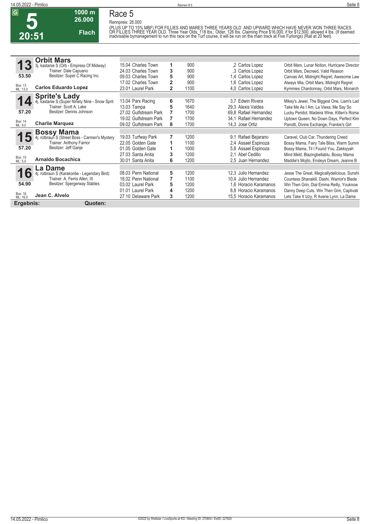**Race 5 Rennpreis: 26.000**

**1000 m 26.000** 

**Flach**

(PLUS UP TO 15% MBF) FOR FILLIES AND MARES THREE YEARS OLD. AND UPWARD WHICH HAVE NEVER WON THREE RACES<br>OR FILLIES THREE YEAR OLD. Three Year Olds, 118 lbs.; Older, 126 lbs. Claiming Price \$16,000, if for \$12,500, allowed

|                     | <b>Orbit Mars</b>                              |                       |                |      |                        |                                              |
|---------------------|------------------------------------------------|-----------------------|----------------|------|------------------------|----------------------------------------------|
|                     | 3j. kastanie S (Orb - Empress Of Midway)       | 15.04 Charles Town    | 1              | 900  | .2 Carlos Lopez        | Orbit Mars, Lunar Notion, Hurricane Director |
|                     | Trainer: Dale Capuano                          | 24.03 Charles Town    | 3              | 900  | .3 Carlos Lopez        | Orbit Mars, Decreed, Valid Reason            |
| 53.50               | Besitzer: Super C Racing Inc.                  | 09.03 Charles Town    | 5              | 900  | 1.4 Carlos Lopez       | Canvas Art, Midnight Regret, Awesome Law     |
|                     |                                                | 17.02 Charles Town    | $\overline{2}$ | 900  | 1.6 Carlos Lopez       | Always Mia, Orbit Mars, Midnight Regret      |
| Box: 13<br>ML: 13,0 | <b>Carlos Eduardo Lopez</b>                    | 23.01 Laurel Park     | $\overline{2}$ | 1100 | 4.0 Carlos Lopez       | Kymmies Chardonnay, Orbit Mars, Monarch      |
|                     | <b>Sprite's Lady</b>                           |                       |                |      |                        |                                              |
|                     | 4j. kastanie S (Super Ninety Nine - Snow Sprit | 13.04 Parx Racing     | 6              | 1670 | 3.7 Edwin Rivera       | Mikey's Jewel, The Biggest One, Liam's Lad   |
|                     | Trainer: Scott A. Lake                         | 13.03 Tampa           | 5              | 1640 | 29.3 Alexis Valdes     | Take Me As I Am, La Viexa, Me Say So         |
| 57.20               | Besitzer: Dennis Johnson                       | 27.02 Gulfstream Park |                | 1700 | 69.8 Rafael Hernandez  | Lucky Peridot, Madeira Wine, Kitten's Roma   |
|                     |                                                | 19.02 Gulfstream Park |                | 1700 | 34.1 Rafael Hernandez  | Uptown Queen, No Down Days, Perfect Kim      |
| Box: 14<br>ML: 9,0  | <b>Charlie Marquez</b>                         | 09.02 Gulfstream Park | 8              | 1700 | 14,3 Jose Ortiz        | Panotti, Divine Exchange, Frankie's Girl     |
|                     | <b>Bossy Mama</b>                              |                       |                |      |                        |                                              |
| 15                  | 4j. rotbraun S (Street Boss - Carmen's Mystery | 19.03 Turfway Park    | 7              | 1200 | 9,1 Rafael Bejarano    | Caravel, Club Car, Thundering Creed          |
|                     | Trainer: Anthony Farrior                       | 22.05 Golden Gate     | 1              | 1100 | 2.4 Assael Espinoza    | Bossy Mama, Fairy Tale Bliss, Warm Summ      |
| 57.20               | Besitzer: Jeff Ganje                           | 01.05 Golden Gate     | 1              | 1000 | 5.8 Assael Espinoza    | Bossy Mama, Til I Found You, Zakkiyyah       |
|                     |                                                | 27.03 Santa Anita     | 3              | 1200 | 2.1 Abel Cedillo       | Mind Meld, Blazingbellablu, Bossy Mama       |
| Box: 15<br>ML: 5,0  | <b>Arnaldo Bocachica</b>                       | 30.01 Santa Anita     | 6              | 1200 | 2,5 Juan Hernandez     | Maddie's Mojito, Ensleys Dream, Jeanne B     |
|                     | .a Dame                                        |                       |                |      |                        |                                              |
| 10                  | . rotbraun S (Karakontie - Legendary Bird)     | 08.03 Penn National   | 5              | 1200 | 12,3 Julio Hernandez   | Jesse The Great, Magicallydelicious, Sunshi  |
|                     | Trainer: A. Ferris Allen. III                  | 18.02 Penn National   | 7              | 1100 | 10,4 Julio Hernandez   | Countess Shanakill, Dashi, Warrior's Blade   |
| 54.90               | Besitzer: Spergerway Stables                   | 03.02 Laurel Park     | 5              | 1200 | 1.6 Horacio Karamanos  | Win Then Grin, Dial Emma Reilly, Youknow     |
|                     |                                                | 01.01 Laurel Park     | 4              | 1200 | 8.8 Horacio Karamanos  | Danny Deep Cuts, Win Then Grin, Captivati    |
| Box: 16<br>ML: 16,0 | Jean C. Alvelo                                 | 27.10 Delaware Park   | 3              | 1200 | 15,5 Horacio Karamanos | Lets Take It Izzy, R Averie Lynn, La Dame    |
| Ergebnis:           | Quoten:                                        |                       |                |      |                        |                                              |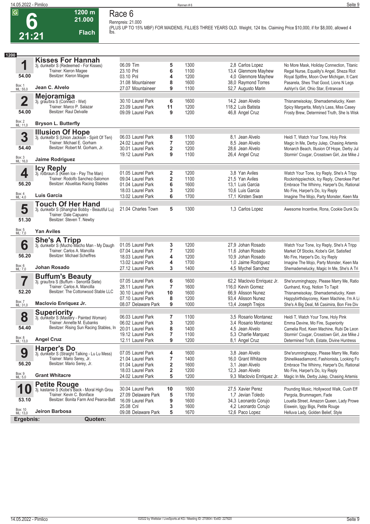**Race 6 Rennpreis: 21.000**

**1200 m 21.000** 

**Flach**

**(PLUS UP TO 15% MBF) FOR MAIDENS, FILLIES THREE YEARS OLD. Weight, 124 lbs. Claiming Price \$10,000, if for \$8,000, allowed 4 lbs.** 

| 1200 |                                                |                                                                                                                                                                                  |                                                                                                         |                                             |                                      |                                                                                                                   |                                                                                                                                                                                                                      |
|------|------------------------------------------------|----------------------------------------------------------------------------------------------------------------------------------------------------------------------------------|---------------------------------------------------------------------------------------------------------|---------------------------------------------|--------------------------------------|-------------------------------------------------------------------------------------------------------------------|----------------------------------------------------------------------------------------------------------------------------------------------------------------------------------------------------------------------|
|      | 1<br>54.00                                     | <b>Kisses For Hannah</b><br>3j. dunkelbr S (Redeemed - For Kisses)<br>Trainer: Kieron Magee<br>Besitzer: Kieron Magee                                                            | 06.09 Tim<br>23.10 Pnl<br>03.10 Pnl<br>31.08 Mountaineer                                                | 5<br>6<br>4<br>8                            | 1300<br>1100<br>1200<br>1600         | 2,8 Carlos Lopez<br>13,4 Glenmore Mayhew<br>4.0 Glenmore Mayhew<br>38,0 Raymond Torres                            | No More Mask, Holiday Connection, Titanic<br>Regal Nurse, Equality's Angel, Sheza Riot<br>Royal Spitfire, Moon Over Michigan, It Cant<br>Pasarela, Shes That Good, Lions N Legs                                      |
|      | Box: 1<br>ML: 55,0                             | Jean C. Alvelo                                                                                                                                                                   | 27.07 Mountaineer                                                                                       | 9                                           | 1100                                 | 52,7 Augusto Marin                                                                                                | Ashlyn's Girl, Ohio Star, Entranced                                                                                                                                                                                  |
|      | $\mathbf 2$<br>54.00                           | Mejoramiga<br>3j. grau/bra S (Connect - Wet)<br>Trainer: Marco P. Salazar<br>Besitzer: Raul Delvalle                                                                             | 30.10 Laurel Park<br>23.09 Laurel Park<br>09.09 Laurel Park                                             | 6<br>11<br>9                                | 1600<br>1200<br>1200                 | 14,2 Jean Alvelo<br>118.2 Luis Batista<br>46,8 Angel Cruz                                                         | Thisnameisokay, Shemademelucky, Keen<br>Spicy Margarita, Misty's Lass, Miss Casey<br>Frosty Brew, Determined Truth, She Is Wisk                                                                                      |
|      | Box: 2<br>ML: 11,0                             | <b>Bryson L. Butterfly</b>                                                                                                                                                       |                                                                                                         |                                             |                                      |                                                                                                                   |                                                                                                                                                                                                                      |
|      | 3<br>54.40<br>Box: 3<br>ML: 16,0               | <b>Illusion Of Hope</b><br>3j. dunkelbr S (Union Jackson - Spirit Of Ten)<br>Trainer: Michael E. Gorham<br>Besitzer: Robert M. Gorham, Jr.<br>Jaime Rodriguez                    | 06.03 Laurel Park<br>24.02 Laurel Park<br>30.01 Laurel Park<br>19.12 Laurel Park                        | 8<br>7<br>$\overline{\mathbf{2}}$<br>9      | 1100<br>1200<br>1200<br>1100         | 8.1 Jean Alvelo<br>8.5 Jean Alvelo<br>28,6 Jean Alvelo<br>26,4 Angel Cruz                                         | Heidi T, Watch Your Tone, Holy Pink<br>Magic In Me, Derby Julep, Chasing Artemis<br>Monarch Beach, Illusion Of Hope, Derby Jul<br>Stormin' Cougar, Crosstown Girl, Joe Mike J                                        |
|      | 4<br>56.20<br>Box: 4<br>ML: 4,0                | <b>Icy Reply</b><br>3j. rotbraun S (Keen Ice - Pay The Man)<br>Trainer: Rodolfo Sanchez-Salomon<br>Besitzer: Abuelitas Racing Stables<br>Luis Garcia<br><b>Touch Of Her Hand</b> | 01.05 Laurel Park<br>09.04 Laurel Park<br>01.04 Laurel Park<br>18.03 Laurel Park<br>13.02 Laurel Park   | 2<br>$\overline{\mathbf{2}}$<br>6<br>3<br>6 | 1200<br>1100<br>1600<br>1200<br>1700 | 3.8 Yan Aviles<br>21,5 Yan Aviles<br>13.1 Luis Garcia<br>10.6 Luis Garcia<br>17,1 Kirsten Swan                    | Watch Your Tone, Icy Reply, She's A Tripp<br>Rockinhippiechick, Icy Reply, Cherokee Part<br>Embrace The Whinny, Harper's Do, Rational<br>Mo Fire, Harper's Do, Icy Reply<br>Imagine The Mojo, Party Monster, Keen Ma |
|      | 5<br>51.30                                     | 3j. dunkelbr S (Shanghai Bobby - Beautiful Lu)<br>Trainer: Dale Capuano<br>Besitzer: Steven T. Newby                                                                             | 21.04 Charles Town                                                                                      | 5                                           | 1300                                 | 1,3 Carlos Lopez                                                                                                  | Awesome Incentive, Rona, Cookie Dunk Du                                                                                                                                                                              |
|      | Box: 5<br>ML: 7,0                              | <b>Yan Aviles</b>                                                                                                                                                                |                                                                                                         |                                             |                                      |                                                                                                                   |                                                                                                                                                                                                                      |
|      | 6<br>56.20<br>Box: 6<br>ML: 7,0                | She's A Tripp<br>3j. dunkelbr S (Mucho Macho Man - My Daugh<br>Trainer: Carlos A. Mancilla<br><b>Besitzer: Michael Scheffres</b><br>Johan Rosado                                 | 01.05 Laurel Park<br>07.04 Laurel Park<br>18.03 Laurel Park<br>13.02 Laurel Park<br>27.12 Laurel Park   | 3<br>7<br>4<br>4<br>3                       | 1200<br>1200<br>1200<br>1700<br>1400 | 27,9 Johan Rosado<br>11,6 Johan Rosado<br>10,9 Johan Rosado<br>1,0 Jaime Rodriguez<br>4,5 Mychel Sanchez          | Watch Your Tone, Icy Reply, She's A Tripp<br>Market Of Stocks, Kobe's Girl, Satisfied<br>Mo Fire, Harper's Do, Icy Reply<br>Imagine The Mojo, Party Monster, Keen Ma<br>Shemademelucky, Magic In Me, She's A Tri     |
|      | 52.20<br>Box: 7<br>ML: 31,0                    | <b>Buffum's Beauty</b><br>3j. grau/bra S (Buffum - Senorita Siete)<br>Trainer: Carlos A. Mancilla<br>Besitzer: The Cottonwood Stable LLC<br><b>Maclovio Enriquez Jr.</b>         | 07.05 Laurel Park<br>28.11 Laurel Park<br>30.10 Laurel Park<br>07.10 Laurel Park<br>08.07 Delaware Park | 6<br>$\overline{7}$<br>10<br>8<br>9         | 1600<br>1600<br>1600<br>1200<br>1000 | 62,2 Maclovio Enriquez Jr.<br>116,0 Kevin Gomez<br>66.9 Alisson Nunez<br>93,4 Alisson Nunez<br>13,4 Joseph Trejos | She'srunninghappy, Please Marry Me, Ratio<br>Gunhand, Krug, Notion To Tapit<br>Thisnameisokay, Shemademelucky, Keen<br>Happybirthdaycorey, Keen Machine, I'm A Li<br>She's A Big Deal, Mi Casimira, Bon Fire Div     |
|      | 8<br>54.40<br>Box: 8<br>ML: 13,0               | <b>Superiority</b><br>3j. dunkelbr S (Mastery - Painted Woman)<br>Trainer: Annette M. Eubanks<br>Besitzer: Rising Sun Racing Stables, In 20.01 Laurel Park<br><b>Angel Cruz</b>  | 06.03 Laurel Park<br>06.02 Laurel Park<br>19.12 Laurel Park<br>12.11 Laurel Park                        | 7<br>3<br>8<br>7<br>9                       | 1100<br>1200<br>1400<br>1100<br>1200 | 3.5 Rosario Montanez<br>3.4 Rosario Montanez<br>4,5 Jean Alvelo<br>5.3 Charlie Marquez<br>8.1 Angel Cruz          | Heidi T, Watch Your Tone, Holy Pink<br>Emma Devine, Mo Fire, Superiority<br>Camelia Rod, Keen Machine, Rubi De Leon<br>Stormin' Cougar, Crosstown Girl, Joe Mike J<br>Determined Truth, Estate, Divine Huntress      |
|      | 9<br>56.20<br>Box: 9<br>ML: 5,0                | <b>Harper's Do</b><br>3j. dunkelbr S (Straight Talking - Lu Lu Mess)<br>Trainer: Mario Serey, Jr.<br>Besitzer: Mario Serey, Jr.<br><b>Grant Whitacre</b>                         | 07.05 Laurel Park<br>21.04 Laurel Park<br>01.04 Laurel Park<br>18.03 Laurel Park<br>24.02 Laurel Park   | 4<br>7<br>2<br>2<br>5                       | 1600<br>1400<br>1600<br>1200<br>1200 | 3.8 Jean Alvelo<br>16,0 Grant Whitacre<br>3.1 Jean Alvelo<br>12,3 Jean Alvelo<br>9.3 Maclovio Enriquez Jr.        | She'srunninghappy, Please Marry Me, Ratio<br>Shinelikeadiamond, Fashionista, Looking Fo<br>Embrace The Whinny, Harper's Do, Rational<br>Mo Fire, Harper's Do, Icy Reply<br>Magic In Me, Derby Julep, Chasing Artemis |
|      | 1<br>53.10<br>Box: 10<br>ML: 13,0<br>Ergebnis: | <b>Petite Rouge</b><br>3j. kastanie S (Kobe's Back - Moral High Grou<br>Trainer: Kevin C. Boniface<br>Besitzer: Bonita Farm And Pearce-Batt<br>Jeiron Barbosa<br>Quoten:         | 30.04 Laurel Park<br>27.09 Delaware Park<br>16.09 Laurel Park<br>25.08 Cnl<br>09.08 Delaware Park       | 10<br>5<br>9<br>3<br>5                      | 1600<br>1700<br>1600<br>1600<br>1670 | 27,5 Xavier Perez<br>1.7 Jevian Toledo<br>34,3 Leonardo Corujo<br>4,2 Leonardo Corujo<br>12,6 Paco Lopez          | Pounding Music, Hollywood Walk, Cush Eff<br>Pergola, Brummagem, Fade<br>Louella Street, Amazon Queen, Lady Prowe<br>Eiswein, Iggy Bigs, Petite Rouge<br>Helluva Lady, Golden Belief, Style                           |
|      |                                                |                                                                                                                                                                                  |                                                                                                         |                                             |                                      |                                                                                                                   |                                                                                                                                                                                                                      |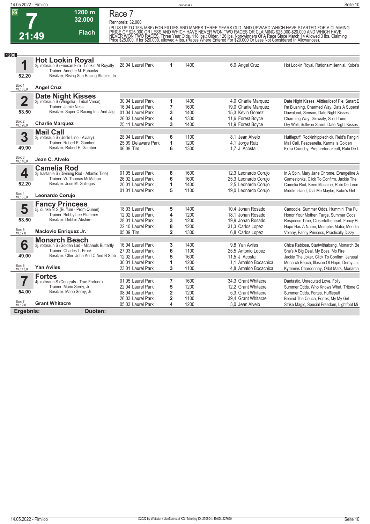**14.05.2022 - Pimlico** Rennen # 7 **Seite 10**

# **7**

### **Race 7**

**1200 m**

|                    | 32.000                                                                          | Rennpreis: 32.000                        |                         |              |                                                |                                                                                                                                                                                                                                         |
|--------------------|---------------------------------------------------------------------------------|------------------------------------------|-------------------------|--------------|------------------------------------------------|-----------------------------------------------------------------------------------------------------------------------------------------------------------------------------------------------------------------------------------------|
|                    | <b>Flach</b>                                                                    |                                          |                         |              |                                                | (PLUS UP TO 15% MBF) FOR FILLIES AND MARES THREE YEARS OLD AND UPWARD WHICH HAVE STARTED FOR A CLAIMING<br>PRICE OF \$25,000 OR LESS AND WHICH HAVE NEVER WON TWO RACES OR CLAIMING \$25,000-\$20,000 AND WHICH HAVE<br>NEVER WON TWO R |
| 21:49              |                                                                                 |                                          |                         |              |                                                |                                                                                                                                                                                                                                         |
|                    |                                                                                 |                                          |                         |              |                                                |                                                                                                                                                                                                                                         |
| 1200               | <b>Hot Lookin Royal</b>                                                         |                                          |                         |              |                                                |                                                                                                                                                                                                                                         |
| 1                  | 3j. rotbraun S (Friesan Fire - Lookin At Royalty<br>Trainer: Annette M. Eubanks | 28.04 Laurel Park                        | 1                       | 1400         | 6,0 Angel Cruz                                 | Hot Lookin Royal, Rationalmillennial, Kobe's                                                                                                                                                                                            |
| 52.20              | Besitzer: Rising Sun Racing Stables, In                                         |                                          |                         |              |                                                |                                                                                                                                                                                                                                         |
| Box: 1<br>ML: 35,0 | <b>Angel Cruz</b>                                                               |                                          |                         |              |                                                |                                                                                                                                                                                                                                         |
|                    | <b>Date Night Kisses</b><br>3j. rotbraun S (Weigelia - Tribal Verse)            |                                          |                         |              |                                                |                                                                                                                                                                                                                                         |
| $\overline{2}$     | Trainer: Jamie Ness                                                             | 30.04 Laurel Park<br>16.04 Laurel Park   | 1<br>$\overline{7}$     | 1400<br>1600 | 4,0 Charlie Marquez<br>19,0 Charlie Marquez    | Date Night Kisses, Alittlesliceof Pie, Smart E<br>I'm Blushing, Charmed Way, Dats A Superst                                                                                                                                             |
| 53.50              | Besitzer: Super C Racing Inc. And Jag                                           | 01.04 Laurel Park                        | 3                       | 1400         | 15.3 Kevin Gomez                               | Dawnland, Senson, Date Night Kisses                                                                                                                                                                                                     |
|                    |                                                                                 | 26.02 Laurel Park                        | 4                       | 1300         | 11,6 Forest Boyce                              | Charming Way, Glowsity, Solid Tune                                                                                                                                                                                                      |
| Box: 2<br>ML: 26,0 | <b>Charlie Marquez</b>                                                          | 25.11 Laurel Park                        | 3                       | 1400         | 11,9 Forest Boyce                              | Dry Well, Sullivan Street, Date Night Kisses                                                                                                                                                                                            |
|                    | <b>Mail Call</b>                                                                |                                          |                         |              |                                                |                                                                                                                                                                                                                                         |
| 3                  | 3j. rotbraun S (Uncle Lino - Aviary)<br>Trainer: Robert E. Gamber               | 28.04 Laurel Park<br>25.09 Delaware Park | 6<br>1                  | 1100<br>1200 | 8.1 Jean Alvelo<br>4,1 Jorge Ruiz              | Hufflepuff, Rockinhippiechick, Reid's Fangirl<br>Mail Call, Peacearella, Karma Is Golden                                                                                                                                                |
| 49.90              | Besitzer: Robert E. Gamber                                                      | 06.09 Tim                                | 6                       | 1300         | 1.7 J. Acosta                                  | Extra Crunchy, Preparefortakeoff, Rubi De L                                                                                                                                                                                             |
| Box: 3<br>ML: 16,0 | Jean C. Alvelo                                                                  |                                          |                         |              |                                                |                                                                                                                                                                                                                                         |
|                    | <b>Camelia Rod</b>                                                              |                                          |                         |              |                                                |                                                                                                                                                                                                                                         |
| 4                  | 3j. kastanie S (Divining Rod - Atlantic Tide)                                   | 01.05 Laurel Park                        | 8                       | 1600         | 12,3 Leonardo Corujo                           | In A Spin, Mary Jane Chrome, Evangeline A                                                                                                                                                                                               |
|                    | Trainer: W. Thomas McMahon                                                      | 26.02 Laurel Park                        | 6                       | 1600         | 25.3 Leonardo Coruio                           | Gamestonks, Click To Confirm, Jackie The                                                                                                                                                                                                |
| 52.20              | Besitzer: Jose M. Gallegos                                                      | 20.01 Laurel Park<br>01.01 Laurel Park   | 1<br>5                  | 1400<br>1100 | 2,5 Leonardo Corujo                            | Camelia Rod, Keen Machine, Rubi De Leon                                                                                                                                                                                                 |
| Box: 4<br>ML: 55,0 | Leonardo Corujo                                                                 |                                          |                         |              | 19,0 Leonardo Corujo                           | Middle Island, Dial Me Maybe, Kobe's Girl                                                                                                                                                                                               |
|                    | <b>Fancy Princess</b>                                                           |                                          |                         |              |                                                |                                                                                                                                                                                                                                         |
| 5                  | 5j. dunkelbr S (Buffum - Prom Queen)                                            | 18.03 Laurel Park                        | 5                       | 1400         | 10.4 Johan Rosado                              | Canoodle, Summer Odds, Hummin' The Fu                                                                                                                                                                                                   |
| 53.50              | Trainer: Bobby Lee Plummer<br>Besitzer: Debbie Abshire                          | 12.02 Laurel Park                        | 4                       | 1200         | 18.1 Johan Rosado                              | Honor Your Mother, Targe, Summer Odds                                                                                                                                                                                                   |
|                    |                                                                                 | 28.01 Laurel Park                        | 3                       | 1200         | 19.9 Johan Rosado                              | Response Time, Closertotheheart, Fancy Pr                                                                                                                                                                                               |
| Box: 5<br>ML: 7.0  | Maclovio Enriquez Jr.                                                           | 22.10 Laurel Park<br>05.09 Tim           | 8<br>$\overline{2}$     | 1200<br>1300 | 31,3 Carlos Lopez<br>6.8 Carlos Lopez          | Hope Has A Name, Memphis Mafia, Mendin<br>Volnay, Fancy Princess, Practically Dizzy                                                                                                                                                     |
|                    | <b>Monarch Beach</b>                                                            |                                          |                         |              |                                                |                                                                                                                                                                                                                                         |
| 6                  | 3j. rotbraun S (Golden Lad - Michaels Butterfly                                 | 16.04 Laurel Park                        | 3                       | 1400         | 9.8 Yan Aviles                                 | Chica Rabiosa, Startwithabang, Monarch Be                                                                                                                                                                                               |
|                    | Trainer: Charles L. Frock<br>Besitzer: Oller, John And C And B Stab             | 27.03 Laurel Park                        | 6                       | 1100         | 25.5 Antonio Lopez                             | She's A Big Deal, My Boss, Mo Fire                                                                                                                                                                                                      |
| 49.00              |                                                                                 | 12.02 Laurel Park                        | 5                       | 1600         | 11,5 J. Acosta                                 | Jackie The Joker, Click To Confirm, Jerusal                                                                                                                                                                                             |
| Box: 6<br>ML: 13,0 | <b>Yan Aviles</b>                                                               | 30.01 Laurel Park<br>23.01 Laurel Park   | 1<br>3                  | 1200<br>1100 | 1.1 Arnaldo Bocachica<br>4,8 Arnaldo Bocachica | Monarch Beach, Illusion Of Hope, Derby Jul<br>Kymmies Chardonnay, Orbit Mars, Monarch                                                                                                                                                   |
|                    | <b>Fortes</b>                                                                   |                                          |                         |              |                                                |                                                                                                                                                                                                                                         |
|                    | 4j. rotbraun S (Congrats - True Fortune)                                        | 01.05 Laurel Park                        | $\overline{7}$          | 1600         | 34.3 Grant Whitacre                            | Dantastic, Unrequited Love, Folly                                                                                                                                                                                                       |
|                    | Trainer: Mario Serey, Jr.                                                       | 22.04 Laurel Park                        | 5                       | 1200         | 12,2 Grant Whitacre                            | Summer Odds, Who Knows What, Tritone G                                                                                                                                                                                                  |
| 54.00              | Besitzer: Mario Serey, Jr.                                                      | 08.04 Laurel Park                        | $\overline{\mathbf{2}}$ | 1200         | 5.3 Grant Whitacre                             | Summer Odds, Fortes, Hufflepuff                                                                                                                                                                                                         |
|                    |                                                                                 | 26.03 Laurel Park                        | $\overline{\mathbf{2}}$ | 1100         | 39,4 Grant Whitacre                            | Behind The Couch, Fortes, My My Girl                                                                                                                                                                                                    |
| Box: 7<br>ML: 9,0  | <b>Grant Whitacre</b>                                                           | 05.03 Laurel Park                        | 4                       | 1200         | 3.0 Jean Alvelo                                | Strike Magic, Special Freedom, Lightfoot Mi                                                                                                                                                                                             |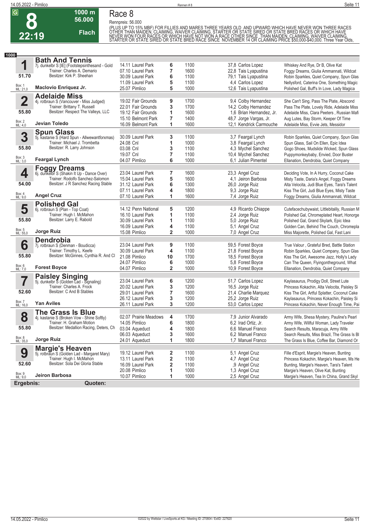**Race 8 Rennpreis: 56.000**

**1000 m 56.000** 

**Flach**

(PLUS UP TO 15% MBF) FOR FILLIES AND MARES THREE YEARS OLD AND UPWARD WHICH HAVE NEVER WON THREE RACES<br>OTHER THAN MAIDEN, CLAIMING, WAIVER CLAIMING, STARTER OR STATE SIRED OR STATE BRED RACES OR WHICH HAVE<br>NEVER WON FOUR R

| 1000               |                                                                   |                       |                         |              |                          |                                               |
|--------------------|-------------------------------------------------------------------|-----------------------|-------------------------|--------------|--------------------------|-----------------------------------------------|
|                    | <b>Bath And Tennis</b>                                            |                       |                         |              |                          |                                               |
| 1                  | 7j. dunkelbr S [IE] (Footstepsinthesand - Gold                    | 14.11 Laurel Park     | 6                       | 1100         | 37,8 Carlos Lopez        | Whiskey And Rye, Dr B, Olive Kat              |
|                    | Trainer: Charles A. Demario                                       | 07.10 Laurel Park     | 7                       | 1600         | 22,8 Tais Lyapustina     | Foggy Dreams, Giulia Ammannati, Wildcat       |
| 51.70              | Besitzer: Kirk P. Sheehan                                         | 30.09 Laurel Park     | 6                       | 1100         | 79,1 Tais Lyapustina     | Robin Sparkles, Quiet Company, Spun Glas      |
|                    |                                                                   | 11.09 Laurel Park     | 5                       | 1100         | 4.4 Carlos Lopez         | Nellysford, Caterina One, Something Magic     |
| Box: 1<br>ML: 21,0 | Maclovio Enriquez Jr.                                             | 25.07 Pimlico         | 5                       | 1000         | 12,6 Tais Lyapustina     | Polished Gal, Buff's In Love, Lady Magica     |
|                    | <b>Adelaide Miss</b>                                              |                       |                         |              |                          |                                               |
| $\mathbf 2$        | 4j. rotbraun S (Vancouver - Miss Judged)                          | 19.02 Fair Grounds    | 9                       | 1700         | 9,4 Colby Hernandez      | She Can't Sing, Pass The Plate, Abscond       |
|                    | Trainer: Brittany T. Russell                                      | 22.01 Fair Grounds    | 3                       | 1700         | 14,2 Colby Hernandez     | Pass The Plate, Lovely Ride, Adelaide Miss    |
| 55.80              | Besitzer: Respect The Valleys, LLC                                | 19.12 Fair Grounds    | 1                       | 1600         | 1,6 Brian Hernandez, Jr. | Adelaide Miss, Clara Peeters, Russian Mafi    |
|                    |                                                                   | 15.10 Belmont Park    | 7                       | 1400         | 48,7 Jorge Vargas, Jr.   | Aug Lutes, Bay Storm, Keeper Of Time          |
| Box: 2<br>ML: 4,0  | Jevian Toledo                                                     | 16.09 Belmont Park    | 1                       | 1600         | 12,1 Kendrick Carmouche  | Adelaide Miss, Evvie Jets, Messidor           |
|                    | <b>Spun Glass</b>                                                 |                       |                         |              |                          |                                               |
| 3                  | 5j. kastanie S (Hard Spun - Allwewantforxmas)                     | 30.09 Laurel Park     | 3                       | 1100         | 3,7 Feargal Lynch        | Robin Sparkles, Quiet Company, Spun Glas      |
|                    | Trainer: Michael J. Trombetta                                     | 24.08 Cnl             | 1                       | 1000         | 3,8 Feargal Lynch        | Spun Glass, Sail On Ellen, Epic Idea          |
| 55.80              | Besitzer: R. Larry Johnson                                        | 03.08 Cnl             | 3                       | 1100         | 4,3 Mychel Sanchez       | Gogo Shoes, Mudslide Wicked, Spun Glass       |
|                    |                                                                   | 19.07 Cnl             | 7                       | 1100         | 10,4 Mychel Sanchez      | Puppymonkeybaby, Envied, Door Buster          |
| Box: 3<br>ML: 3,0  | <b>Feargal Lynch</b>                                              | 04.07 Pimlico         | 6                       | 1000         | 6.1 Julian Pimentel      | Ellanation, Dendrobia, Quiet Company          |
|                    |                                                                   |                       |                         |              |                          |                                               |
|                    | <b>Foggy Dreams</b><br>6j. dunkelbr S (Shakin It Up - Dance Over) | 23.04 Laurel Park     | 7                       |              |                          |                                               |
| 4                  | Trainer: Rodolfo Sanchez-Salomon                                  |                       |                         | 1600<br>1600 | 23,3 Angel Cruz          | Deciding Vote, In A Hurry, Coconut Cake       |
| 54.00              | Besitzer: J R Sanchez Racing Stable                               | 15.04 Laurel Park     | 5                       |              | 4.1 Jeiron Barbosa       | Misty Taste, Daria's Angel, Foggy Dreams      |
|                    |                                                                   | 31.12 Laurel Park     | 6                       | 1300<br>1800 | 26,0 Jorge Ruiz          | Alta Velocita, Judi Blue Eyes, Tara's Talent  |
| Box: 4<br>ML: 9,0  | <b>Angel Cruz</b>                                                 | 07.11 Laurel Park     | 4<br>1                  | 1600         | 9,3 Jorge Ruiz           | Kiss The Girl, Judi Blue Eyes, Misty Taste    |
|                    |                                                                   | 07.10 Laurel Park     |                         |              | 7,4 Jorge Ruiz           | Foggy Dreams, Giulia Ammannati, Wildcat       |
|                    | <b>Polished Gal</b>                                               |                       |                         |              |                          |                                               |
| 5                  | 6j. rotbraun S (Plan - Top Coat)                                  | 14.12 Penn National   | 5                       | 1200         | 4,9 Ricardo Chiappe      | Cutefacechubywaist, Littlebitalily, Russian M |
| 55.80              | Trainer: Hugh I. McMahon                                          | 16.10 Laurel Park     | 1                       | 1100         | 2,4 Jorge Ruiz           | Polished Gal, Chromeplated Heart, Honorge     |
|                    | Besitzer: Larry E. Rabold                                         | 30.09 Laurel Park     | 1                       | 1100         | 5,0 Jorge Ruiz           | Polished Gal, Grand Skylark, Epic Idea        |
|                    |                                                                   | 16.09 Laurel Park     | 4                       | 1100         | 5,1 Angel Cruz           | Golden Can, Behind The Couch, Chromepla       |
| Box: 5<br>ML: 55,0 | Jorge Ruiz                                                        | 15.08 Pimlico         | $\overline{2}$          | 1000         | 7,0 Angel Cruz           | Miss Majorette, Polished Gal, Fast Lani       |
|                    | <b>Dendrobia</b>                                                  |                       |                         |              |                          |                                               |
| 6                  | 7j. rotbraun S (Denman - Boudicca)                                | 23.04 Laurel Park     | 9                       | 1100         | 59,5 Forest Boyce        | True Valour, Grateful Bred, Battle Station    |
|                    | Trainer: Timothy L. Keefe                                         | 30.09 Laurel Park     | 4                       | 1100         | 21,8 Forest Boyce        | Robin Sparkles, Quiet Company, Spun Glas      |
| 55.80              | Besitzer: McGinnes, Cynthia R. And Cl                             | 21.08 Pimlico         | 10                      | 1700         | 18,5 Forest Boyce        | Kiss The Girl, Awesome Jazz, Holly's Lady     |
|                    |                                                                   | 24.07 Pimlico         | 6                       | 1000         | 5.8 Forest Boyce         | Can The Queen, Flyingontheground, What        |
| Box: 6<br>ML: 7,0  | <b>Forest Boyce</b>                                               | 04.07 Pimlico         | $\overline{\mathbf{2}}$ | 1000         | 10,9 Forest Boyce        | Ellanation, Dendrobia, Quiet Company          |
|                    | <b>Paisley Singing</b><br>5j. dunkelbr S (Golden Lad - Signaling) |                       |                         |              |                          |                                               |
| 7                  |                                                                   | 23.04 Laurel Park     | 6                       | 1200         | 51,7 Carlos Lopez        | Kaylasaurus, Prodigy Doll, Street Lute        |
|                    | Trainer: Charles A. Frock                                         | 20.02 Laurel Park     | 3                       | 1200         | 16,5 Jorge Ruiz          | Princess Kokachin, Alta Velocita, Paisley Si  |
| 52.60              | Besitzer: C And B Stables                                         | 29.01 Laurel Park     | 7                       | 1600         | 21,4 Charlie Marquez     | Kiss The Girl, Artful Splatter, Coconut Cake  |
|                    |                                                                   | 26.12 Laurel Park     | 3                       | 1200         | 25,2 Jorge Ruiz          | Kaylasaurus, Princess Kokachin, Paisley Si    |
| Box: 7<br>ML: 16,0 | <b>Yan Aviles</b>                                                 | 26.11 Laurel Park     | 3                       | 1200         | 53,0 Carlos Lopez        | Princess Kokachin, Never Enough Time, Pai     |
|                    | <b>The Grass Is Blue</b>                                          |                       |                         |              |                          |                                               |
| 8                  | 4j. kastanie S (Broken Vow - Shine Softly)                        | 02.07 Prairie Meadows | 4                       | 1700         | 7,9 Junior Alvarado      | Army Wife, Shesa Mystery, Pauline's Pearl     |
|                    | Trainer: H. Graham Motion                                         | 14.05 Pimlico         | 6                       | 1800         | 6.2 Irad Ortiz. Jr.      | Army Wife, Willful Woman, Lady Traveler       |
| 55.80              | Besitzer: Medallion Racing, Deters, Ch                            | 03.04 Aqueduct        | 4                       | 1800         | 6,6 Manuel Franco        | Search Results, Maracuja, Army Wife           |
|                    |                                                                   | 06.03 Aqueduct        | 3                       | 1600         | 6,2 Manuel Franco        | Search Results, Miss Brazil, The Grass Is BI  |
| Box: 8<br>ML: 35,0 | Jorge Ruiz                                                        | 24.01 Aqueduct        | 1                       | 1800         | 1.7 Manuel Franco        | The Grass Is Blue, Coffee Bar, Diamond Or     |
|                    | <b>Margie's Heaven</b>                                            |                       |                         |              |                          |                                               |
| 9                  | 5j. rotbraun S (Golden Lad - Margaret Mary)                       | 19.12 Laurel Park     | 2                       | 1100         | 5,1 Angel Cruz           | Fille d'Esprit, Margie's Heaven, Bunting      |
|                    | Trainer: Hugh I. McMahon                                          | 13.11 Laurel Park     | 2                       | 1100         | 4,7 Angel Cruz           | Princess Kokachin, Margie's Heaven, Ms He     |
| 52.60              | Besitzer: Sola Dei Gloria Stable                                  | 16.09 Laurel Park     | 2                       | 1100         | ,9 Angel Cruz            | Bunting, Margie's Heaven, Tara's Talent       |
|                    |                                                                   | 20.08 Pimlico         | 1                       | 1000         | 1,3 Angel Cruz           | Margie's Heaven, Olive Kat, Bunting           |
| Box: 9<br>ML: 9,0  | Jeiron Barbosa                                                    | 10.07 Pimlico         | 1                       | 1000         | 2,5 Angel Cruz           | Margie's Heaven, Tea In China, Grand Skyl     |
| Ergebnis:          | Quoten:                                                           |                       |                         |              |                          |                                               |
|                    |                                                                   |                       |                         |              |                          |                                               |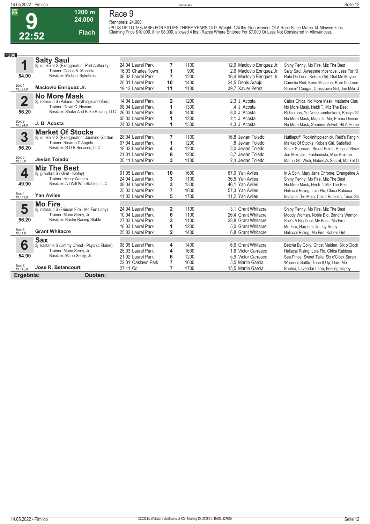## **Race 9**

**1200 m 24.000** 

**Flach**

**Rennpreis: 24.000** (PLUS UP TO 15% MBF) FOR FILLIES THREE YEARS OLD. Weight, 124 lbs. Non-winners Of A Race Since March 14 Allowed 3 lbs.<br>Claiming Price \$10,000, if for \$8,000, allowed 4 lbs. (Races Where Entered For \$7,000 Or Less Not Consi

| 1200                    |                                               |                    |                |      |                            |                                               |
|-------------------------|-----------------------------------------------|--------------------|----------------|------|----------------------------|-----------------------------------------------|
|                         | <b>Salty Saul</b>                             |                    |                |      |                            |                                               |
| 1                       | 3j. dunkelbr S (Exaggerator - Port Authority) | 24.04 Laurel Park  | 7              | 1100 | 12,9 Maclovio Enriquez Jr. | Shiny Penny, Mo Fire, Miz The Best            |
|                         | Trainer: Carlos A. Mancilla                   | 16.03 Charles Town | 1              | 900  | 2.6 Maclovio Enriquez Jr.  | Salty Saul, Awesome Incentive, Jess For Ki    |
| 54.00                   | <b>Besitzer: Michael Scheffres</b>            | 06.02 Laurel Park  | $\overline{7}$ | 1200 | 16,4 Maclovio Enriquez Jr. | Rubi De Leon, Kobe's Girl, Dial Me Maybe      |
|                         |                                               | 20.01 Laurel Park  | 10             | 1400 | 24,5 Denis Araujo          | Camelia Rod, Keen Machine, Rubi De Leon       |
| Box: 1<br>ML: 21,0      | Maclovio Enriquez Jr.                         | 19.12 Laurel Park  | 11             | 1100 | 39.7 Xavier Perez          | Stormin' Cougar, Crosstown Girl, Joe Mike J   |
|                         | <b>No More Mask</b>                           |                    |                |      |                            |                                               |
| $\overline{\mathbf{2}}$ | 3j. rotbraun S (Palace - Anythingicandoforu)  | 14.04 Laurel Park  | 2              | 1200 | 2.3 J. Acosta              | Cabra Chica, No More Mask, Madame Clau        |
|                         | Trainer: David C. Howard                      | 08.04 Laurel Park  | 1              | 1300 | .4 J. Acosta               | No More Mask, Heidi T. Miz The Best           |
| 56.20                   | Besitzer: Shake And Bake Racing, LLC          | 26.03 Laurel Park  | 8              | 1400 | 8.0 J. Acosta              | Ridiculous, Yo Nessroundonkern, Rustys Gf     |
|                         |                                               | 05.03 Laurel Park  | 1              | 1200 | 2.1 J. Acosta              | No More Mask, Magic In Me, Emma Devine        |
| Box: 2<br>ML: 24,0      | J.D. Acosta                                   | 24.02 Laurel Park  | 1              | 1300 | 4,3 J. Acosta              | No More Mask, Sommer Velvet, Hit A Home       |
|                         | <b>Market Of Stocks</b>                       |                    |                |      |                            |                                               |
| 3                       | 3j. dunkelbr S (Exaggerator - Jasmine Garden  | 28.04 Laurel Park  | 7              | 1100 | 16.8 Jevian Toledo         | Hufflepuff, Rockinhippiechick, Reid's Fangirl |
|                         | Trainer: Ricardo D'Angelo                     | 07.04 Laurel Park  | 1              | 1200 | .8 Jevian Toledo           | Market Of Stocks, Kobe's Girl, Satisfied      |
| 56.20                   | Besitzer: R D B Services, LLC                 | 18.02 Laurel Park  | 4              | 1200 | 3.0 Jevian Toledo          | Sister Supream, Smart Eulee, Heliacal Risin   |
|                         |                                               | 21.01 Laurel Park  | 8              | 1200 | 3.7 Jevian Toledo          | Joe Mike Jim, Fashionista, Miss Foxann        |
| Box: 3<br>ML: 5,0       | Jevian Toledo                                 | 20.11 Laurel Park  | 3              | 1100 | 2,4 Jevian Toledo          | Mama G's Wish, Nobody's Secret, Market O      |
|                         | <b>Miz The Best</b>                           |                    |                |      |                            |                                               |
| 4                       | 3j. grau/bra S (Klimt - Kinley)               | 01.05 Laurel Park  | 10             | 1600 | 67,0 Yan Aviles            | In A Spin, Mary Jane Chrome, Evangeline A     |
|                         | Trainer: Henry Walters                        | 24.04 Laurel Park  | 3              | 1100 | 36,5 Yan Aviles            | Shiny Penny, Mo Fire, Miz The Best            |
| 49.90                   | Besitzer: AJ Will Win Stables, LLC            | 08.04 Laurel Park  | 3              | 1300 | 46.1 Yan Aviles            | No More Mask, Heidi T, Miz The Best           |
|                         |                                               | 25.03 Laurel Park  | 7              | 1600 | 57,3 Yan Aviles            | Heliacal Rising, Lola Flo, Chica Rabiosa      |
| Box: 4<br>ML: 11,0      | <b>Yan Aviles</b>                             | 11.03 Laurel Park  | 5              | 1700 | 11,2 Yan Aviles            | Imagine The Mojo, Chica Rabiosa, Tinas Sh     |
|                         | <b>Mo Fire</b>                                |                    |                |      |                            |                                               |
| 5                       | 3j. rotbraun S (Friesan Fire - Mo Fun Lady)   | 24.04 Laurel Park  | 2              | 1100 | 3.1 Grant Whitacre         | Shiny Penny, Mo Fire, Miz The Best            |
|                         | Trainer: Mario Serey, Jr.                     | 10.04 Laurel Park  | 6              | 1100 | 26,4 Grant Whitacre        | Moody Woman, Noble Bid, Bandits Warrior       |
| 56.20                   | Besitzer: Baxter Racing Stable                | 27.03 Laurel Park  | 3              | 1100 | 28.8 Grant Whitacre        | She's A Big Deal, My Boss, Mo Fire            |
|                         |                                               | 18.03 Laurel Park  | 1              | 1200 | 5.0 Grant Whitacre         | Mo Fire, Harper's Do, Icy Reply               |
| Box: 5<br>ML: 4,0       | <b>Grant Whitacre</b>                         | 25.02 Laurel Park  | $\overline{2}$ | 1400 | 6.8 Grant Whitacre         | Heliacal Rising, Mo Fire, Kobe's Girl         |
|                         | <b>Sax</b>                                    |                    |                |      |                            |                                               |
| 6                       | 3j. kastanie S (Jimmy Creed - Psychic Elaine) | 08.05 Laurel Park  | 4              | 1400 | 6.6 Grant Whitacre         | Betcha By Golly, Ghost Maiden, Six o'Clock    |
|                         | Trainer: Mario Serey, Jr.                     | 25.03 Laurel Park  | 4              | 1600 | 1.8 Victor Carrasco        | Heliacal Rising, Lola Flo, Chica Rabiosa      |
| 54.90                   | Besitzer: Mario Serey, Jr.                    | 21.02 Laurel Park  | 6              | 1200 | 5.9 Victor Carrasco        | Sea Pines, Sweet Talia, Six o'Clock Sarah     |
|                         |                                               | 22.01 Oaklawn Park | 7              | 1600 | 3.5 Martin Garcia          | Warrior's Battle, Tone It Up, Dare Me         |
| Box: 6<br>ML: 45,0      | Jose R. Betancourt                            | 27.11 Cd           | $\overline{7}$ | 1700 | 15.5 Martin Garcia         | Bhoma, Lavendar Lane, Feeling Happy           |
| Ergebnis:               | Quoten:                                       |                    |                |      |                            |                                               |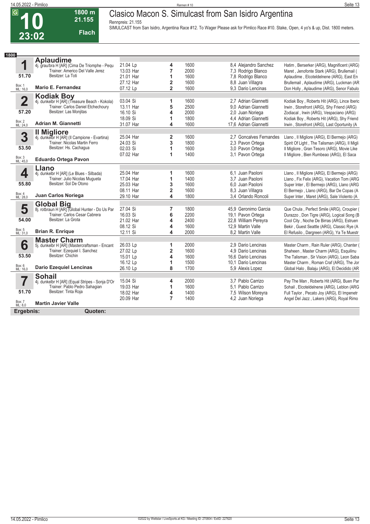**23:02**

### **Clasico Macon S. Simulcast from San Isidro Argentina**

**Rennpreis: 21.155**

**Flach**

**1800 m 21.155** 

**SIMULCAST from San Isidro, Argentina Race #12. To Wager Please ask for Pimlico Race #10. Stake, Open, 4 yo's & up, Dist. 1800 meters.** 

| 1800                    |                                                                                  |                       |                         |              |                                         |                                                                                        |
|-------------------------|----------------------------------------------------------------------------------|-----------------------|-------------------------|--------------|-----------------------------------------|----------------------------------------------------------------------------------------|
|                         | <b>Aplaudime</b>                                                                 |                       |                         |              |                                         |                                                                                        |
| 1                       | 4j. grau/bra H [AR] (Cima De Triomphe - Pequ<br>Trainer: Americo Del Valle Jerez | 21.04 Lp              | 4                       | 1600         | 8,4 Alejandro Sanchez                   | Hatim, Berserker (ARG), Magnificent (ARG)                                              |
|                         |                                                                                  | 13.03 Har             | $\overline{7}$          | 2000         | 7,3 Rodrigo Blanco                      | Maret, Jenofonte Stark (ARG), Brullemail (                                             |
| 51.70                   | Besitzer: La Toti                                                                | 21.01 Har             | 1                       | 1600         | 7,8 Rodrigo Blanco                      | Aplaudime, Elcoteldelnene (ARG), East En                                               |
|                         |                                                                                  | 27.12 Har             | $\overline{2}$          | 1600         | 8.8 Juan Villagra                       | Brullemail, Aplaudime (ARG), Luckman (AR                                               |
| Box: 1<br>ML: 16,0      | Mario E. Fernandez                                                               | 07.12 Lp              | $\overline{2}$          | 1600         | 9.3 Dario Lencinas                      | Don Holly, Aplaudime (ARG), Senor Fabulo                                               |
|                         | <b>Kodiak Boy</b>                                                                |                       |                         |              |                                         |                                                                                        |
| $\overline{\mathbf{2}}$ | 4j. dunkelbr H [AR] (Treasure Beach - Kokola)                                    | 03.04 Si              | 1                       | 1600         | 2.7 Adrian Giannetti                    | Kodiak Boy, Roberts Hit (ARG), Lince Iberic                                            |
|                         | Trainer: Carlos Daniel Etchechoury                                               | 13.11 Har             | 5                       | 2500         | 9.0 Adrian Giannetti                    | Irwin, Storefront (ARG), Shy Friend (ARG)                                              |
| 57.20                   | Besitzer: Las Monjitas                                                           | 16.10 Si              | 4                       | 2000         | 2.0 Juan Noriega                        | Zodiacal, Irwin (ARG), Vespaciano (ARG)                                                |
|                         |                                                                                  | 18.09 Si              | 1                       | 1800         | 4,4 Adrian Giannetti                    | Kodiak Boy, Roberts Hit (ARG), Shy Friend                                              |
| Box: 2<br>ML: 24,0      | <b>Adrian M. Giannetti</b>                                                       | 31.07 Har             | 4                       | 1600         | 17,6 Adrian Giannetti                   | Irwin, Storefront (ARG), Last Oportunity (A                                            |
|                         | <b>Il Migliore</b>                                                               |                       |                         |              |                                         |                                                                                        |
| 3                       | 4j. dunkelbr H [AR] (Il Campione - Evartina)                                     | 25.04 Har             | $\overline{\mathbf{2}}$ | 1600         | 2.7 Goncalves Fernandes                 | Llano, Il Migliore (ARG), El Bermejo (ARG)                                             |
|                         | Trainer: Nicolas Martin Ferro                                                    | 24.03 Si              | 3                       | 1800         | 2.3 Pavon Ortega                        | Spirit Of Light, The Talisman (ARG), Il Migli                                          |
| 53.50                   | Besitzer: Hs. Cachagua                                                           | 02.03 Si              | 1                       | 1600         | 3.0 Pavon Ortega                        | Il Migliore, Gran Tesoro (ARG), Movie Like                                             |
|                         | <b>Eduardo Ortega Pavon</b>                                                      | 07.02 Har             | 1                       | 1400         | 3,1 Pavon Ortega                        | Il Migliore, Bien Rumbeao (ARG), El Saca                                               |
| Box: 3<br>ML: 45,0      |                                                                                  |                       |                         |              |                                         |                                                                                        |
|                         | Llano                                                                            |                       |                         |              |                                         |                                                                                        |
| 4                       | 4j. dunkelbr H [AR] (Le Blues - Silbada)                                         | 25.04 Har             | 1                       | 1600         | 6.1 Juan Paoloni                        | Llano, Il Migliore (ARG), El Bermejo (ARG)                                             |
|                         | Trainer: Julio Nicolas Mugueta<br>Besitzer: Sol De Otono                         | 17.04 Har             | 1                       | 1400         | 3.7 Juan Paoloni                        | Llano, Fix Felix (ARG), Vacation Tom (ARG                                              |
| 55.80                   |                                                                                  | 25.03 Har             | 3                       | 1600         | 6.0 Juan Paoloni                        | Super Inter, El Bermejo (ARG), Llano (ARG                                              |
|                         |                                                                                  | 08.11 Har             | $\overline{2}$          | 1600         | 8.3 Juan Villagra                       | El Bermejo, Llano (ARG), Bar De Copas (A                                               |
| Box: 4<br>ML: 28,0      | Juan Carlos Noriega                                                              | 29.10 Har             | 4                       | 1800         | 3.4 Orlando Roncoli                     | Super Inter, Maret (ARG), Sale Violento (A                                             |
|                         | Global Big<br>8j. rotbraun H [AR] (Global Hunter - Do Us Par                     |                       |                         |              |                                         |                                                                                        |
| 5                       |                                                                                  | 27.04 Si              | 7                       | 1800         | 45.9 Geronimo Garcia                    | Que Chula, Perfect Smile (ARG), Croupier (                                             |
| 54.00                   | Trainer: Carlos Cesar Cabrera<br>Besitzer: La Grota                              | 16.03 Si              | 6                       | 2200         | 19,1 Pavon Ortega                       | Durazzo, Don Tigre (ARG), Logical Song (B                                              |
|                         |                                                                                  | 21.02 Har             | 4                       | 2400         | 22,8 William Pereyra                    | Cool City, Noche De Birras (ARG), Estruen                                              |
| Box: 5<br>ML: 31,0      | <b>Brian R. Enrique</b>                                                          | 08.12 Si              | 4<br>4                  | 1600<br>2000 | 12.9 Martin Valle                       | Bekir, Guest Seattle (ARG), Classic Rye (A                                             |
|                         |                                                                                  | 12.11 Si              |                         |              | 8.2 Martin Valle                        | El Refusilo, Dargreen (ARG), Ya Te Muestr                                              |
|                         | <b>Master Charm</b>                                                              |                       |                         |              |                                         |                                                                                        |
| 6                       | 5j. dunkelbr H [AR] (Mastercraftsman - Encant                                    | 26.03 Lp              | 1                       | 2000         | 2.9 Dario Lencinas                      | Master Charm, Rain Ruler (ARG), Chanter (                                              |
| 53.50                   | Trainer: Ezequiel I. Sanchez<br>Besitzer: Chichin                                | 27.02 Lp              | $\overline{\mathbf{2}}$ | 1600         | 4,9 Dario Lencinas                      | Shaheen, Master Charm (ARG), Esquilinu                                                 |
|                         |                                                                                  | 15.01 Lp              | 4                       | 1600<br>1500 | 16.6 Dario Lencinas                     | The Talisman, Sir Vision (ARG), Leon Saba                                              |
| Box: 6<br>ML: 16,0      | <b>Dario Ezequiel Lencinas</b>                                                   | 16.12 Lp<br>26.10 Lp  | 1<br>8                  | 1700         | 10.1 Dario Lencinas<br>5.9 Alexis Lopez | Master Charm, Roman Craf (ARG), The Jor<br>Global Halo, Balaju (ARG), El Decidido (AR  |
|                         |                                                                                  |                       |                         |              |                                         |                                                                                        |
|                         | <b>Sohail</b>                                                                    |                       |                         |              |                                         |                                                                                        |
| 7                       | 4j. dunkelbr H [AR] (Equal Stripes - Sonja D'Or<br>Trainer: Pablo Pedro Sahaqian | 15.04 Si<br>19.03 Har | 4<br>1                  | 2000<br>1600 | 3.7 Pablo Carrizo<br>5.1 Pablo Carrizo  | Pay The Man, Roberts Hit (ARG), Buen Par                                               |
| 51.70                   | Besitzer: Tinta Roja                                                             | 18.02 Har             |                         | 1400         |                                         | Sohail, Elcoteldelnene (ARG), Leblon (ARG                                              |
|                         |                                                                                  | 20.09 Har             | 4<br>7                  | 1400         | 7,5 Wilson Moreyra<br>4,2 Juan Noriega  | Full Taylor, Pecato Joy (ARG), El Impenetr<br>Angel Del Jazz, Lakers (ARG), Royal Rimo |
| Box: 7<br>ML: 8,0       | <b>Martin Javier Valle</b>                                                       |                       |                         |              |                                         |                                                                                        |
|                         |                                                                                  |                       |                         |              |                                         |                                                                                        |
| Ergebnis:               | Quoten:                                                                          |                       |                         |              |                                         |                                                                                        |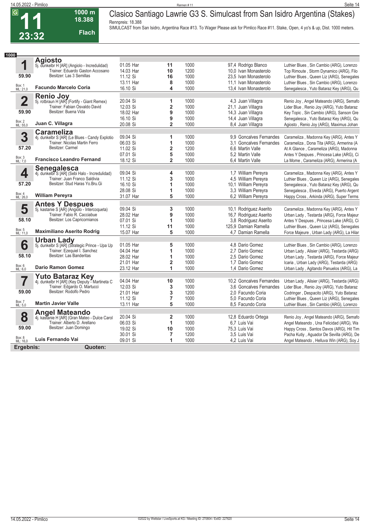**23:32**

**Flach**

#### **14.05.2022 - Pimlico** Rennen # 11 **Seite 14 1000 m 18.388 Clasico Santiago Lawrie G3 S. Simulcast from San Isidro Argentina (Stakes) Rennpreis: 18.388**

**SIMULCAST from San Isidro, Argentina Race #13. To Wager Please ask for Pimlico Race #11. Stake, Open, 4 yo's & up, Dist. 1000 meters.** 

| 1000                     |                                                                        |           |                         |      |                          |                                           |
|--------------------------|------------------------------------------------------------------------|-----------|-------------------------|------|--------------------------|-------------------------------------------|
|                          | <b>Agiosto</b>                                                         |           |                         |      |                          |                                           |
| 1                        | 5j. dunkelbr H [AR] (Angiolo - Incredulidad)                           | 01.05 Har | 11                      | 1000 | 97,4 Rodrigo Blanco      | Luthier Blues, Sin Cambio (ARG), Lorenzo  |
|                          | Trainer: Eduardo Gaston Accosano                                       | 14.03 Har | 10                      | 1200 | 10,0 Ivan Monasterolo    | Top Rimoute, Storm Dynamico (ARG), Filo   |
| 59.90                    | Besitzer: Las 3 Semillas                                               | 11.12 Si  | 16                      | 1000 | 23.5 Ivan Monasterolo    | Luthier Blues, Queen Liz (ARG), Senegales |
|                          |                                                                        | 13.11 Har | 8                       | 1000 | 11.1 Ivan Monasterolo    | Luthier Blues, Sin Cambio (ARG), Lorenzo  |
| Box: 1<br>ML: 21,0       | <b>Facundo Marcelo Coria</b>                                           | 16.10 Si  | 4                       | 1000 | 13,4 Ivan Monasterolo    | Senegalesca, Yuto Bataraz Key (ARG), Qu   |
|                          |                                                                        |           |                         |      |                          |                                           |
| $\overline{\mathbf{2}}$  | Renio Joy<br>5j. rotbraun H [AR] (Fortify - Giant Remex)               | 20.04 Si  | 1                       | 1000 | 4,3 Juan Villagra        | Renio Joy, Angel Mateando (ARG), Semafo   |
|                          | Trainer: Fabian Osvaldo David                                          | 12.03 Si  | $\overline{\mathbf{2}}$ | 1000 | 21,1 Juan Villagra       | Lider Blue, Renio Joy (ARG), Yuto Bataraz |
| 59.90                    | Besitzer: Buena Vida                                                   | 18.02 Har | 9                       | 1000 | 14,3 Juan Villagra       | Key Topic, Sin Cambio (ARG), Sanson Gre   |
|                          |                                                                        | 16.10 Si  | 9                       | 1000 | 14,4 Juan Villagra       |                                           |
| Box: 2<br>ML: 55,0       | Juan C. Villagra                                                       | 20.08 Si  | $\overline{2}$          | 1000 |                          | Senegalesca, Yuto Bataraz Key (ARG), Qu   |
|                          |                                                                        |           |                         |      | 8.4 Juan Villagra        | Agiosto, Renio Joy (ARG), Maximus Johan   |
|                          | <b>Carameliza</b>                                                      |           |                         |      |                          |                                           |
| 3                        | 4j. dunkelbr S [AR] (Le Blues - Candy Explotio                         | 09.04 Si  | 1                       | 1000 | 9.9 Goncalves Fernandes  | Carameliza, Madonna Key (ARG), Antes Y    |
|                          | Trainer: Nicolas Martin Ferro                                          | 06.03 Si  | 1                       | 1000 | 3.1 Goncalves Fernandes  | Carameliza, Dona Tita (ARG), Armerina (A  |
| 57.20                    | Besitzer: Carmel                                                       | 11.02 Si  | 2                       | 1200 | 6.6 Martin Valle         | At A Glance, Carameliza (ARG), Madonna    |
|                          |                                                                        | 07.01 Si  | 5                       | 1000 | 5,2 Martin Valle         | Antes Y Despues, Princesa Lake (ARG), Ci  |
| Box: 3<br>ML: 7,0        | <b>Francisco Leandro Fernand</b>                                       | 18.12 Si  | $\overline{2}$          | 1000 | 6.4 Martin Valle         | La Mome, Carameliza (ARG), Armerina (A    |
|                          | Senegalesca                                                            |           |                         |      |                          |                                           |
| 4                        | 4j. dunkelbr S [AR] (Sebi Halo - Incredulidad)                         | 09.04 Si  | 4                       | 1000 | 1,7 William Pereyra      | Carameliza, Madonna Key (ARG), Antes Y    |
|                          | Trainer: Juan Franco Saldivia                                          | 11.12 Si  | 3                       | 1000 | 4,5 William Pereyra      | Luthier Blues, Queen Liz (ARG), Senegales |
| 57.20                    | Besitzer: Stud Haras Yo.Bru.Gi                                         | 16.10 Si  | 1                       | 1000 | 10,1 William Pereyra     | Senegalesca, Yuto Bataraz Key (ARG), Qu   |
|                          |                                                                        | 28.08 Si  | 1                       | 1000 | 3.3 William Pereyra      | Senegalesca, Elveda (ARG), Puerto Argent  |
| Box: 4<br>ML: 26,0       | <b>William Pereyra</b>                                                 | 31.07 Har | 5                       | 1000 | 6.2 William Perevra      | Happy Cross, Arkinda (ARG), Super Terms   |
|                          | <b>Antes Y Despues</b>                                                 |           |                         |      |                          |                                           |
| 5                        | 5j. kastanie S [AR] (Angiolo - Intercoqueta)                           | 09.04 Si  | 3                       | 1000 | 10,1 Rodriguez Aserito   | Carameliza, Madonna Key (ARG), Antes Y    |
|                          | Trainer: Fabio R. Cacciabue                                            | 28.02 Har | 9                       | 1000 | 16,7 Rodriguez Aserito   | Urban Lady, Testarda (ARG), Force Majeur  |
| 58.10                    | Besitzer: Los Capricornianos                                           | 07.01 Si  | 1                       | 1000 | 3,8 Rodriguez Aserito    | Antes Y Despues, Princesa Lake (ARG), Ci  |
|                          |                                                                        | 11.12 Si  | 11                      | 1000 | 125,9 Damian Ramella     | Luthier Blues, Queen Liz (ARG), Senegales |
| Box: 5<br>ML: 11,0       | <b>Maximiliano Aserito Rodrig</b>                                      | 15.07 Har | 5                       | 1000 | 4.7 Damian Ramella       | Force Majeure, Urban Lady (ARG), La Hilar |
|                          |                                                                        |           |                         |      |                          |                                           |
|                          | Urban Lady<br>5j. dunkelbr S [AR] (Strategic Prince - Upa Up           |           |                         |      |                          |                                           |
| 6                        |                                                                        | 01.05 Har | 5                       | 1000 | 4.8 Dario Gomez          | Luthier Blues, Sin Cambio (ARG), Lorenzo  |
|                          | Trainer: Ezequiel I. Sanchez                                           | 04.04 Har | 1                       | 1000 | 2.7 Dario Gomez          | Urban Lady, Alisier (ARG), Testarda (ARG) |
| 58.10                    | Besitzer: Las Banderitas                                               | 28.02 Har | 1                       | 1000 | 2.5 Dario Gomez          | Urban Lady, Testarda (ARG), Force Majeur  |
|                          |                                                                        | 21.01 Har | $\overline{\mathbf{2}}$ | 1000 | 1,7 Dario Gomez          | Icaria, Urban Lady (ARG), Testarda (ARG)  |
| Box: 6<br>ML: 6,0        | <b>Dario Ramon Gomez</b>                                               | 23.12 Har | 1                       | 1000 | 1.4 Dario Gomez          | Urban Lady, Agitando Panuelos (ARG), La   |
|                          | <b>Yuto Bataraz Key</b>                                                |           |                         |      |                          |                                           |
|                          | 4j. dunkelbr H [AR] (Key Deputy - Martineta C                          | 04.04 Har | 10                      | 1000 | 10.2 Goncalves Fernandes | Urban Lady, Alisier (ARG), Testarda (ARG) |
|                          | Trainer: Edgardo O. Martucci                                           | 12.03 Si  | 3                       | 1000 | 3.6 Goncalves Fernandes  | Lider Blue, Renio Joy (ARG), Yuto Bataraz |
| 59.00                    | Besitzer: Rodolfo Pedro                                                | 21.01 Har | 3                       | 1200 | 2.0 Facundo Coria        | Codringer, Despacito (ARG), Yuto Bataraz  |
|                          |                                                                        | 11.12 Si  | $\overline{7}$          | 1000 | 5.0 Facundo Coria        | Luthier Blues, Queen Liz (ARG), Senegales |
| <b>Box: 7</b><br>ML: 5,0 | <b>Martin Javier Valle</b>                                             | 13.11 Har | 5                       | 1000 | 8.5 Facundo Coria        | Luthier Blues, Sin Cambio (ARG), Lorenzo  |
|                          |                                                                        |           |                         |      |                          |                                           |
| 8                        | <b>Angel Mateando</b><br>4j. kastanie H [AR] (Gran Mateo - Dulce Carol | 20.04 Si  | $\overline{\mathbf{2}}$ | 1000 | 12,8 Eduardo Ortega      | Renio Joy, Angel Mateando (ARG), Semafo   |
|                          | Trainer: Alberto D. Arellano                                           | 06.03 Si  | 1                       | 1000 | 6.7 Luis Vai             | Angel Mateando, Una Felicidad (ARG), Wa   |
| 59.00                    | Besitzer: Juan Domingo                                                 | 19.02 Si  | 10                      | 1000 | 75,3 Luis Vai            | Happy Cross, Santos Davos (ARG), Hit Tim  |
|                          |                                                                        | 30.01 Si  | $\overline{7}$          | 1200 | 3.5 Luis Vai             | Pacha Kutiy, Aguador De Sevilla (ARG), De |
| Box: 8<br>ML: 16,0       | Luis Fernando Vai                                                      | 09.01 Si  | 1                       | 1000 | 4.2 Luis Vai             | Angel Mateando, Helluva Win (ARG), Soy J  |
|                          |                                                                        |           |                         |      |                          |                                           |
| Ergebnis:                | Quoten:                                                                |           |                         |      |                          |                                           |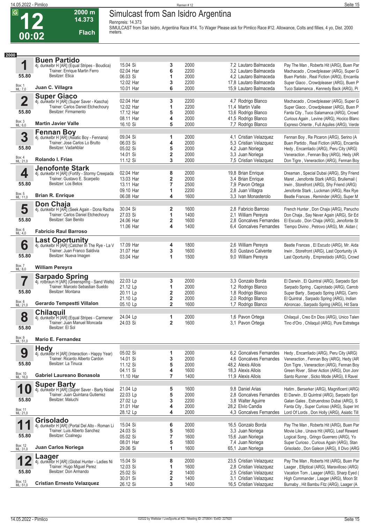**12**

#### **14.05.2022 - Pimlico** Rennen # 12 **Seite 15 Simulcast from San Isidro Argentina**

**Rennpreis: 14.373**

**14.373 Flach**

**2000 m**

**SIMULCAST from San Isidro, Argentina Race #14. To Wager Please ask for Pimlico Race #12. Allowance, Colts and fillies, 4 yo, Dist. 2000 meters.** 

| 2000                     |                                                                                     |                        |                               |              |                                                  |                                                                                        |
|--------------------------|-------------------------------------------------------------------------------------|------------------------|-------------------------------|--------------|--------------------------------------------------|----------------------------------------------------------------------------------------|
|                          | <b>Buen Partido</b>                                                                 |                        |                               |              |                                                  |                                                                                        |
| 1                        | 4j. dunkelbr H [AR] (Equal Stripes - Boudica)<br>Trainer: Enrique Martin Ferro      | 15.04 Si               | 3                             | 2000         | 7,2 Lautaro Balmaceda                            | Pay The Man, Roberts Hit (ARG), Buen Par                                               |
|                          | Besitzer: Etica                                                                     | 02.04 Har              | 6                             | 2200         | 3.2 Lautaro Balmaceda                            | Machacado, Crowdpleaser (ARG), Super G                                                 |
| 55.80                    |                                                                                     | 06.03 Si               | 1                             | 2000         | 4,2 Lautaro Balmaceda                            | Buen Partido, Real Fiction (ARG), Encarrila                                            |
| Box: 1<br>ML: 7,0        | Juan C. Villagra                                                                    | 12.02 Har<br>10.01 Har | 3<br>6                        | 2200<br>2000 | 17,8 Lautaro Balmaceda<br>15,9 Lautaro Balmaceda | Super Giaco, Crowdpleaser (ARG), Buen P<br>Tuco Salamanca, Kennedy Back (ARG), Pi      |
|                          |                                                                                     |                        |                               |              |                                                  |                                                                                        |
| $\overline{\mathbf{2}}$  | <b>Super Giaco</b><br>4j. dunkelbr H [AR] (Super Saver - Kascha)                    | 02.04 Har              | 3                             | 2200         | 4,7 Rodrigo Blanco                               | Machacado, Crowdpleaser (ARG), Super G                                                 |
|                          | Trainer: Carlos Daniel Etchechoury                                                  | 12.02 Har              | 1                             | 2200         | 11,4 Martin Valle                                | Super Giaco, Crowdpleaser (ARG), Buen P                                                |
| 55.80                    | Besitzer: Firmamento                                                                | 17.12 Har              | 5                             | 2000         | 13,6 Rodrigo Blanco                              | Fanta City, Tuco Salamanca (ARG), Crowd                                                |
|                          |                                                                                     | 08.11 Har              | 4                             | 2000         | 41,5 Rodrigo Blanco                              | Curious Again, Levine (ARG), Hocico Blanc                                              |
| Box: 3<br>ML: 6,0        | <b>Martin Javier Valle</b>                                                          | 16.10 Si               | 5                             | 2000         | 7,7 Rodrigo Blanco                               | Expreso Oriente, Full Aquiles (ARG), Verde                                             |
|                          | <b>Fennan Boy</b>                                                                   |                        |                               |              |                                                  |                                                                                        |
| 3                        | 4j. dunkelbr H [AR] (Asiatic Boy - Fennana)                                         | 09.04 Si               | 1                             | 2000         | 4,1 Cristian Velazquez                           | Fennan Boy, Re Picaron (ARG), Serino (A                                                |
|                          | Trainer: Jose Carlos Lo Brutto                                                      | 06.03 Si               | 4                             | 2000         | 5,3 Cristian Velazquez                           | Buen Partido, Real Fiction (ARG), Encarrila                                            |
| 55.80                    | Besitzer: Vadarkblar                                                                | 05.02 Si               | 5                             | 2000         | 4,2 Juan Noriega                                 | Hedy, Encarrilado (ARG), Peru City (ARG)                                               |
| Box: 4<br>ML: 21,0       | <b>Rolando I. Frias</b>                                                             | 14.01 Si<br>11.12 Si   | $\overline{\mathbf{2}}$<br>3  | 2000<br>2000 | 3,3 Juan Noriega                                 | Veneraction, Fennan Boy (ARG), Hedy (AR                                                |
|                          |                                                                                     |                        |                               |              | 7,5 Cristian Velazquez                           | Don Tigre, Veneraction (ARG), Fennan Boy                                               |
| 4                        | <b>Jenofonte Stark</b>                                                              | 02.04 Har              | 8                             | 2000         | 19,8 Brian Enrique                               | Dreaman, Special Dubai (ARG), Shy Friend                                               |
|                          | 4j. dunkelbr H [AR] (Fortify - Stormy Creepada<br>Trainer: Gustavo E. Scarpello     | 13.03 Har              | 2                             | 2000         | 3.4 Brian Enrique                                | Maret, Jenofonte Stark (ARG), Brullemail (                                             |
| 55.80                    | Besitzer: Los Betos                                                                 | 13.11 Har              | $\overline{7}$                | 2500         | 7,9 Pavon Ortega                                 | Irwin, Storefront (ARG), Shy Friend (ARG)                                              |
|                          |                                                                                     | 09.10 Har              | 1                             | 2200         | 2,8 Juan Villagra                                | Jenofonte Stark, Luckman (ARG), Rex Rye                                                |
| Box: 5<br>ML: 11,0       | <b>Brian R. Enrique</b>                                                             | 06.08 Har              | 4                             | 1600         | 3.3 Ivan Monasterolo                             | Beatle Frances, Reminder (ARG), Super M                                                |
|                          | <b>Don Chaja</b>                                                                    |                        |                               |              |                                                  |                                                                                        |
| 5                        | 4j. dunkelbr H [AR] (Seek Again - Dona Racha                                        | 30.04 Si               | $\overline{\mathbf{2}}$       | 1600         | 2.8 Fabricio Barroso                             | French Hunter, Don Chaja (ARG), Panucho                                                |
|                          | Trainer: Carlos Daniel Etchechoury                                                  | 27.03 Si               | 1                             | 1400         | 2,1 William Pereyra                              | Don Chaja, Say Never Again (ARG), Sir Ed                                               |
| 55.80                    | Besitzer: San Benito                                                                | 24.06 Har              | $\overline{\mathbf{2}}$       | 1600         | 2.8 Goncalves Fernandes                          | El Escudo, Don Chaja (ARG), Jenofonte St                                               |
| Box: 6<br>ML: 4,0        | <b>Fabricio Raul Barroso</b>                                                        | 11.06 Har              | 4                             | 1400         | 6.4 Goncalves Fernandes                          | Tiempo Divino, Petrovo (ARG), Mr. Aidan (                                              |
|                          |                                                                                     |                        |                               |              |                                                  |                                                                                        |
|                          | <b>Last Oportunity</b><br>4j. dunkelbr H [AR] (Catcher In The Rye - La V            | 17.09 Har              |                               | 1800         | 2,6 William Pereyra                              | Beatle Frances, El Escudo (ARG), Mr. Aida                                              |
| 6                        | Trainer: Juan Franco Saldivia                                                       | 31.07 Har              | 4<br>3                        | 1600         | 8.0 Gustavo Calvente                             | Irwin, Storefront (ARG), Last Oportunity (A                                            |
| 55.80                    | Besitzer: Nueva Imagen                                                              | 03.04 Har              | 1                             | 1500         | 9.0 William Pereyra                              | Last Oportunity, Emprestado (ARG), Crowd                                               |
|                          |                                                                                     |                        |                               |              |                                                  |                                                                                        |
| <b>Box: 7</b><br>ML: 8,0 | <b>William Pereyra</b>                                                              |                        |                               |              |                                                  |                                                                                        |
|                          |                                                                                     |                        |                               |              |                                                  |                                                                                        |
|                          | <b>Sarpado Spring</b><br>4j. rotbraun H [AR] (Greenspring - Sand Wells)             | 22.03 Lp               | 3                             | 2000         | 3.3 Gonzalo Borda                                | El Darwin, El Quintral (ARG), Sarpado Spri                                             |
|                          | Trainer: Marcelo Sebastian Sueldo                                                   | 21.12 Lp               | 1                             | 2000         | 1,2 Rodrigo Blanco                               | Sarpado Spring, Capirotado (ARG), Carrob                                               |
| 55.80                    | Besitzer: Montana                                                                   | 20.11 Lp               | 2                             | 2000         | 1,8 Rodrigo Blanco                               | Super Barty, Sarpado Spring (ARG), Carro                                               |
| Box: 8<br>ML: 21,0       | Gerardo Tempestti Villalon                                                          | 21.10 Lp<br>05.10 Lp   | $\mathbf 2$<br>$\overline{2}$ | 2000<br>1600 | 2,0 Rodrigo Blanco<br>1,7 Rodrigo Blanco         | El Quintral, Sarpado Spring (ARG), Indian<br>Abroncao, Sarpado Spring (ARG), Hit Sara  |
|                          |                                                                                     |                        |                               |              |                                                  |                                                                                        |
| 8                        | <b>Chilaquil</b><br>4j. dunkelbr H [AR] (Equal Stripes - Carmener                   | 24.04 Lp               | 1                             | 2000         | 1,6 Pavon Ortega                                 | Chilaquil, Creo En Dios (ARG), Unico Talen                                             |
|                          | Trainer: Juan Manuel Moncada                                                        | 24.03 Si               | $\overline{2}$                | 1600         | 3.1 Pavon Ortega                                 | Tino d'Oro, Chilaquil (ARG), Pure Estratega                                            |
| 55.80                    | Besitzer: El Sol                                                                    |                        |                               |              |                                                  |                                                                                        |
|                          |                                                                                     |                        |                               |              |                                                  |                                                                                        |
| Box: 9<br>ML: 51,0       | Mario E. Fernandez                                                                  |                        |                               |              |                                                  |                                                                                        |
|                          | <b>Hedy</b>                                                                         |                        |                               |              |                                                  |                                                                                        |
| 9                        | 4j. dunkelbr H [AR] (Interaction - Happy Year)                                      | 05.02 Si               | 1                             | 2000         | 6.2 Goncalves Fernandes                          | Hedy, Encarrilado (ARG), Peru City (ARG)                                               |
| 55.80                    | Trainer: Ricardo Alberto Cardon<br>Besitzer: La Tinuca                              | 14.01 Si               | 3                             | 2000         | 4,6 Goncalves Fernandes                          | Veneraction, Fennan Boy (ARG), Hedy (AR                                                |
|                          |                                                                                     | 11.12 Si<br>04.11 Si   | 5<br>4                        | 2000<br>1600 | 48,2 Alexis Allois<br>18.3 Alexis Allois         | Don Tigre, Veneraction (ARG), Fennan Boy<br>Green River, Silver Action (ARG), Don Jonr |
| Box: 10<br>ML: 16,0      | Gabriel Laureano Bonasola                                                           | 11.10 Har              | $\overline{7}$                | 1400         | 11,9 Alexis Allois                               | Santo Runner, Sicko Mode (ARG), Il Ravel                                               |
|                          | <b>Super Barty</b>                                                                  |                        |                               |              |                                                  |                                                                                        |
| 1<br>$\bf{U}$            |                                                                                     | 21.04 Lp               | 5                             | 1600         | 9.8 Daniel Arias                                 | Hatim, Berserker (ARG), Magnificent (ARG)                                              |
|                          | 4j. dunkelbr H [AR] (Super Saver - Barty Nistel<br>Trainer: Juan Quintana Gutierrez | 22.03 Lp               | 5                             | 2000         | 2.8 Goncalves Fernandes                          | El Darwin, El Quintral (ARG), Sarpado Spri                                             |
| 55.80                    | Besitzer: Maluchi                                                                   | 27.02 Lp               | 3                             | 2200         | 3.8 Walter Aquirre                               | Galan Gales, Estruendoso Dubai (ARG), S                                                |
|                          |                                                                                     | 31.01 Har              | 4                             | 2000         | 28,2 Elvio Candia                                | Fanta City, Super Curioso (ARG), Super Int                                             |
| Box: 11<br>ML: 21,0      |                                                                                     | 28.12 Lp               | 4                             | 2000         | 4,3 Goncalves Fernandes                          | Lord Of Lords, Don Holly (ARG), Asiatic Till                                           |
| 1                        | <b>Grisolado</b>                                                                    |                        |                               |              |                                                  |                                                                                        |
|                          | 4j. dunkelbr H [AR] (Portal Del Alto - Roman Li                                     | 15.04 Si               | 6                             | 2000         | 16,5 Gonzalo Borda                               | Pay The Man, Roberts Hit (ARG), Buen Par                                               |
| 55.80                    | Trainer: Luis Alberto Sanchez<br>Besitzer: Coalnegu                                 | 24.03 Si<br>05.02 Si   | 5<br>$\overline{7}$           | 1600<br>1600 | 3,3 Juan Noriega<br>15,6 Juan Noriega            | Movie Like, Unava Hit (ARG), Leaf Reward<br>Logical Song, Gringo Guerrero (ARG), Yo    |
|                          |                                                                                     | 08.01 Har              | 5                             | 1800         | 7,4 Juan Noriega                                 | Super Curioso, Curious Again (ARG), Stan                                               |
| Box: 12<br>ML: 31,0      | Juan Carlos Noriega                                                                 | 29.06 Si               | 1                             | 1600         | 65,1 Juan Noriega                                | Grisolado, Don Galeon (ARG), Il Divo (ARG                                              |
|                          | Laager                                                                              |                        |                               |              |                                                  |                                                                                        |
|                          | 4j. dunkelbr H [AR] (Global Hunter - Ladies Ni                                      | 15.04 Si               | 8                             | 2000         | 23,5 Cristian Velazquez                          | Pay The Man, Roberts Hit (ARG), Buen Par                                               |
|                          | Trainer: Hugo Miguel Perez                                                          | 12.03 Si               | 1                             | 1600         | 2.8 Cristian Velazquez                           | Laager, Elliptical (ARG), Maravilloso (ARG)                                            |
| 55.80                    | Besitzer: Don Armando                                                               | 25.02 Si               | 2                             | 1400         | 2,5 Cristian Velazquez                           | Vacation Tom, Laager (ARG), Sharp Eyed (                                               |
|                          |                                                                                     | 30.01 Si               | $\overline{\mathbf{2}}$       | 1400         | 3,1 Cristian Velazquez                           | High Commander, Laager (ARG), Moon St                                                  |
| Box: 13<br>ML: 51,0      | <b>Cristian Ernesto Velazquez</b>                                                   | 26.12 Si               | 3                             | 1400         | 16,5 Cristian Velazquez                          | Burnaby, Hit Bambu Fitz (ARG), Laager (A                                               |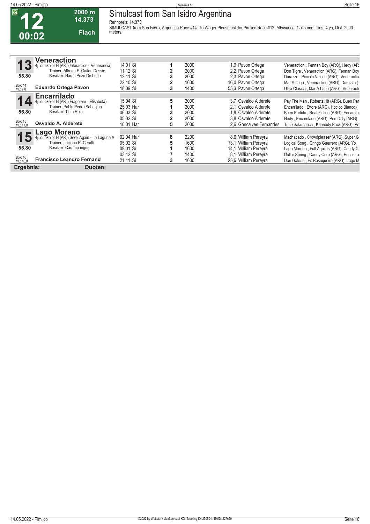**12**

#### **14.05.2022 - Pimlico** Rennen # 12 **Seite 16 Simulcast from San Isidro Argentina**

**Rennpreis: 14.373**

**14.373 Flach**

**2000 m**

**SIMULCAST from San Isidro, Argentina Race #14. To Wager Please ask for Pimlico Race #12. Allowance, Colts and fillies, 4 yo, Dist. 2000 meters.** 

|                     | /eneraction                                    |           |   |      |                         |                                             |
|---------------------|------------------------------------------------|-----------|---|------|-------------------------|---------------------------------------------|
|                     | 4j. dunkelbr H [AR] (Interaction - Venerancia) | 14.01 Si  |   | 2000 | 1,9 Pavon Ortega        | Veneraction, Fennan Boy (ARG), Hedy (AR     |
|                     | Trainer: Alfredo F. Gaitan Dassie              | 11.12 Si  |   | 2000 | 2,2 Pavon Ortega        | Don Tigre, Veneraction (ARG), Fennan Boy    |
| 55.80               | Besitzer: Haras Pozo De Luna                   | 12.11 Si  |   | 2000 | 2.3 Pavon Ortega        | Durazzo, Piccolo Veloce (ARG), Veneractio   |
|                     |                                                | 22.10 Si  |   | 1600 | 16,0 Pavon Ortega       | Mar A Lago, Veneraction (ARG), Durazzo (    |
| Box: 14<br>ML: 9,0  | <b>Eduardo Ortega Pavon</b>                    | 18.09 Si  |   | 1400 | 55.3 Pavon Ortega       | Ultra Clasico, Mar A Lago (ARG), Veneracti  |
|                     | <b>Encarrilado</b>                             |           |   |      |                         |                                             |
|                     | dunkelbr H [AR] (Fragotero - Elisabeta)        | 15.04 Si  | 5 | 2000 | 3.7 Osvaldo Alderete    | Pay The Man, Roberts Hit (ARG), Buen Par    |
|                     | Trainer: Pablo Pedro Sahagian                  | 25.03 Har |   | 2000 | Osvaldo Alderete<br>2.1 | Encarrilado, Ettore (ARG), Hocico Blanco (  |
| 55.80               | Besitzer: Tinta Roja                           | 06.03 Si  |   | 2000 | 1.8 Osvaldo Alderete    | Buen Partido, Real Fiction (ARG), Encarrila |
|                     |                                                | 05.02 Si  |   | 2000 | 3.8 Osvaldo Alderete    | Hedy, Encarrilado (ARG), Peru City (ARG)    |
| Box: 15<br>ML: 11,0 | Osvaldo A. Alderete                            | 10.01 Har | 5 | 2000 | 2.6 Goncalves Fernandes | Tuco Salamanca, Kennedy Back (ARG), Pi      |
|                     | aqo Morenoـ                                    |           |   |      |                         |                                             |
|                     | dunkelbr H [AR] (Seek Again - La Laguna A      | 02.04 Har | 8 | 2200 | 8.6 William Pereyra     | Machacado, Crowdpleaser (ARG), Super G      |
|                     | Trainer: Luciano R. Cerutti                    | 05.02 Si  |   | 1600 | William Pereyra<br>13.1 | Logical Song, Gringo Guerrero (ARG), Yo     |
| 55.80               | Besitzer: Carampanque                          | 09.01 Si  |   | 1600 | William Pereyra<br>14.1 | Lago Moreno, Full Aquiles (ARG), Candy C    |
|                     |                                                | 03.12 Si  |   | 1400 | William Pereyra<br>8.1  | Dollar Spring, Candy Cure (ARG), Equal La   |
| Box: 16<br>ML: 16.0 | <b>Francisco Leandro Fernand</b>               | 21.11 Si  | 3 | 1600 | 25,6 William Pereyra    | Don Galeon, Es Besugueiro (ARG), Lago M     |
| Ergebnis:           | Quoten:                                        |           |   |      |                         |                                             |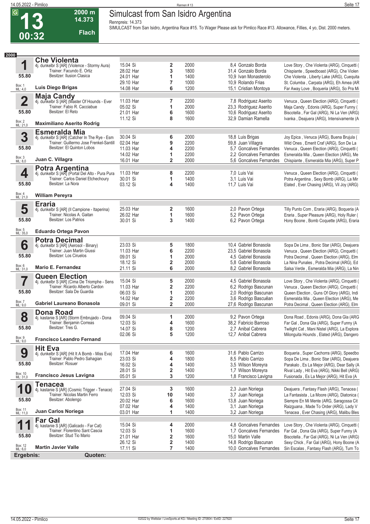**00:32**

### **14.05.2022 - Pimlico** Rennen # 13 **Seite 17 Simulcast from San Isidro Argentina**

**Rennpreis: 14.373**

**2000 m 14.373** 

**Flach**

**SIMULCAST from San Isidro, Argentina Race #15. To Wager Please ask for Pimlico Race #13. Allowance, Fillies, 4 yo, Dist. 2000 meters.** 

| 2000                    |                                                                            |                       |                |              |                                              |                                                                                        |
|-------------------------|----------------------------------------------------------------------------|-----------------------|----------------|--------------|----------------------------------------------|----------------------------------------------------------------------------------------|
|                         | <b>Che Violenta</b>                                                        |                       |                |              |                                              |                                                                                        |
| 1                       | 4j. dunkelbr S [AR] (Violence - Stormy Aura)                               | 15.04 Si              | 2              | 2000         | 8,4 Gonzalo Borda                            | Love Story, Che Violenta (ARG), Cinquetti (                                            |
|                         | Trainer: Facundo E. Ortiz                                                  | 28.02 Har             | 3              | 1800         | 31,4 Gonzalo Borda                           | Chispiante, Speedboast (ARG), Che Violen                                               |
| 55.80                   | Besitzer: Ilusion Clasica                                                  | 24.01 Har             | 1              | 1400         | 10,9 Ivan Monasterolo                        | Che Violenta, Liberty Lake (ARG), Cuequita                                             |
|                         |                                                                            | 29.10 Har             | 7              | 1000         | 10,9 Rolando Frias                           | St. Columba, Carpata (ARG), Eh Amea (AR                                                |
| Box: 1<br>ML: 4,0       | Luis Diego Brigas                                                          | 14.08 Har             | 6              | 1200         | 15,1 Cristian Montoya                        | Far Away Love, Boqueria (ARG), So Pra Mi                                               |
|                         | Maja Candy                                                                 |                       |                |              |                                              |                                                                                        |
| $\overline{\mathbf{2}}$ | 4j. dunkelbr S [AR] (Master Of Hounds - Ever                               | 11.03 Har             | 7              | 2200         | 7,8 Rodriguez Aserito                        | Venuca, Queen Election (ARG), Cinquetti (                                              |
|                         | Trainer: Fabio R. Cacciabue                                                | 05.02 Si              | 1              | 2000         | 23,3 Rodriguez Aserito                       | Maja Candy, Edonis (ARG), Super Funny (                                                |
| 55.80                   | Besitzer: El Reto                                                          | 21.01 Har             | 6              | 1600         | 10,6 Rodriguez Aserito                       | Biscotella, Far Gal (ARG), Ni La Ven (ARG)                                             |
|                         |                                                                            | 11.12 Si              | 8              | 1600         | 32,9 Damian Ramella                          | Ivanka, Deajuera (ARG), Intensivamente (A                                              |
| Box: 2<br>ML: 21,0      | <b>Maximiliano Aserito Rodrig</b>                                          |                       |                |              |                                              |                                                                                        |
|                         | <b>Esmeralda Mia</b>                                                       |                       |                |              |                                              |                                                                                        |
| 3                       | 4j. dunkelbr S [AR] (Catcher In The Rye - Esm                              | 30.04 Si              | 6              | 2000         | 18,8 Luis Brigas                             | Joy Epica, Venuca (ARG), Buena Brujula (                                               |
|                         | Trainer: Guillermo Jose Frenkel-Santill                                    | 02.04 Har             | 9              | 2200         | 59,8 Juan Villagra                           | Wild Ones, Emerit Craf (ARG), Son De La                                                |
| 55.80                   | Besitzer: El Quinton Lobos                                                 | 11.03 Har             | 4              | 2200         | 5.7 Goncalves Fernandes                      | Venuca, Queen Election (ARG), Cinquetti (                                              |
|                         |                                                                            | 14.02 Har             | 1              | 2200         | 2.2 Goncalves Fernandes                      | Esmeralda Mia, Queen Election (ARG), Me                                                |
| Box: 3<br>ML: 8,0       | Juan C. Villagra                                                           | 16.01 Har             | 2              | 2000         | 5,6 Goncalves Fernandes                      | Chispiante, Esmeralda Mia (ARG), Super P                                               |
|                         | <b>Potra Argentina</b><br>4j. dunkelbr S [AR] (Portal Del Alto - Pura Pura |                       |                |              |                                              |                                                                                        |
| 4                       |                                                                            | 11.03 Har             | 8              | 2200         | 7,0 Luis Vai                                 | Venuca, Queen Election (ARG), Cinquetti (                                              |
| 55.80                   | Trainer: Carlos Daniel Etchechoury<br>Besitzer: La Nora                    | 30.01 Si              | 1              | 1400         | 3.1 Luis Vai                                 | Potra Argentina, Sexy Bomb (ARG), La Mir                                               |
|                         |                                                                            | 03.12 Si              | 4              | 1400         | 11,7 Luis Vai                                | Elated, Ever Chasing (ARG), Vil Joy (ARG)                                              |
| Box: 4<br>ML: 21,0      | <b>William Pereyra</b>                                                     |                       |                |              |                                              |                                                                                        |
|                         | <b>Eraria</b>                                                              |                       |                |              |                                              |                                                                                        |
| 5                       | 4j. dunkelbr S [AR] (Il Campione - Itaperina)                              | 25.03 Har             | 2              | 1600         | 2,0 Pavon Ortega                             | Tilly Punto Com, Eraria (ARG), Boqueria (A                                             |
|                         | Trainer: Nicolas A. Gaitan                                                 | 26.02 Har             | 1              | 1600         | 5,2 Pavon Ortega                             | Eraria, Super Pleasure (ARG), Holy Ruler (                                             |
| 55.80                   | Besitzer: Los Patrios                                                      | 30.01 Si              | 3              | 1400         | 6.2 Pavon Ortega                             | Hony Boone, Bomb Coquette (ARG), Eraria                                                |
| Box: 5<br>ML: 35,0      | <b>Eduardo Ortega Pavon</b>                                                |                       |                |              |                                              |                                                                                        |
|                         | <b>Potra Decimal</b>                                                       |                       |                |              |                                              |                                                                                        |
| 6                       | 4j. dunkelbr S [AR] (Aerosol - Binary)                                     | 23.03 Si              | 5              | 1800         | 10,4 Gabriel Bonasola                        | Sopa De Lima, Bonic Star (ARG), Deajuera                                               |
|                         | Trainer: Juan Martin Giussi                                                | 11.03 Har             | 6              | 2200         | 23.5 Gabriel Bonasola                        | Venuca, Queen Election (ARG), Cinquetti (                                              |
| 55.80                   | Besitzer: Los Ciruelos                                                     | 09.01 Si              | 1              | 2000         | 4,5 Gabriel Bonasola                         | Potra Decimal, Queen Election (ARG), Elm                                               |
|                         |                                                                            | 18.12 Si              | 2              | 2000         | 5.8 Gabriel Bonasola                         | La Nina Punales, Potra Decimal (ARG), Ed                                               |
| Box: 6<br>ML: 31,0      | <b>Mario E. Fernandez</b>                                                  | 21.11 Si              | 6              | 2000         | 8,2 Gabriel Bonasola                         | Salsa Verde, Esmeralda Mia (ARG), La Nin                                               |
|                         | <b>Queen Election</b>                                                      |                       |                |              |                                              |                                                                                        |
| 7                       | 4j. dunkelbr S [AR] (Cima De Triomphe - Sens                               | 15.04 Si              | 5              | 2000         | 4,5 Gabriel Bonasola                         | Love Story, Che Violenta (ARG), Cinquetti (                                            |
|                         | Trainer: Ricardo Alberto Cardon                                            | 11.03 Har             | 2              | 2200         | 6,2 Rodrigo Bascunan                         | Venuca, Queen Election (ARG), Cinquetti (                                              |
| 55.80                   | Besitzer: Sala De Guardia                                                  | 06.03 Si              | 1              | 2000         | 2,0 Rodrigo Bascunan                         | Queen Election, Guns Of Glory (ARG), Indi                                              |
| Box: 7                  |                                                                            | 14.02 Har             | 2              | 2200         | 3,6 Rodrigo Bascuêan                         | Esmeralda Mia, Queen Election (ARG), Me                                                |
| ML: 9,0                 | Gabriel Laureano Bonasola                                                  | 09.01 Si              | $\overline{2}$ | 2000         | 27,6 Rodrigo Bascunan                        | Potra Decimal, Queen Election (ARG), Elm                                               |
|                         | <b>Dona Road</b>                                                           |                       |                |              |                                              |                                                                                        |
| 8                       | 4j. kastanie S [AR] (Storm Embrujado - Dona                                | 09.04 Si              | 1              | 2000         | 9,2 Pavon Ortega                             | Dona Road, Edonis (ARG), Dona Gla (ARG                                                 |
|                         | Trainer: Benjamin Correas                                                  | 12.03 Si              | 4              | 1600         | 38,2 Fabricio Barroso                        | Far Gal, Dona Gla (ARG), Super Funny (A                                                |
| 55.80                   | Besitzer: Tres G.                                                          | 14.07 Si              | 8              | 1200         | 2.7 Anibal Cabrera                           | Twilight Cat, Mani Nistel (ARG), La Explora                                            |
| Box: 9<br>ML: 9,0       | <b>Francisco Leandro Fernand</b>                                           | 02.06 Si              | 5              | 1200         | 12,7 Anibal Cabrera                          | Milonguita Hounds, Elated (ARG), Dangero                                               |
|                         |                                                                            |                       |                |              |                                              |                                                                                        |
| 9                       | <b>Hit Eva</b><br>4j. dunkelbr S [AR] (Hit It A Bomb - Miss Eva)           | 17.04 Har             | 6              | 1600         | 31,6 Pablo Carrizo                           | Boqueria, Super Cachorra (ARG), Speedbo                                                |
|                         | Trainer: Pablo Pedro Sahagian                                              | 23.03 Si              | 4              | 1800         | 8.5 Pablo Carrizo                            | Sopa De Lima, Bonic Star (ARG), Deajuera                                               |
| 55.80                   | Besitzer: Rosuer                                                           | 16.02 Si              | 4              | 1400         | 3,5 Wilson Moreyra                           | Parakalo, Es La Mejor (ARG), Dear Sally (A                                             |
|                         |                                                                            | 28.01 Si              | 2              | 1400         | 1,7 Wilson Moreyra                           | Rival Lady, Hit Eva (ARG), Nikki Bell (ARG)                                            |
| Box: 10<br>ML: 31,0     | <b>Francisco Jesus Lavigna</b>                                             | 05.01 Si              | 3              | 1200         | 1,8 Francisco Lavigna                        | Fusionada, Es La Mejor (ARG), Hit Eva (A                                               |
|                         | <b>Tenacea</b>                                                             |                       |                |              |                                              |                                                                                        |
| 1                       | 4j. kastanie S [AR] (Cosmic Trigger - Tenace)                              | 27.04 Si              | 3              | 1600         | 2,3 Juan Noriega                             | Deajuera, Fantasy Flash (ARG), Tenacea (                                               |
|                         | Trainer: Nicolas Martin Ferro                                              | 12.03 Si              | 10             | 1400         | 3,7 Juan Noriega                             | La Fantasista, La Moore (ARG), Diatonica (                                             |
| 55.80                   | Besitzer: Abolengo                                                         | 20.02 Har             | 6              | 1600         | 13,8 Juan Noriega                            | Siempre En Mi Mente (ARG, Saragossa Cit                                                |
|                         |                                                                            | 07.02 Har             | 4              | 1400         | 3,1 Juan Noriega                             | Raizguana, Made To Order (ARG), Lady V                                                 |
| Box: 11<br>ML: 11,0     | Juan Carlos Noriega                                                        | 03.01 Har             | 1              | 1400         | 3,2 Juan Noriega                             | Tenacea, Ever Chasing (ARG), Malibu Bles                                               |
|                         | <b>Far Gal</b>                                                             |                       |                |              |                                              |                                                                                        |
| 1                       | 4j. kastanie S [AR] (Galicado - Far Cat)                                   | 15.04 Si              | 4              | 2000         | 4,8 Goncalves Fernandes                      | Love Story, Che Violenta (ARG), Cinquetti (                                            |
| 55.80                   | Trainer: Florentino Sant Cascia<br>Besitzer: Stud Tio Mario                | 12.03 Si<br>21.01 Har | 1              | 1600<br>1600 | 1.7 Goncalves Fernandes<br>15,0 Martin Valle | Far Gal, Dona Gla (ARG), Super Funny (A                                                |
|                         |                                                                            | 26.12 Si              | 2<br>2         | 1400         | 14,8 Rodrigo Bascunan                        | Biscotella, Far Gal (ARG), Ni La Ven (ARG)<br>Sexy Chick, Far Gal (ARG), Hony Boone (A |
| Box: 12<br>ML: 6,0      | <b>Martin Javier Valle</b>                                                 | 17.11 Si              | 7              | 1400         | 10,0 Goncalves Fernandes                     | Sin Escalas, Fantasy Flash (ARG), Turn To                                              |
| Ergebnis:               | Quoten:                                                                    |                       |                |              |                                              |                                                                                        |
|                         |                                                                            |                       |                |              |                                              |                                                                                        |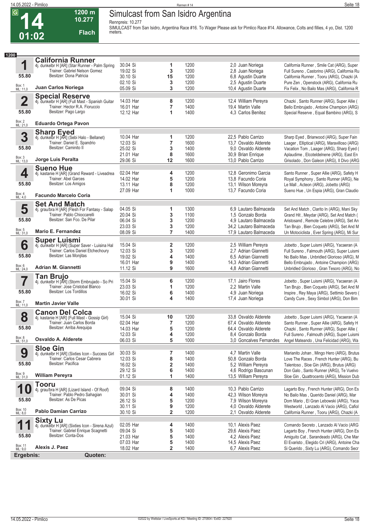**14**

### **Simulcast from San Isidro Argentina**

**Rennpreis: 10.277**

**10.277 Flach**

**1200 m**

**SIMULCAST from San Isidro, Argentina Race #16. To Wager Please ask for Pimlico Race #14. Allowance, Colts and fillies, 4 yo, Dist. 1200 meters.** 

| 1200               |                                                                                   |                       |                         |              |                                               |                                                                                        |
|--------------------|-----------------------------------------------------------------------------------|-----------------------|-------------------------|--------------|-----------------------------------------------|----------------------------------------------------------------------------------------|
|                    | <b>California Runner</b>                                                          |                       |                         |              |                                               |                                                                                        |
| 1                  | 4j. dunkelbr H [AR] (Star Runner - Palm Spring<br>Trainer: Gabriel Nelson Gomez   | 30.04 Si              | 1                       | 1200         | 2,0 Juan Noriega                              | California Runner, Smile Cat (ARG), Super                                              |
| 55.80              | Besitzer: Dona Patricia                                                           | 19.02 Si<br>30.10 Si  | 3<br>15                 | 1200<br>1200 | 2,8 Juan Noriega                              | Full Sureno, Castorino (ARG), California Ru                                            |
|                    |                                                                                   | 02.10 Si              | 3                       | 1200         | 6,8 Agustin Duarte<br>2,5 Agustin Duarte      | California Runner, Tooru (ARG), Chazki (A<br>Pure Zen, Openstock (ARG), California Ru  |
| Box: 1<br>ML: 11,0 | Juan Carlos Noriega                                                               | 05.09 Si              | 3                       | 1200         | 10,4 Agustin Duarte                           | Fix Felix, No Bailo Mas (ARG), California R                                            |
|                    |                                                                                   |                       |                         |              |                                               |                                                                                        |
| $\overline{2}$     | <b>Special Reserve</b><br>4j. dunkelbr H [AR] (Full Mast - Spanish Guitar         | 14.03 Har             | 8                       | 1200         | 12,4 William Pereyra                          | Chazki, Santo Runner (ARG), Super Allie (                                              |
|                    | Trainer: Hector R.A. Fioruccio                                                    | 16.01 Har             | $\overline{7}$          | 1400         | 19,4 Martin Valle                             | Bello Embrujado, Antoine Champion (ARG)                                                |
| 55.80              | Besitzer: Pago Largo                                                              | 12.12 Har             | 1                       | 1400         | 4.3 Carlos Benitez                            | Special Reserve, Equal Bambino (ARG), S                                                |
|                    |                                                                                   |                       |                         |              |                                               |                                                                                        |
| Box: 2<br>ML: 21,0 | <b>Eduardo Ortega Pavon</b>                                                       |                       |                         |              |                                               |                                                                                        |
|                    | <b>Sharp Eyed</b>                                                                 |                       |                         |              |                                               |                                                                                        |
| 3                  | 4j. dunkelbr H [AR] (Sebi Halo - Bellanet)                                        | 10.04 Har             | 1                       | 1200         | 22.5 Pablo Carrizo                            | Sharp Eyed, Briarwood (ARG), Super Fain                                                |
|                    | Trainer: Daniel E. Spandrio<br>Besitzer: Caminito II                              | 12.03 Si              | 7                       | 1600         | 13,7 Osvaldo Alderete                         | Laager, Elliptical (ARG), Maravilloso (ARG)                                            |
| 55.80              |                                                                                   | 25.02 Si              | 3                       | 1400         | 9.0 Osvaldo Alderete                          | Vacation Tom, Laager (ARG), Sharp Eyed (                                               |
| Box: 3<br>ML: 13,0 | Jorge Luis Peralta                                                                | 21.01 Har             | 8                       | 1600         | 30,9 Brian Enrique                            | Aplaudime, Elcoteldelnene (ARG), East En                                               |
|                    |                                                                                   | 29.06 Si              | 12                      | 1600         | 13,0 Pablo Carrizo                            | Grisolado, Don Galeon (ARG), Il Divo (ARG                                              |
|                    | <b>Sueno Hue</b>                                                                  | 02.04 Har             |                         | 1200         | 12.8 Geronimo Garcia                          |                                                                                        |
| 4                  | 4j. kastanie H [AR] (Grand Reward - Liveadrea<br>Trainer: Abel Garces             | 14.02 Har             | 4<br>5                  | 1200         | 13.8 Facundo Coria                            | Santo Runner, Super Allie (ARG), Safety H<br>Royal Symphony, Santo Runner (ARG), Ne    |
| 55.80              | Besitzer: Los Amigos                                                              | 13.11 Har             | 8                       | 1200         | 13,1 Wilson Moreyra                           | Le Mall, Acteon (ARG), Jobetto (ARG)                                                   |
|                    |                                                                                   | 27.09 Har             | 1                       | 1000         | 13.7 Facundo Coria                            | Sueno Hue, Un Espia (ARG), Gran Claudio                                                |
| Box: 4<br>ML: 4,0  | <b>Facundo Marcelo Coria</b>                                                      |                       |                         |              |                                               |                                                                                        |
|                    | <b>Set And Match</b>                                                              |                       |                         |              |                                               |                                                                                        |
| 5                  | 4j. grau/bra H [AR] (Flesh For Fantasy - Salap                                    | 04.05 Si              | 1                       | 1300         | 6.9 Lautaro Balmaceda                         | Set And Match, Clarito In (ARG), Mani Sky                                              |
|                    | Trainer: Pablo Chioccarelli                                                       | 20.04 Si              | 3                       | 1100         | 1.5 Gonzalo Borda                             | Grand Hit, Meydar (ARG), Set And Match (                                               |
| 55.80              | Besitzer: San Fco. De Pilar                                                       | 06.04 Si              | 3                       | 1200         | 4.9 Lautaro Balmaceda                         | Aristosand, Remote Celebre (ARG), Set An                                               |
|                    |                                                                                   | 23.03 Si              | 3                       | 1200         | 34,2 Lautaro Balmaceda                        | Tan Brujo, Bien Coqueto (ARG), Set And M                                               |
| Box: 5<br>ML: 31,0 | <b>Mario E. Fernandez</b>                                                         | 08.09 Si              | $\overline{7}$          | 1400         | 17,9 Lautaro Balmaceda                        | Un Motociclista, Ever Spring (ARG), Mi Sur                                             |
|                    | <b>Super Luismi</b>                                                               |                       |                         |              |                                               |                                                                                        |
| 6                  | 4j. dunkelbr H [AR] (Super Saver - Luisina Hal                                    | 15.04 Si              | 2                       | 1200         | 2,5 William Pereyra                           | Jobetto, Super Luismi (ARG), Yacaeran (A                                               |
|                    | Trainer: Carlos Daniel Etchechoury<br>Besitzer: Las Monjitas                      | 12.03 Si              | 3                       | 1200         | 2,7 Adrian Giannetti                          | Full Sureno, Falmouth (ARG), Super Luismi                                              |
| 55.80              |                                                                                   | 19.02 Si<br>16.01 Har | 4                       | 1400<br>1400 | 6,5 Adrian Giannetti                          | No Bailo Mas, Unbridled Glorioso (ARG), M                                              |
| Box: 6<br>ML: 24,0 | <b>Adrian M. Giannetti</b>                                                        | 11.12 Si              | 9<br>9                  | 1600         | 14,3 Adrian Giannetti<br>4,8 Adrian Giannetti | Bello Embrujado, Antoine Champion (ARG)<br>Unbridled Glorioso, Gran Tesoro (ARG), No   |
|                    |                                                                                   |                       |                         |              |                                               |                                                                                        |
| 7                  | <b>Tan Brujo</b><br>4j. dunkelbr H [AR] (Storm Embrujado - So Pri                 | 15.04 Si              | 6                       | 1200         | 17,1 Jairo Flores                             | Jobetto, Super Luismi (ARG), Yacaeran (A                                               |
|                    | Trainer: Jose Cristobal Blanco                                                    | 23.03 Si              | 1                       | 1200         | 2.2 Martin Valle                              | Tan Brujo, Bien Coqueto (ARG), Set And M                                               |
| 55.80              | Besitzer: Los Tordillos                                                           | 16.02 Si              | 6                       | 1400         | 4,9 Juan Noriega                              | Inspire, Rey Maya (ARG), Settimio Severo (                                             |
|                    |                                                                                   | 30.01 Si              | 4                       | 1400         | 17,4 Juan Noriega                             | Candy Cure, Sexy Simbol (ARG), Don Bim                                                 |
| Box: 7<br>ML: 11,0 | <b>Martin Javier Valle</b>                                                        |                       |                         |              |                                               |                                                                                        |
|                    | <b>Canon Del Colca</b>                                                            |                       |                         |              |                                               |                                                                                        |
| 8                  | 4j. kastanie H [AR] (Full Mast - Gossip Girl)                                     | 15.04 Si              | 10                      | 1200         | 33,8 Osvaldo Alderete                         | Jobetto, Super Luismi (ARG), Yacaeran (A                                               |
|                    | Trainer: Juan Carlos Borda                                                        | 02.04 Har             | $\overline{7}$          | 1200         | 67,4 Osvaldo Alderete                         | Santo Runner, Super Allie (ARG), Safety H                                              |
| 55.80              | Besitzer: Arriba Arequipa                                                         | 14.03 Har             | 5                       | 1200         | 64,4 Osvaldo Alderete                         | Chazki, Santo Runner (ARG), Super Allie (                                              |
| Box: 8<br>ML: 51,0 | Osvaldo A. Alderete                                                               | 12.03 Si              | 4<br>5                  | 1200         | 8,4 Gonzalo Borda<br>3.0 Goncalves Fernandes  | Full Sureno, Falmouth (ARG), Super Luismi<br>Angel Mateando, Una Felicidad (ARG), Wa   |
|                    |                                                                                   | 06.03 Si              |                         | 1000         |                                               |                                                                                        |
| 9                  | <b>Sloe Gin</b>                                                                   | 30.03 Si              |                         | 1400         | 4,7 Martin Valle                              |                                                                                        |
|                    | 4j. dunkelbr H [AR] (Sixties Icon - Success Girl<br>Trainer: Carlos Cesar Cabrera | 12.03 Si              | 7<br>8                  | 1400         | 50,8 Gonzalo Borda                            | Marianito Johan, Mingo Hero (ARG), Brutus<br>Love The Races, French Hunter (ARG), Bu   |
| 55.80              | Besitzer: Pacifica                                                                | 16.02 Si              | $\mathbf 2$             | 1400         | 5,2 William Pereyra                           | Talentoso, Sloe Gin (ARG), Brutus (ARG)                                                |
|                    |                                                                                   | 29.12 Si              | 6                       | 1400         | 4,6 Rodrigo Bascunan                          | Don Galo, Santo Runner (ARG), Te Vuelvo                                                |
| Box: 9<br>ML: 31,0 | <b>William Pereyra</b>                                                            | 01.12 Si              | 1                       | 1400         | 13,5 William Pereyra                          | Sloe Gin, Quattrocento (ARG), Mission Dub                                              |
|                    | <b>Tooru</b>                                                                      |                       |                         |              |                                               |                                                                                        |
| 1                  | 4j. grau/bra H [AR] (Lizard Island - Of Roof)                                     | 09.04 Si              | 8                       | 1400         | 10,3 Pablo Carrizo                            | Lagarto Boy, French Hunter (ARG), Don Es                                               |
|                    | Trainer: Pablo Pedro Sahagian                                                     | 30.01 Si              | 4                       | 1400         | 42,3 Wilson Moreyra                           | No Bailo Mas, Querido Daniel (ARG), Mar                                                |
| 55.80              | Besitzer: As De Picas                                                             | 26.12 Si              | 5                       | 1200         | 7,9 Wilson Moreyra                            | Dom Mario, El Gran Lebowski (ARG), Yaca                                                |
|                    |                                                                                   | 30.11 Si              | 9                       | 1200         | 4,0 Osvaldo Alderete                          | Westworld, Lanzado Al Vacio (ARG), Cafiol                                              |
| Box: 10<br>ML: 8,0 | <b>Pablo Damian Carrizo</b>                                                       | 30.10 Si              | $\overline{\mathbf{2}}$ | 1200         | 2,1 Osvaldo Alderete                          | California Runner, Tooru (ARG), Chazki (A                                              |
|                    | <b>Sixty Lu</b>                                                                   |                       |                         |              |                                               |                                                                                        |
| 1                  | 4j. dunkelbr H [AR] (Sixties Icon - Sirena Azul)                                  | 02.05 Har             | 4                       | 1400         | 10,1 Alexis Paez                              | Comando Secreto, Lanzado Al Vacio (ARG                                                 |
| 55.80              | Trainer: Gabriel Enrique Scagnetti<br>Besitzer: Conta-Dos                         | 09.04 Si<br>21.03 Har | 5<br>5                  | 1400<br>1400 | 29,6 Alexis Paez<br>4,2 Alexis Paez           | Lagarto Boy, French Hunter (ARG), Don Es                                               |
|                    |                                                                                   | 07.03 Har             | 5                       | 1400         | 14,5 Alexis Paez                              | Amiguito Cat, Sarandeado (ARG), Che Mar<br>El Evaristo, Elegido Cri (ARG), Antoine Cha |
| Box: 11<br>ML: 9,0 | Alexis J. Paez                                                                    | 18.02 Har             | $\overline{\mathbf{2}}$ | 1400         | 6,7 Alexis Paez                               | Si Querido, Sixty Lu (ARG), Comando Secr                                               |
| Ergebnis:          | Quoten:                                                                           |                       |                         |              |                                               |                                                                                        |
|                    |                                                                                   |                       |                         |              |                                               |                                                                                        |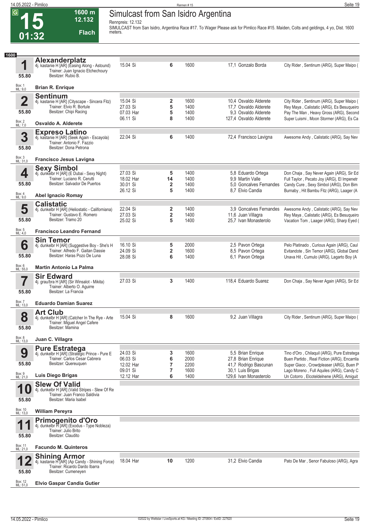#### **14.05.2022 - Pimlico** Rennen # 15 **Seite 19 Simulcast from San Isidro Argentina**

**12.132** 

**1600 m**

**Rennpreis: 12.132 SIMULCAST from San Isidro, Argentina Race #17. To Wager Please ask for Pimlico Race #15. Maiden, Colts and geldings, 4 yo, Dist. 1600 meters.** 

| 1600                |                                                                                                                                    |                       |                                         |              |                                                |                                                                                            |
|---------------------|------------------------------------------------------------------------------------------------------------------------------------|-----------------------|-----------------------------------------|--------------|------------------------------------------------|--------------------------------------------------------------------------------------------|
| 1                   | Alexanderplatz<br>4j. kastanie H [AR] (Easing Along - Astound)<br>Trainer: Juan Ignacio Etchechoury                                | 15.04 Si              | 6                                       | 1600         | 17,1 Gonzalo Borda                             | City Rider, Sentinum (ARG), Super Maipo (                                                  |
| 55.80               | Besitzer: Rubio B.                                                                                                                 |                       |                                         |              |                                                |                                                                                            |
| Box: 1<br>ML: 9,0   | <b>Brian R. Enrique</b>                                                                                                            |                       |                                         |              |                                                |                                                                                            |
| $\overline{2}$      | <b>Sentinum</b><br>4j. kastanie H [AR] (Cityscape - Sincera Fitz)                                                                  | 15.04 Si              | 2                                       | 1600         | 10,4 Osvaldo Alderete                          | City Rider, Sentinum (ARG), Super Maipo (                                                  |
|                     | Trainer: Elvio R. Bortule                                                                                                          | 27.03 Si              | 5                                       | 1400         | 17,7 Osvaldo Alderete                          | Rey Maya, Calistatic (ARG), Es Besuqueiro                                                  |
| 55.80               | Besitzer: Chipi Racing                                                                                                             | 07.03 Har<br>06.11 Si | 5<br>8                                  | 1400<br>1400 | 9.3 Osvaldo Alderete<br>127,4 Osvaldo Alderete | Pay The Man, Heavy Gross (ARG), Second<br>Super Luismi, Moon Stormer (ARG), Es Ca          |
| Box: 2<br>ML: 7,0   | Osvaldo A. Alderete                                                                                                                |                       |                                         |              |                                                |                                                                                            |
| 3<br>55.80          | <b>Expreso Latino</b><br>4j. kastanie H [AR] (Seek Again - Escayola)<br>Trainer: Antonio F. Fazzio<br>Besitzer: Dona Petrona       | 22.04 Si              | 6                                       | 1400         | 72,4 Francisco Lavigna                         | Awesome Andy, Calistatic (ARG), Say Nev                                                    |
| Box: 3<br>ML: 31,0  | <b>Francisco Jesus Lavigna</b>                                                                                                     |                       |                                         |              |                                                |                                                                                            |
|                     | <b>Sexy Simbol</b>                                                                                                                 |                       |                                         |              |                                                |                                                                                            |
| 4                   | 4j. dunkelbr H [AR] (E Dubai - Sexy Night)<br>Trainer: Luciano R. Cerutti                                                          | 27.03 Si<br>18.02 Har | 5<br>14                                 | 1400<br>1400 | 5,8 Eduardo Ortega<br>9.9 Martin Valle         | Don Chaja, Say Never Again (ARG), Sir Ed<br>Full Taylor, Pecato Joy (ARG), El Impenetr     |
| 55.80               | Besitzer: Salvador De Puertos                                                                                                      | 30.01 Si              | 2                                       | 1400         | 5.0 Goncalves Fernandes                        | Candy Cure, Sexy Simbol (ARG), Don Bim                                                     |
| Box: 4<br>ML: 9,0   | <b>Abel Ignacio Romay</b>                                                                                                          | 26.12 Si              | 5                                       | 1400         | 8,7 Elvio Candia                               | Burnaby, Hit Bambu Fitz (ARG), Laager (A                                                   |
|                     | <b>Calistatic</b>                                                                                                                  | 22.04 Si              |                                         |              |                                                |                                                                                            |
| 5                   | 4j. dunkelbr H [AR] (Heliostatic - Californiana)<br>Trainer: Gustavo E. Romero                                                     | 27.03 Si              | $\mathbf{2}$<br>$\overline{\mathbf{2}}$ | 1400<br>1400 | 3.9 Goncalves Fernandes<br>11,6 Juan Villagra  | Awesome Andy, Calistatic (ARG), Say Nev<br>Rey Maya, Calistatic (ARG), Es Besuqueiro       |
| 55.80               | Besitzer: Tramo 20                                                                                                                 | 25.02 Si              | 5                                       | 1400         | 25,7 Ivan Monasterolo                          | Vacation Tom, Laager (ARG), Sharp Eyed (                                                   |
| Box: 5<br>ML: 4,0   | <b>Francisco Leandro Fernand</b>                                                                                                   |                       |                                         |              |                                                |                                                                                            |
| 6                   | <b>Sin Temor</b><br>4j. dunkelbr H [AR] (Suggestive Boy - She's H                                                                  | 16.10 Si              | 5                                       | 2000         | 2,5 Pavon Ortega                               | Pelo Platinado, Curious Again (ARG), Caul                                                  |
|                     | Trainer: Alfredo F. Gaitan Dassie                                                                                                  | 24.09 Si              | $\overline{\mathbf{2}}$                 | 1600         | 8.5 Pavon Ortega                               | Evitandote, Sin Temor (ARG), Global Dand                                                   |
| 55.80               | Besitzer: Haras Pozo De Luna                                                                                                       | 28.08 Si              | 6                                       | 1400         | 6.1 Pavon Ortega                               | Unava Hit, Cumulo (ARG), Lagarto Boy (A                                                    |
| Box: 6<br>ML: 55,0  | <b>Martin Antonio La Palma</b>                                                                                                     |                       |                                         |              |                                                |                                                                                            |
|                     | <b>Sir Edward</b><br>4j. grau/bra H [AR] (Sir Winsalot - Mikita)                                                                   | 27.03 Si              | 3                                       | 1400         | 118,4 Eduardo Suarez                           | Don Chaja, Say Never Again (ARG), Sir Ed                                                   |
| 55.80               | Trainer: Alberto O. Aquirre<br>Besitzer: La Francia                                                                                |                       |                                         |              |                                                |                                                                                            |
| Box: 7<br>ML: 13.0  | <b>Eduardo Damian Suarez</b>                                                                                                       |                       |                                         |              |                                                |                                                                                            |
|                     | <b>Art Club</b>                                                                                                                    |                       |                                         |              |                                                |                                                                                            |
| 8                   | 4j. dunkelbr H [AR] (Catcher In The Rye - Arte<br>Trainer: Miquel Angel Cafere                                                     | 15.04 Si              | 8                                       | 1600         | 9,2 Juan Villagra                              | City Rider, Sentinum (ARG), Super Maipo (                                                  |
| 55.80               | Besitzer: Mamina                                                                                                                   |                       |                                         |              |                                                |                                                                                            |
| Box: 8<br>ML: 13,0  | Juan C. Villagra                                                                                                                   |                       |                                         |              |                                                |                                                                                            |
|                     | <b>Pure Estratega</b>                                                                                                              |                       |                                         |              |                                                |                                                                                            |
| 9                   | 4j. dunkelbr H [AR] (Strategic Prince - Pure E<br>Trainer: Carlos Cesar Cabrera                                                    | 24.03 Si<br>06.03 Si  | 3<br>6                                  | 1600<br>2000 | 5,5 Brian Enrique<br>27,8 Brian Enrique        | Tino d'Oro, Chilaquil (ARG), Pure Estratega<br>Buen Partido, Real Fiction (ARG), Encarrila |
| 55.80               | Besitzer: Quereuguen                                                                                                               | 12.02 Har             | 7                                       | 2200         | 41,7 Rodrigo Bascunan                          | Super Giaco, Crowdpleaser (ARG), Buen P                                                    |
| Box: 9<br>ML: 21,0  | <b>Luis Diego Brigas</b>                                                                                                           | 09.01 Si<br>12.12 Har | $\overline{7}$<br>6                     | 1600<br>1400 | 30,1 Luis Brigas<br>129.6 Ivan Monasterolo     | Lago Moreno, Full Aguiles (ARG), Candy C<br>Un Cotorro, Elcoteldelnene (ARG), Amiquit      |
| 55.80               | <b>Slew Of Valid</b><br>4j. dunkelbr H [AR] (Valid Stripes - Slew Of Re<br>Trainer: Juan Franco Saldivia<br>Besitzer: Maria Isabel |                       |                                         |              |                                                |                                                                                            |
| Box: 10<br>ML: 13,0 | <b>William Pereyra</b>                                                                                                             |                       |                                         |              |                                                |                                                                                            |
|                     |                                                                                                                                    |                       |                                         |              |                                                |                                                                                            |
| 55.80               | Primogenito d'Oro<br>4j. dunkelbr H [AR] (Exodus - Type Nobleza)<br>Trainer: Julio Brito<br>Besitzer: Claudito                     |                       |                                         |              |                                                |                                                                                            |
| Box: 11<br>ML: 21,0 | <b>Facundo M. Quinteros</b>                                                                                                        |                       |                                         |              |                                                |                                                                                            |
| 55.80               | <b>Shining Armor</b><br>4j. kastanie HTAR] (Ap Candy - Shining Force)<br>Trainer: Ricardo Dardo Ibarra<br>Besitzer: Cumeneyen      | 18.04 Har             | 10                                      | 1200         | 31,2 Elvio Candia                              | Pato De Mar, Senor Fabuloso (ARG), Agra                                                    |
| Box: 12<br>ML: 51,0 | <b>Elvio Gaspar Candia Gutier</b>                                                                                                  |                       |                                         |              |                                                |                                                                                            |